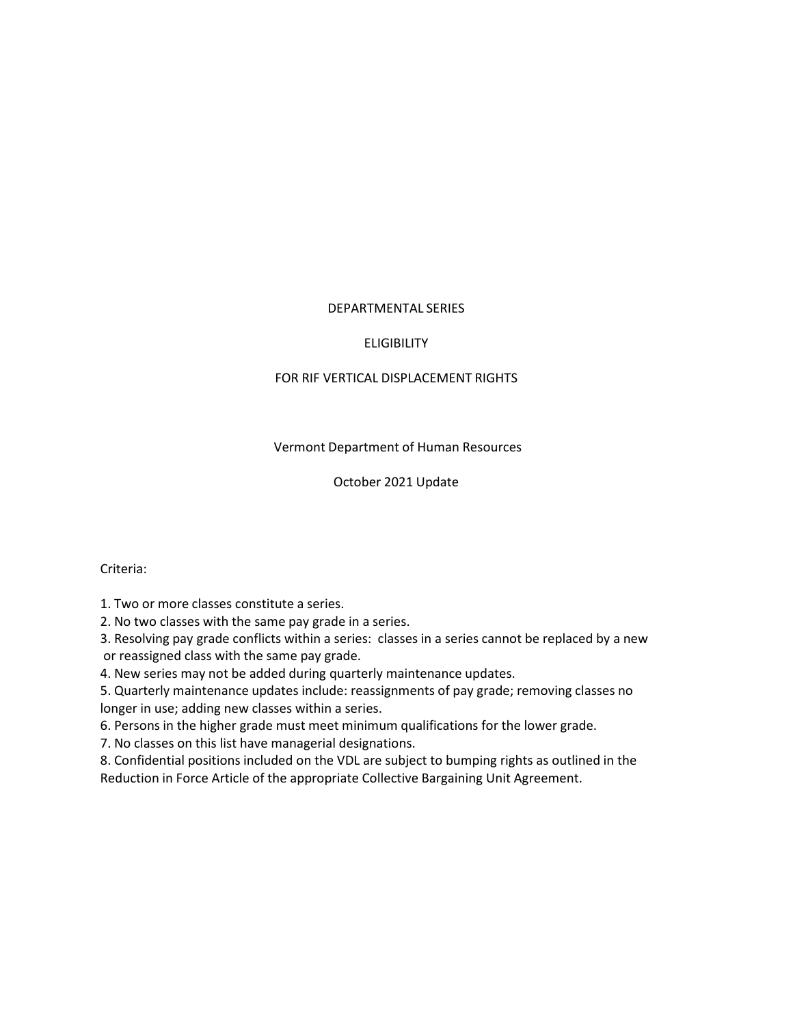#### DEPARTMENTAL SERIES

#### ELIGIBILITY

#### FOR RIF VERTICAL DISPLACEMENT RIGHTS

#### Vermont Department of Human Resources

#### October 2021 Update

Criteria:

1. Two or more classes constitute a series.

2. No two classes with the same pay grade in a series.

3. Resolving pay grade conflicts within a series: classes in a series cannot be replaced by a new or reassigned class with the same pay grade.

4. New series may not be added during quarterly maintenance updates.

5. Quarterly maintenance updates include: reassignments of pay grade; removing classes no longer in use; adding new classes within a series.

6. Persons in the higher grade must meet minimum qualifications for the lower grade.

7. No classes on this list have managerial designations.

8. Confidential positions included on the VDL are subject to bumping rights as outlined in the Reduction in Force Article of the appropriate Collective Bargaining Unit Agreement.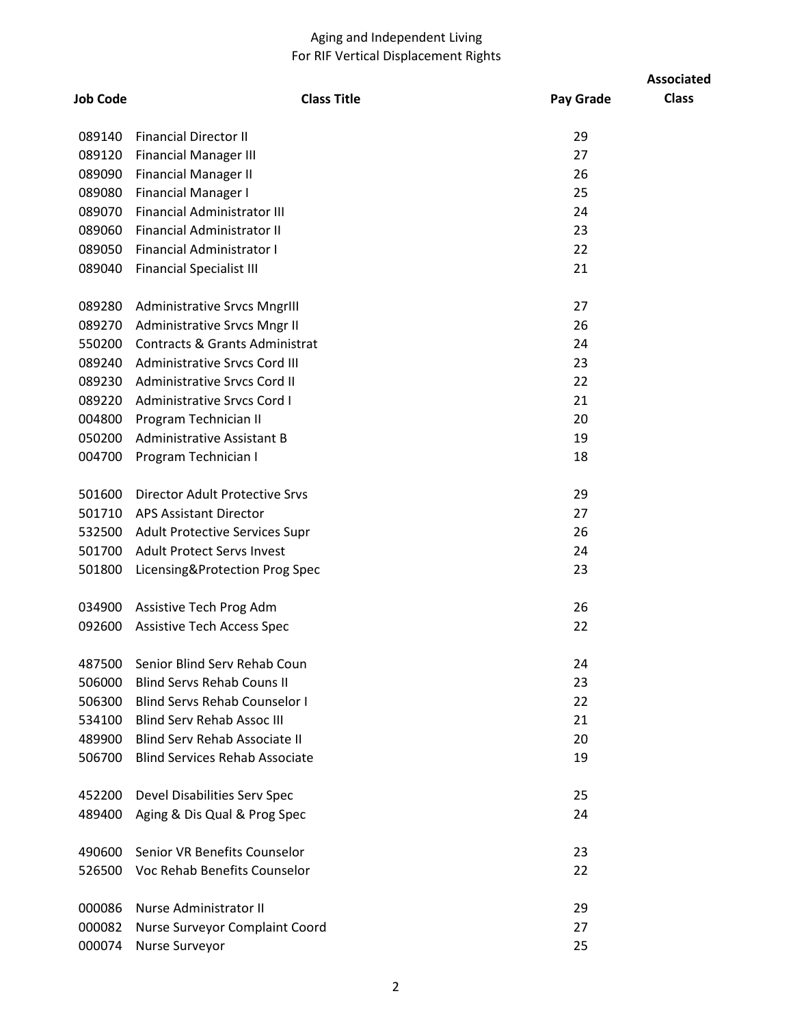## Aging and Independent Living For RIF Vertical Displacement Rights

|                 |                                           |           | <b>Associated</b> |
|-----------------|-------------------------------------------|-----------|-------------------|
| <b>Job Code</b> | <b>Class Title</b>                        | Pay Grade | <b>Class</b>      |
| 089140          | <b>Financial Director II</b>              | 29        |                   |
| 089120          | <b>Financial Manager III</b>              | 27        |                   |
| 089090          | <b>Financial Manager II</b>               | 26        |                   |
| 089080          | <b>Financial Manager I</b>                | 25        |                   |
| 089070          | <b>Financial Administrator III</b>        | 24        |                   |
| 089060          | Financial Administrator II                | 23        |                   |
| 089050          | <b>Financial Administrator I</b>          | 22        |                   |
| 089040          | <b>Financial Specialist III</b>           | 21        |                   |
| 089280          | <b>Administrative Srvcs MngrIII</b>       | 27        |                   |
| 089270          | Administrative Srvcs Mngr II              | 26        |                   |
| 550200          | <b>Contracts &amp; Grants Administrat</b> | 24        |                   |
|                 | 089240 Administrative Srvcs Cord III      | 23        |                   |
|                 | 089230 Administrative Srvcs Cord II       | 22        |                   |
|                 | 089220 Administrative Srvcs Cord I        | 21        |                   |
| 004800          | Program Technician II                     | 20        |                   |
|                 | 050200 Administrative Assistant B         | 19        |                   |
| 004700          | Program Technician I                      | 18        |                   |
| 501600          | <b>Director Adult Protective Srvs</b>     | 29        |                   |
|                 | 501710 APS Assistant Director             | 27        |                   |
|                 | 532500 Adult Protective Services Supr     | 26        |                   |
|                 | 501700 Adult Protect Servs Invest         | 24        |                   |
| 501800          | Licensing&Protection Prog Spec            | 23        |                   |
| 034900          | Assistive Tech Prog Adm                   | 26        |                   |
| 092600          | <b>Assistive Tech Access Spec</b>         | 22        |                   |
| 487500          | Senior Blind Serv Rehab Coun              | 24        |                   |
| 506000          | <b>Blind Servs Rehab Couns II</b>         | 23        |                   |
| 506300          | <b>Blind Servs Rehab Counselor I</b>      | 22        |                   |
| 534100          | <b>Blind Serv Rehab Assoc III</b>         | 21        |                   |
| 489900          | <b>Blind Serv Rehab Associate II</b>      | 20        |                   |
| 506700          | <b>Blind Services Rehab Associate</b>     | 19        |                   |
| 452200          | Devel Disabilities Serv Spec              | 25        |                   |
| 489400          | Aging & Dis Qual & Prog Spec              | 24        |                   |
| 490600          | Senior VR Benefits Counselor              | 23        |                   |
| 526500          | Voc Rehab Benefits Counselor              | 22        |                   |
| 000086          | Nurse Administrator II                    | 29        |                   |
| 000082          | Nurse Surveyor Complaint Coord            | 27        |                   |
| 000074          | Nurse Surveyor                            | 25        |                   |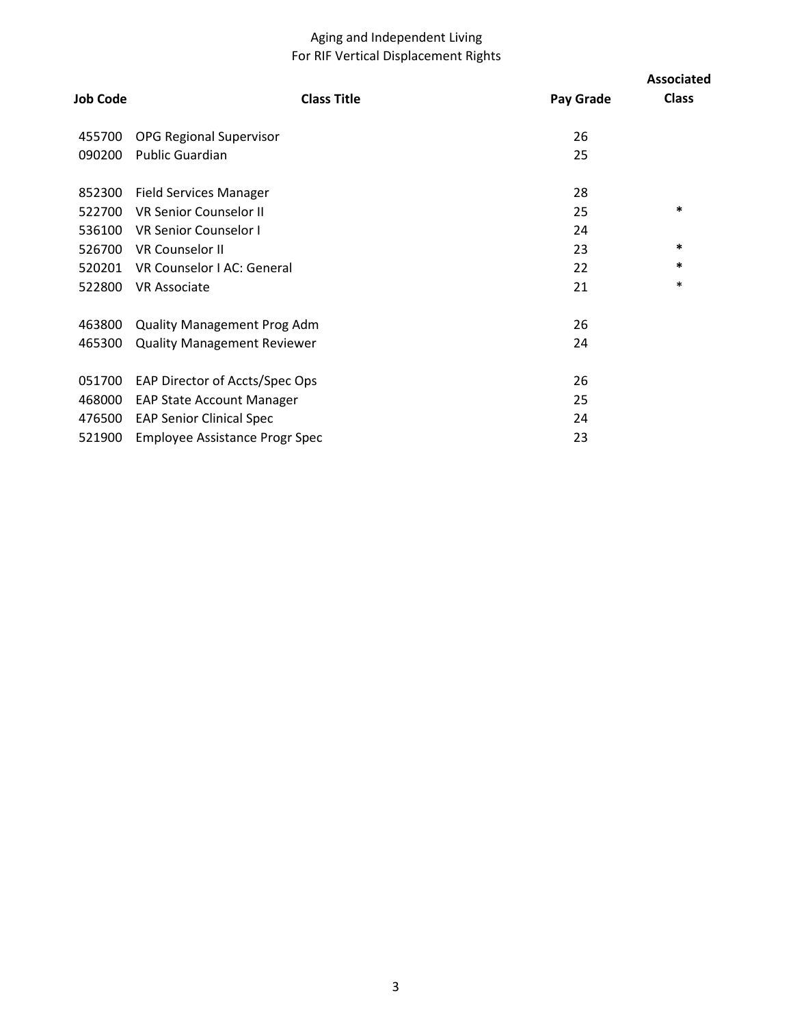## Aging and Independent Living For RIF Vertical Displacement Rights

|                 |                                       |           | <b>Associated</b> |
|-----------------|---------------------------------------|-----------|-------------------|
| <b>Job Code</b> | <b>Class Title</b>                    | Pay Grade | <b>Class</b>      |
| 455700          | <b>OPG Regional Supervisor</b>        | 26        |                   |
| 090200          | <b>Public Guardian</b>                | 25        |                   |
| 852300          | <b>Field Services Manager</b>         | 28        |                   |
| 522700          | <b>VR Senior Counselor II</b>         | 25        | ∗                 |
| 536100          | <b>VR Senior Counselor I</b>          | 24        |                   |
| 526700          | <b>VR Counselor II</b>                | 23        | $\ast$            |
| 520201          | VR Counselor I AC: General            | 22        | $\ast$            |
| 522800          | <b>VR Associate</b>                   | 21        | $\ast$            |
| 463800          | <b>Quality Management Prog Adm</b>    | 26        |                   |
| 465300          | <b>Quality Management Reviewer</b>    | 24        |                   |
| 051700          | EAP Director of Accts/Spec Ops        | 26        |                   |
| 468000          | <b>EAP State Account Manager</b>      | 25        |                   |
| 476500          | <b>EAP Senior Clinical Spec</b>       | 24        |                   |
| 521900          | <b>Employee Assistance Progr Spec</b> | 23        |                   |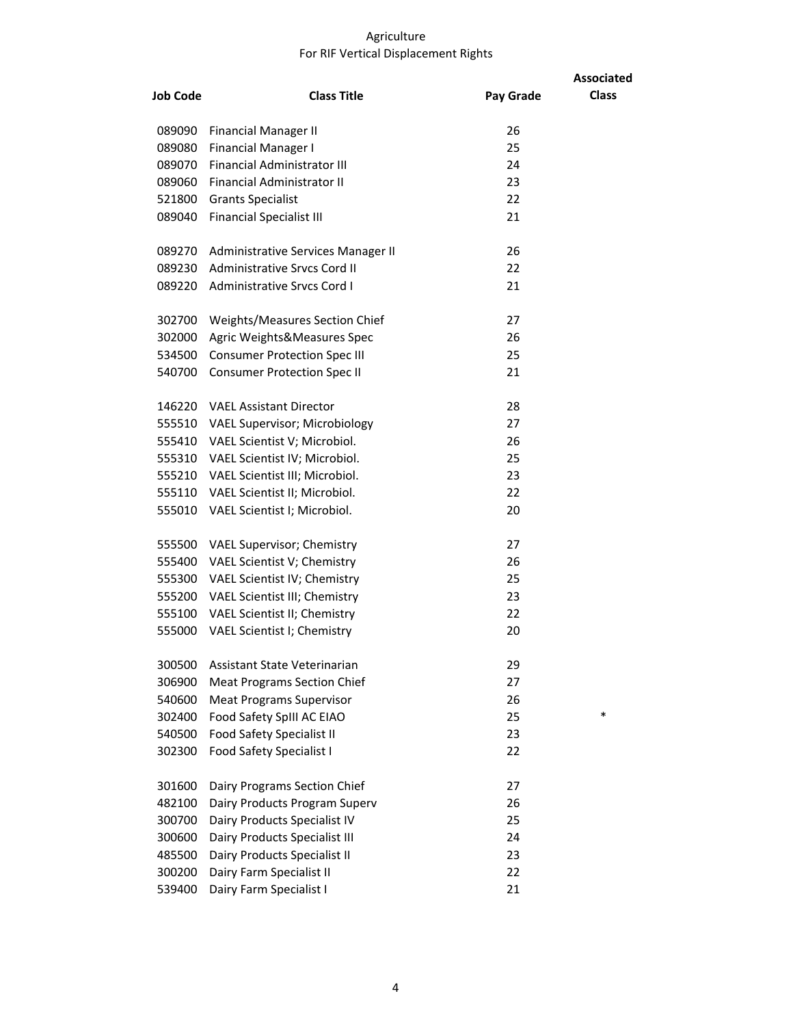#### Agriculture For RIF Vertical Displacement Rights

|                 |                                       |           | <b>Associated</b> |
|-----------------|---------------------------------------|-----------|-------------------|
| <b>Job Code</b> | <b>Class Title</b>                    | Pay Grade | <b>Class</b>      |
| 089090          | Financial Manager II                  | 26        |                   |
| 089080          | Financial Manager I                   | 25        |                   |
| 089070          | <b>Financial Administrator III</b>    | 24        |                   |
| 089060          | <b>Financial Administrator II</b>     | 23        |                   |
| 521800          | <b>Grants Specialist</b>              | 22        |                   |
| 089040          | <b>Financial Specialist III</b>       | 21        |                   |
| 089270          | Administrative Services Manager II    | 26        |                   |
|                 | 089230 Administrative Srvcs Cord II   | 22        |                   |
|                 | 089220 Administrative Srvcs Cord I    | 21        |                   |
| 302700          | Weights/Measures Section Chief        | 27        |                   |
| 302000          | Agric Weights&Measures Spec           | 26        |                   |
| 534500          | <b>Consumer Protection Spec III</b>   | 25        |                   |
| 540700          | <b>Consumer Protection Spec II</b>    | 21        |                   |
|                 | 146220 VAEL Assistant Director        | 28        |                   |
|                 | 555510 VAEL Supervisor; Microbiology  | 27        |                   |
|                 | 555410 VAEL Scientist V; Microbiol.   | 26        |                   |
|                 | 555310 VAEL Scientist IV; Microbiol.  | 25        |                   |
|                 | 555210 VAEL Scientist III; Microbiol. | 23        |                   |
|                 | 555110 VAEL Scientist II; Microbiol.  | 22        |                   |
|                 | 555010 VAEL Scientist I; Microbiol.   | 20        |                   |
| 555500          | <b>VAEL Supervisor; Chemistry</b>     | 27        |                   |
| 555400          | VAEL Scientist V; Chemistry           | 26        |                   |
|                 | 555300 VAEL Scientist IV; Chemistry   | 25        |                   |
|                 | 555200 VAEL Scientist III; Chemistry  | 23        |                   |
|                 | 555100 VAEL Scientist II; Chemistry   | 22        |                   |
| 555000          | VAEL Scientist I; Chemistry           | 20        |                   |
| 300500          | Assistant State Veterinarian          | 29        |                   |
| 306900          | <b>Meat Programs Section Chief</b>    | 27        |                   |
| 540600          | <b>Meat Programs Supervisor</b>       | 26        |                   |
| 302400          | Food Safety SpIII AC EIAO             | 25        | $\ast$            |
| 540500          | Food Safety Specialist II             | 23        |                   |
| 302300          | <b>Food Safety Specialist I</b>       | 22        |                   |
| 301600          | Dairy Programs Section Chief          | 27        |                   |
| 482100          | Dairy Products Program Superv         | 26        |                   |
| 300700          | Dairy Products Specialist IV          | 25        |                   |
| 300600          | Dairy Products Specialist III         | 24        |                   |
| 485500          | Dairy Products Specialist II          | 23        |                   |
| 300200          | Dairy Farm Specialist II              | 22        |                   |
| 539400          | Dairy Farm Specialist I               | 21        |                   |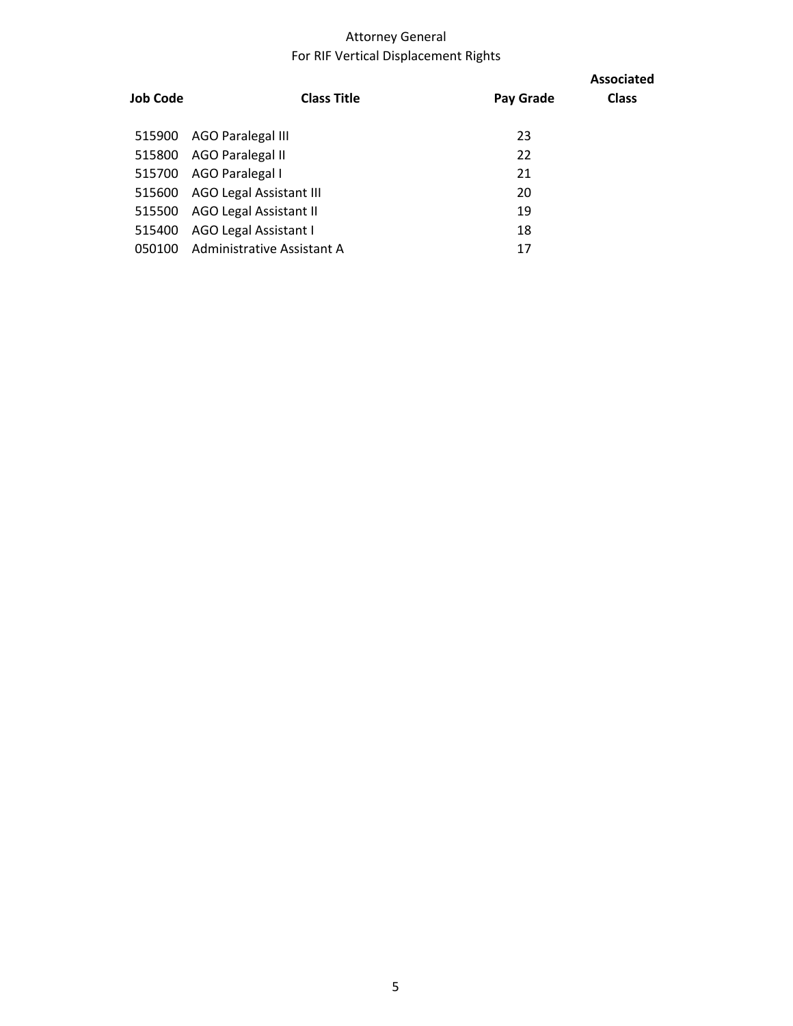# Attorney General For RIF Vertical Displacement Rights

| Job Code | <b>Class Title</b>             | Pay Grade | <b>Associated</b><br><b>Class</b> |
|----------|--------------------------------|-----------|-----------------------------------|
| 515900   | AGO Paralegal III              | 23        |                                   |
| 515800   | AGO Paralegal II               | 22        |                                   |
| 515700   | AGO Paralegal I                | 21        |                                   |
| 515600   | <b>AGO Legal Assistant III</b> | 20        |                                   |
| 515500   | <b>AGO Legal Assistant II</b>  | 19        |                                   |
| 515400   | AGO Legal Assistant I          | 18        |                                   |
| 050100   | Administrative Assistant A     | 17        |                                   |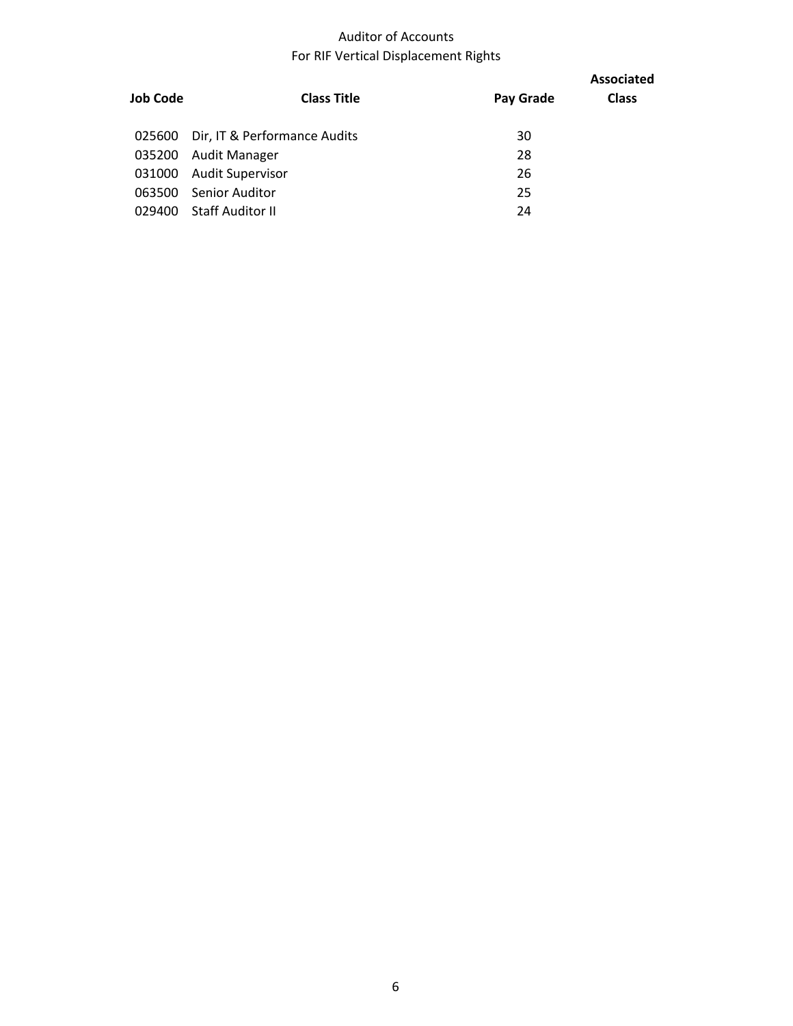## Auditor of Accounts For RIF Vertical Displacement Rights

| Job Code | <b>Class Title</b>                  | Pay Grade | <b>Associated</b><br><b>Class</b> |
|----------|-------------------------------------|-----------|-----------------------------------|
|          | 025600 Dir, IT & Performance Audits | 30        |                                   |
| 035200   | Audit Manager                       | 28        |                                   |
| 031000   | <b>Audit Supervisor</b>             | 26        |                                   |
| 063500   | Senior Auditor                      | 25        |                                   |
| 029400   | Staff Auditor II                    | 24        |                                   |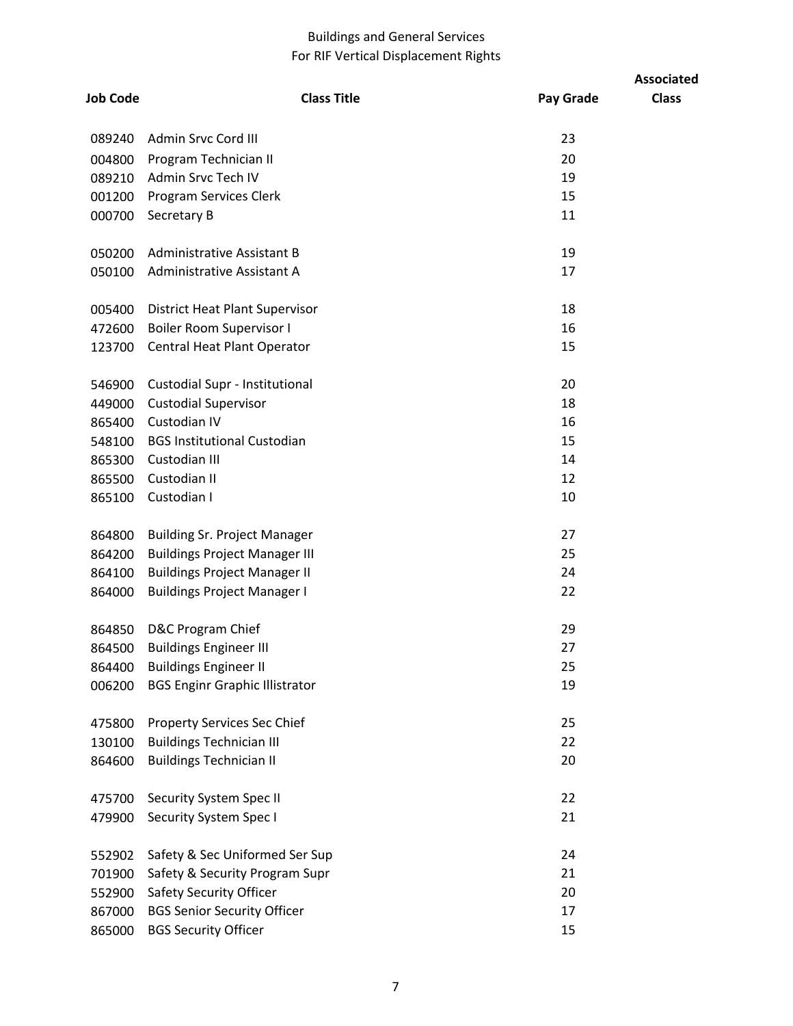## Buildings and General Services For RIF Vertical Displacement Rights

|                 |                                       |           | <b>Associated</b> |
|-----------------|---------------------------------------|-----------|-------------------|
| <b>Job Code</b> | <b>Class Title</b>                    | Pay Grade | <b>Class</b>      |
| 089240          | Admin Srvc Cord III                   | 23        |                   |
| 004800          | Program Technician II                 | 20        |                   |
| 089210          | Admin Srvc Tech IV                    | 19        |                   |
| 001200          | Program Services Clerk                | 15        |                   |
| 000700          | Secretary B                           | 11        |                   |
| 050200          | Administrative Assistant B            | 19        |                   |
| 050100          | Administrative Assistant A            | 17        |                   |
| 005400          | <b>District Heat Plant Supervisor</b> | 18        |                   |
| 472600          | <b>Boiler Room Supervisor I</b>       | 16        |                   |
| 123700          | Central Heat Plant Operator           | 15        |                   |
| 546900          | Custodial Supr - Institutional        | 20        |                   |
| 449000          | <b>Custodial Supervisor</b>           | 18        |                   |
| 865400          | Custodian IV                          | 16        |                   |
| 548100          | <b>BGS Institutional Custodian</b>    | 15        |                   |
| 865300          | Custodian III                         | 14        |                   |
| 865500          | Custodian II                          | 12        |                   |
| 865100          | Custodian I                           | 10        |                   |
| 864800          | <b>Building Sr. Project Manager</b>   | 27        |                   |
| 864200          | <b>Buildings Project Manager III</b>  | 25        |                   |
| 864100          | <b>Buildings Project Manager II</b>   | 24        |                   |
| 864000          | <b>Buildings Project Manager I</b>    | 22        |                   |
| 864850          | D&C Program Chief                     | 29        |                   |
| 864500          | <b>Buildings Engineer III</b>         | 27        |                   |
| 864400          | <b>Buildings Engineer II</b>          | 25        |                   |
| 006200          | <b>BGS Enginr Graphic Illistrator</b> | 19        |                   |
| 475800          | <b>Property Services Sec Chief</b>    | 25        |                   |
| 130100          | <b>Buildings Technician III</b>       | 22        |                   |
| 864600          | <b>Buildings Technician II</b>        | 20        |                   |
| 475700          | Security System Spec II               | 22        |                   |
| 479900          | Security System Spec I                | 21        |                   |
| 552902          | Safety & Sec Uniformed Ser Sup        | 24        |                   |
| 701900          | Safety & Security Program Supr        | 21        |                   |
| 552900          | Safety Security Officer               | 20        |                   |
| 867000          | <b>BGS Senior Security Officer</b>    | 17        |                   |
| 865000          | <b>BGS Security Officer</b>           | 15        |                   |
|                 |                                       |           |                   |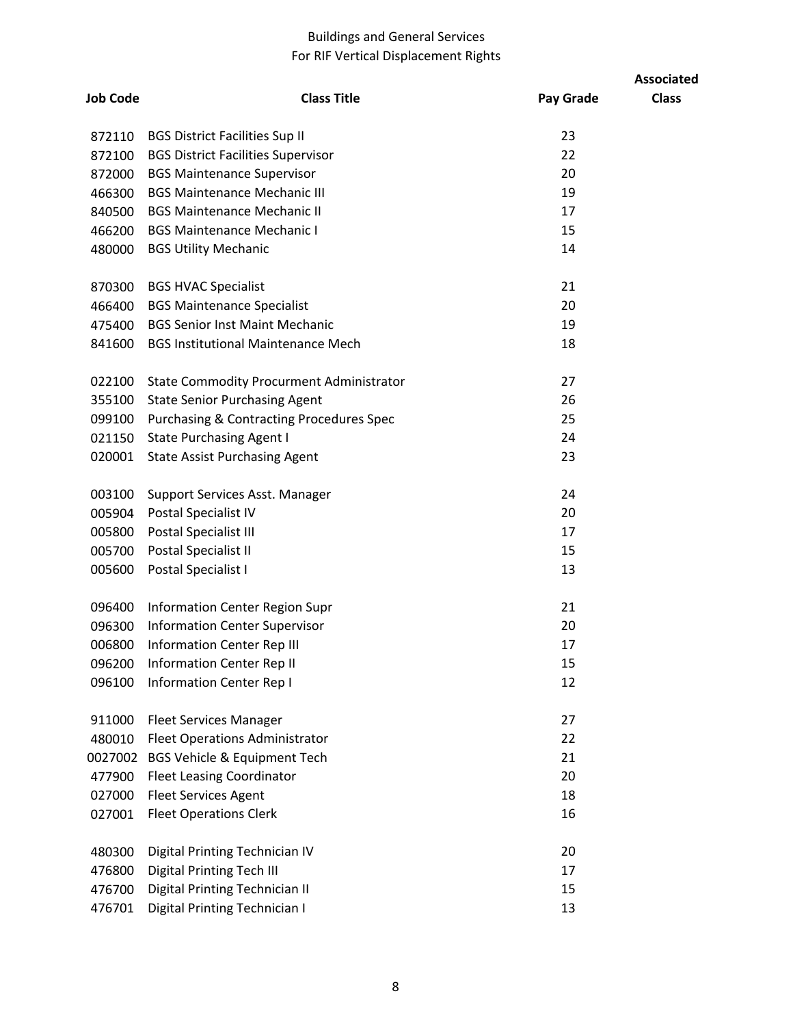## Buildings and General Services For RIF Vertical Displacement Rights

|                 |                                                     |           | <b>Associated</b> |
|-----------------|-----------------------------------------------------|-----------|-------------------|
| <b>Job Code</b> | <b>Class Title</b>                                  | Pay Grade | <b>Class</b>      |
| 872110          | <b>BGS District Facilities Sup II</b>               | 23        |                   |
| 872100          | <b>BGS District Facilities Supervisor</b>           | 22        |                   |
| 872000          | <b>BGS Maintenance Supervisor</b>                   | 20        |                   |
| 466300          | <b>BGS Maintenance Mechanic III</b>                 | 19        |                   |
| 840500          | <b>BGS Maintenance Mechanic II</b>                  | 17        |                   |
| 466200          | <b>BGS Maintenance Mechanic I</b>                   | 15        |                   |
| 480000          | <b>BGS Utility Mechanic</b>                         | 14        |                   |
| 870300          | <b>BGS HVAC Specialist</b>                          | 21        |                   |
| 466400          | <b>BGS Maintenance Specialist</b>                   | 20        |                   |
| 475400          | <b>BGS Senior Inst Maint Mechanic</b>               | 19        |                   |
| 841600          | <b>BGS Institutional Maintenance Mech</b>           | 18        |                   |
| 022100          | <b>State Commodity Procurment Administrator</b>     | 27        |                   |
| 355100          | <b>State Senior Purchasing Agent</b>                | 26        |                   |
| 099100          | <b>Purchasing &amp; Contracting Procedures Spec</b> | 25        |                   |
| 021150          | <b>State Purchasing Agent I</b>                     | 24        |                   |
| 020001          | <b>State Assist Purchasing Agent</b>                | 23        |                   |
| 003100          | Support Services Asst. Manager                      | 24        |                   |
| 005904          | Postal Specialist IV                                | 20        |                   |
| 005800          | Postal Specialist III                               | 17        |                   |
| 005700          | Postal Specialist II                                | 15        |                   |
| 005600          | Postal Specialist I                                 | 13        |                   |
| 096400          | Information Center Region Supr                      | 21        |                   |
| 096300          | <b>Information Center Supervisor</b>                | 20        |                   |
| 006800          | <b>Information Center Rep III</b>                   | 17        |                   |
| 096200          | <b>Information Center Rep II</b>                    | 15        |                   |
| 096100          | <b>Information Center Rep I</b>                     | 12        |                   |
| 911000          | <b>Fleet Services Manager</b>                       | 27        |                   |
| 480010          | <b>Fleet Operations Administrator</b>               | 22        |                   |
| 0027002         | <b>BGS Vehicle &amp; Equipment Tech</b>             | 21        |                   |
| 477900          | <b>Fleet Leasing Coordinator</b>                    | 20        |                   |
| 027000          | <b>Fleet Services Agent</b>                         | 18        |                   |
| 027001          | <b>Fleet Operations Clerk</b>                       | 16        |                   |
| 480300          | Digital Printing Technician IV                      | 20        |                   |
| 476800          | <b>Digital Printing Tech III</b>                    | 17        |                   |
| 476700          | Digital Printing Technician II                      | 15        |                   |
| 476701          | Digital Printing Technician I                       | 13        |                   |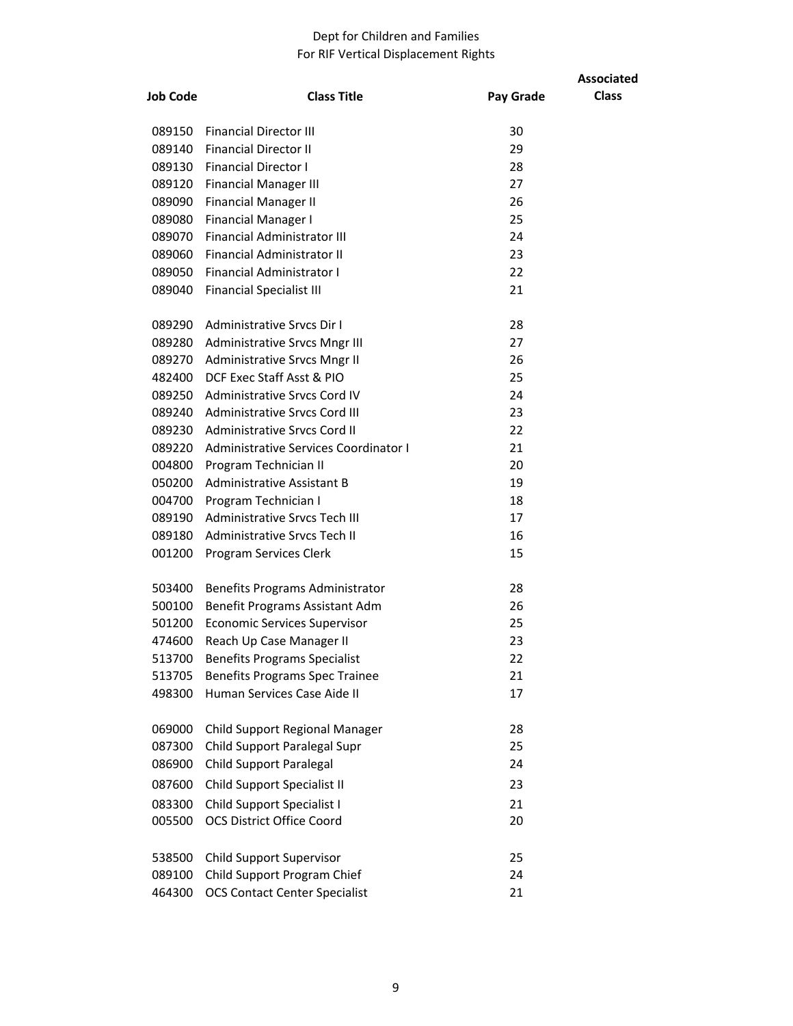#### Dept for Children and Families For RIF Vertical Displacement Rights

| <b>Job Code</b>  | <b>Class Title</b>                                                    |           | <b>Associated</b><br><b>Class</b> |
|------------------|-----------------------------------------------------------------------|-----------|-----------------------------------|
|                  |                                                                       | Pay Grade |                                   |
| 089150           | <b>Financial Director III</b>                                         | 30        |                                   |
| 089140           | <b>Financial Director II</b>                                          | 29        |                                   |
| 089130           | <b>Financial Director I</b>                                           | 28        |                                   |
| 089120           | <b>Financial Manager III</b>                                          | 27        |                                   |
| 089090           | <b>Financial Manager II</b>                                           | 26        |                                   |
| 089080           | <b>Financial Manager I</b>                                            | 25        |                                   |
| 089070           | <b>Financial Administrator III</b>                                    | 24        |                                   |
| 089060           | <b>Financial Administrator II</b><br><b>Financial Administrator I</b> | 23<br>22  |                                   |
| 089050<br>089040 | <b>Financial Specialist III</b>                                       | 21        |                                   |
|                  |                                                                       |           |                                   |
| 089290           | Administrative Srycs Dir I                                            | 28        |                                   |
| 089280           | Administrative Srvcs Mngr III                                         | 27        |                                   |
| 089270           | Administrative Srvcs Mngr II                                          | 26        |                                   |
| 482400           | DCF Exec Staff Asst & PIO                                             | 25        |                                   |
| 089250           | Administrative Srvcs Cord IV                                          | 24        |                                   |
| 089240           | Administrative Srvcs Cord III                                         | 23        |                                   |
| 089230           | Administrative Srvcs Cord II                                          | 22        |                                   |
| 089220           | Administrative Services Coordinator I                                 | 21        |                                   |
| 004800           | Program Technician II                                                 | 20        |                                   |
| 050200           | <b>Administrative Assistant B</b>                                     | 19<br>18  |                                   |
| 004700<br>089190 | Program Technician I<br>Administrative Srvcs Tech III                 | 17        |                                   |
| 089180           | Administrative Srvcs Tech II                                          | 16        |                                   |
| 001200           | Program Services Clerk                                                | 15        |                                   |
|                  |                                                                       |           |                                   |
| 503400           | Benefits Programs Administrator                                       | 28        |                                   |
| 500100           | Benefit Programs Assistant Adm                                        | 26        |                                   |
| 501200           | <b>Economic Services Supervisor</b>                                   | 25        |                                   |
| 474600           | Reach Up Case Manager II                                              | 23        |                                   |
| 513700           | <b>Benefits Programs Specialist</b>                                   | 22        |                                   |
| 513705           | <b>Benefits Programs Spec Trainee</b>                                 | 21        |                                   |
| 498300           | Human Services Case Aide II                                           | 17        |                                   |
| 069000           | Child Support Regional Manager                                        | 28        |                                   |
| 087300           | Child Support Paralegal Supr                                          | 25        |                                   |
| 086900           | <b>Child Support Paralegal</b>                                        | 24        |                                   |
| 087600           | Child Support Specialist II                                           | 23        |                                   |
| 083300           | Child Support Specialist I                                            | 21        |                                   |
| 005500           | <b>OCS District Office Coord</b>                                      | 20        |                                   |
|                  |                                                                       |           |                                   |
| 538500           | <b>Child Support Supervisor</b>                                       | 25        |                                   |
| 089100           | Child Support Program Chief                                           | 24        |                                   |
| 464300           | <b>OCS Contact Center Specialist</b>                                  | 21        |                                   |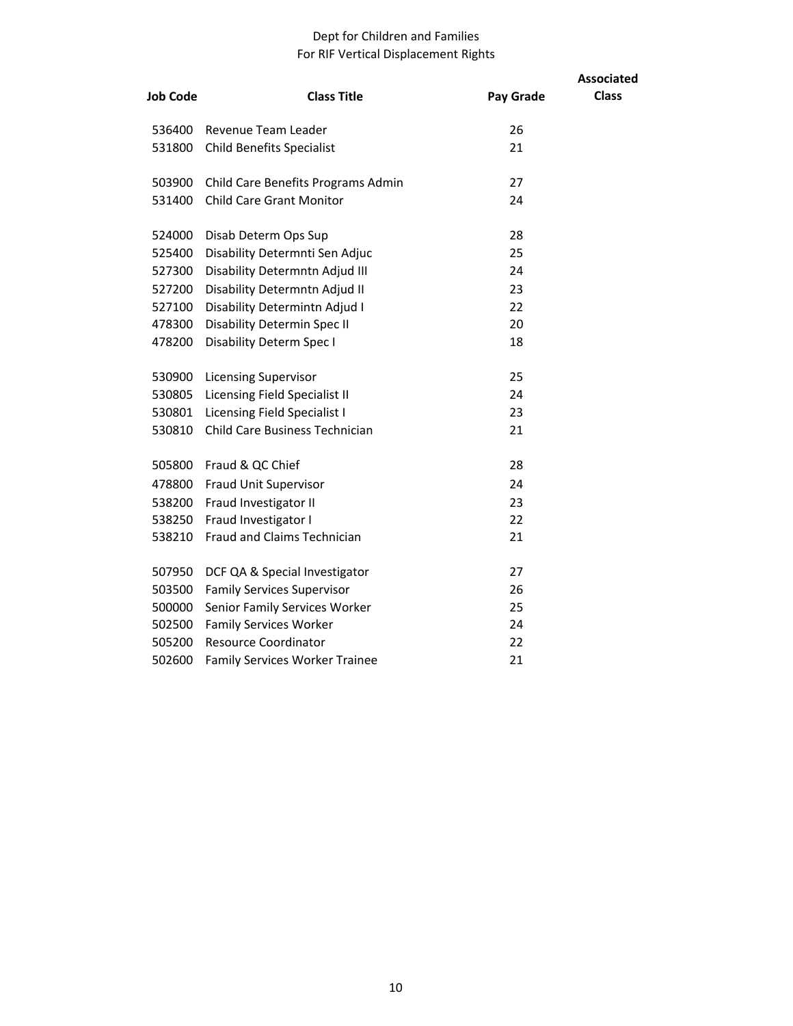#### Dept for Children and Families For RIF Vertical Displacement Rights

|                 |                                       |           | <b>Associated</b> |
|-----------------|---------------------------------------|-----------|-------------------|
| <b>Job Code</b> | <b>Class Title</b>                    | Pay Grade | <b>Class</b>      |
| 536400          | Revenue Team Leader                   | 26        |                   |
| 531800          | <b>Child Benefits Specialist</b>      | 21        |                   |
| 503900          | Child Care Benefits Programs Admin    | 27        |                   |
| 531400          | <b>Child Care Grant Monitor</b>       | 24        |                   |
| 524000          | Disab Determ Ops Sup                  | 28        |                   |
| 525400          | Disability Determnti Sen Adjuc        | 25        |                   |
| 527300          | Disability Determntn Adjud III        | 24        |                   |
| 527200          | Disability Determntn Adjud II         | 23        |                   |
| 527100          | Disability Determintn Adjud I         | 22        |                   |
| 478300          | Disability Determin Spec II           | 20        |                   |
| 478200          | Disability Determ Spec I              | 18        |                   |
| 530900          | <b>Licensing Supervisor</b>           | 25        |                   |
| 530805          | Licensing Field Specialist II         | 24        |                   |
| 530801          | Licensing Field Specialist I          | 23        |                   |
| 530810          | Child Care Business Technician        | 21        |                   |
|                 | 505800 Fraud & QC Chief               | 28        |                   |
|                 | 478800 Fraud Unit Supervisor          | 24        |                   |
| 538200          | Fraud Investigator II                 | 23        |                   |
| 538250          | Fraud Investigator I                  | 22        |                   |
| 538210          | Fraud and Claims Technician           | 21        |                   |
| 507950          | DCF QA & Special Investigator         | 27        |                   |
| 503500          | <b>Family Services Supervisor</b>     | 26        |                   |
| 500000          | Senior Family Services Worker         | 25        |                   |
| 502500          | <b>Family Services Worker</b>         | 24        |                   |
| 505200          | <b>Resource Coordinator</b>           | 22        |                   |
| 502600          | <b>Family Services Worker Trainee</b> | 21        |                   |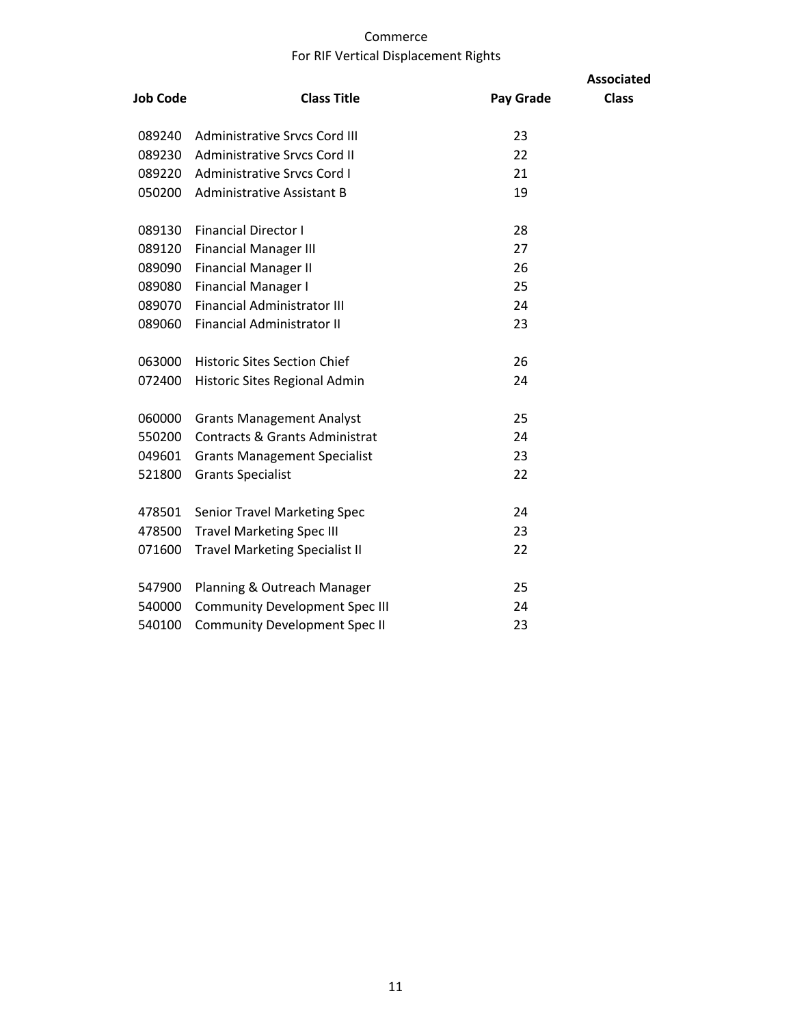#### Commerce For RIF Vertical Displacement Rights

|                 |                                           |           | <b>Associated</b> |
|-----------------|-------------------------------------------|-----------|-------------------|
| <b>Job Code</b> | <b>Class Title</b>                        | Pay Grade | <b>Class</b>      |
| 089240          | Administrative Srvcs Cord III             | 23        |                   |
| 089230          | <b>Administrative Srvcs Cord II</b>       | 22        |                   |
| 089220          | <b>Administrative Srvcs Cord I</b>        | 21        |                   |
| 050200          | <b>Administrative Assistant B</b>         | 19        |                   |
| 089130          | <b>Financial Director I</b>               | 28        |                   |
| 089120          | <b>Financial Manager III</b>              | 27        |                   |
| 089090          | <b>Financial Manager II</b>               | 26        |                   |
| 089080          | <b>Financial Manager I</b>                | 25        |                   |
| 089070          | <b>Financial Administrator III</b>        | 24        |                   |
| 089060          | <b>Financial Administrator II</b>         | 23        |                   |
| 063000          | <b>Historic Sites Section Chief</b>       | 26        |                   |
| 072400          | Historic Sites Regional Admin             | 24        |                   |
| 060000          | <b>Grants Management Analyst</b>          | 25        |                   |
| 550200          | <b>Contracts &amp; Grants Administrat</b> | 24        |                   |
| 049601          | <b>Grants Management Specialist</b>       | 23        |                   |
| 521800          | <b>Grants Specialist</b>                  | 22        |                   |
| 478501          | <b>Senior Travel Marketing Spec</b>       | 24        |                   |
| 478500          | <b>Travel Marketing Spec III</b>          | 23        |                   |
| 071600          | <b>Travel Marketing Specialist II</b>     | 22        |                   |
| 547900          | Planning & Outreach Manager               | 25        |                   |
| 540000          | <b>Community Development Spec III</b>     | 24        |                   |
| 540100          | <b>Community Development Spec II</b>      | 23        |                   |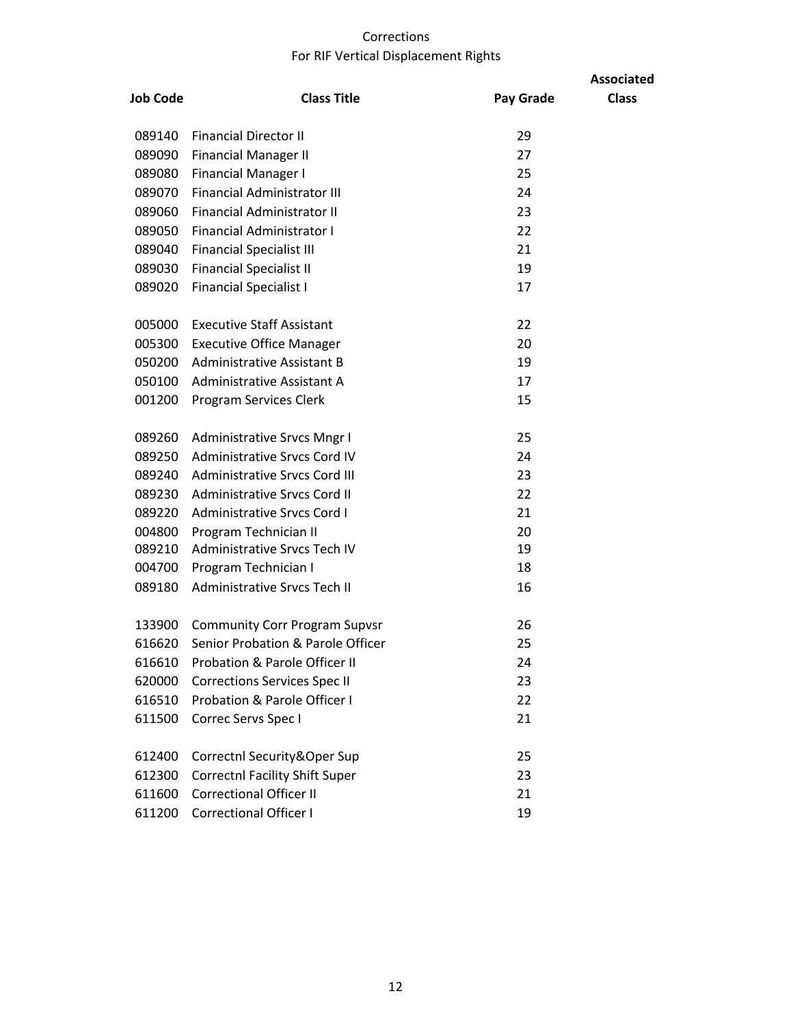## Corrections For RIF Vertical Displacement Rights

|                 |                                          |           | <b>Associated</b> |
|-----------------|------------------------------------------|-----------|-------------------|
| <b>Job Code</b> | <b>Class Title</b>                       | Pay Grade | <b>Class</b>      |
| 089140          | <b>Financial Director II</b>             | 29        |                   |
| 089090          | <b>Financial Manager II</b>              | 27        |                   |
| 089080          | <b>Financial Manager I</b>               | 25        |                   |
| 089070          | <b>Financial Administrator III</b>       | 24        |                   |
| 089060          | Financial Administrator II               | 23        |                   |
| 089050          | <b>Financial Administrator I</b>         | 22        |                   |
| 089040          | <b>Financial Specialist III</b>          | 21        |                   |
| 089030          | <b>Financial Specialist II</b>           | 19        |                   |
| 089020          | <b>Financial Specialist I</b>            | 17        |                   |
| 005000          | <b>Executive Staff Assistant</b>         | 22        |                   |
| 005300          | <b>Executive Office Manager</b>          | 20        |                   |
| 050200          | Administrative Assistant B               | 19        |                   |
| 050100          | Administrative Assistant A               | 17        |                   |
| 001200          | Program Services Clerk                   | 15        |                   |
| 089260          | <b>Administrative Srvcs Mngr I</b>       | 25        |                   |
| 089250          | <b>Administrative Srvcs Cord IV</b>      | 24        |                   |
| 089240          | <b>Administrative Srvcs Cord III</b>     | 23        |                   |
| 089230          | <b>Administrative Srvcs Cord II</b>      | 22        |                   |
| 089220          | <b>Administrative Srvcs Cord I</b>       | 21        |                   |
| 004800          | Program Technician II                    | 20        |                   |
| 089210          | Administrative Srvcs Tech IV             | 19        |                   |
| 004700          | Program Technician I                     | 18        |                   |
| 089180          | <b>Administrative Srvcs Tech II</b>      | 16        |                   |
| 133900          | <b>Community Corr Program Supvsr</b>     | 26        |                   |
| 616620          | Senior Probation & Parole Officer        | 25        |                   |
| 616610          | <b>Probation &amp; Parole Officer II</b> | 24        |                   |
| 620000          | <b>Corrections Services Spec II</b>      | 23        |                   |
| 616510          | <b>Probation &amp; Parole Officer I</b>  | 22        |                   |
| 611500          | Correc Servs Spec I                      | 21        |                   |
| 612400          | Correctnl Security&Oper Sup              | 25        |                   |
| 612300          | <b>Correctnl Facility Shift Super</b>    | 23        |                   |
| 611600          | <b>Correctional Officer II</b>           | 21        |                   |
| 611200          | <b>Correctional Officer I</b>            | 19        |                   |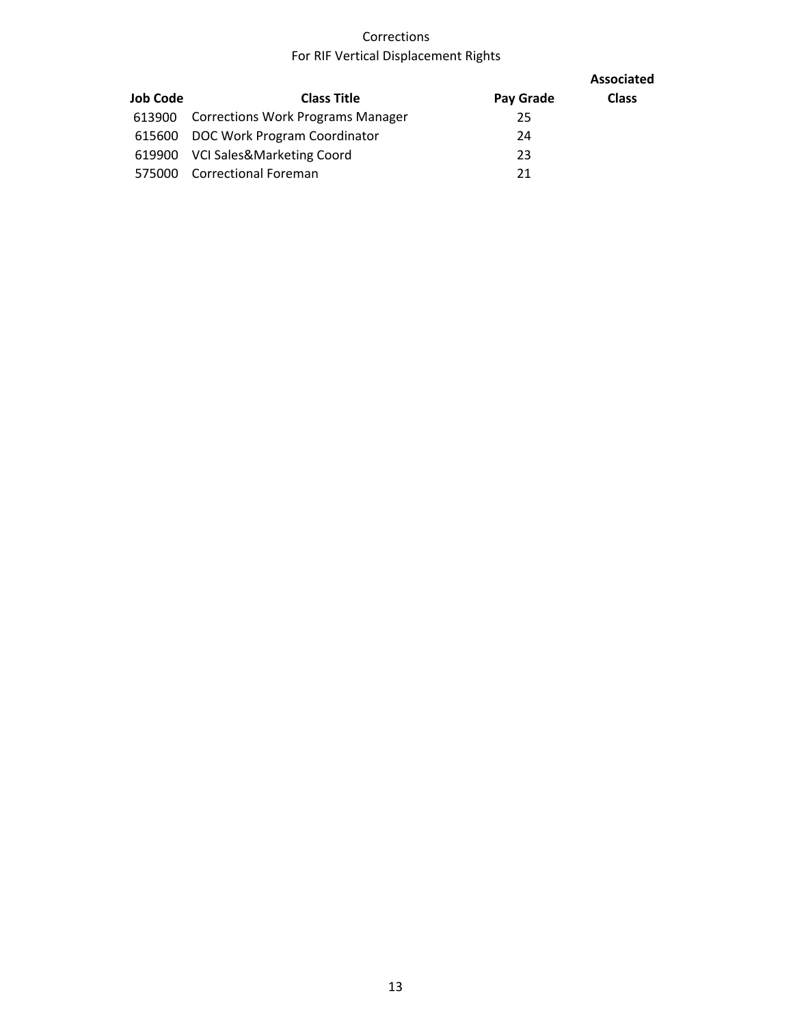## Corrections For RIF Vertical Displacement Rights

|                 |                                          |           | <b>Associated</b> |
|-----------------|------------------------------------------|-----------|-------------------|
| <b>Job Code</b> | <b>Class Title</b>                       | Pay Grade | <b>Class</b>      |
| 613900          | <b>Corrections Work Programs Manager</b> | 25        |                   |
|                 | 615600 DOC Work Program Coordinator      | 24        |                   |
| 619900          | VCI Sales&Marketing Coord                | 23        |                   |
| 575000          | <b>Correctional Foreman</b>              | 21        |                   |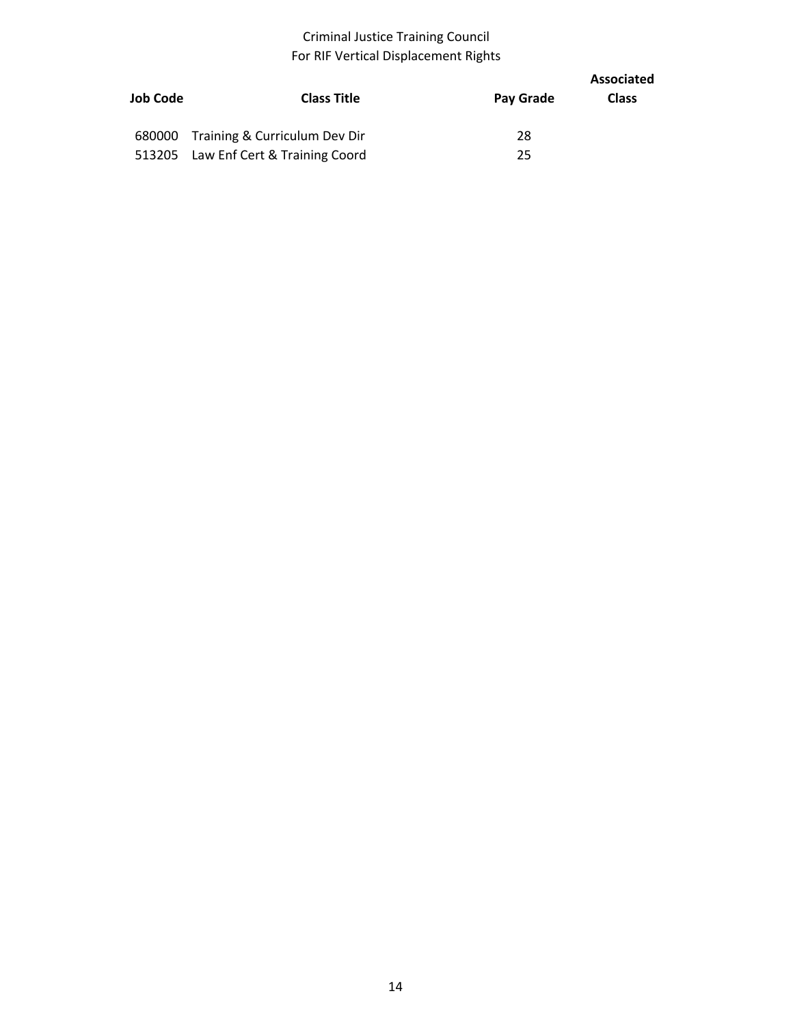## Criminal Justice Training Council For RIF Vertical Displacement Rights

| Job Code | <b>Class Title</b>                   | Pay Grade | Associated<br><b>Class</b> |
|----------|--------------------------------------|-----------|----------------------------|
|          | 680000 Training & Curriculum Dev Dir | 28        |                            |
|          | 513205 Law Enf Cert & Training Coord | 25        |                            |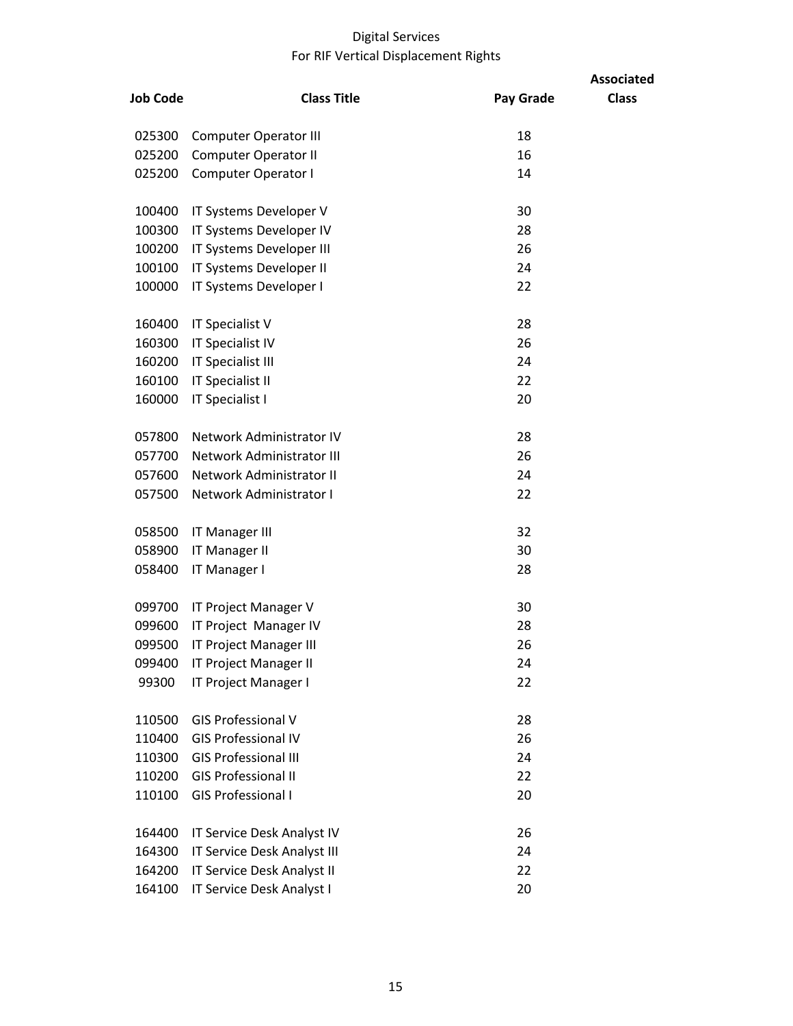## Digital Services For RIF Vertical Displacement Rights

|                 |                              |           | <b>Associated</b> |
|-----------------|------------------------------|-----------|-------------------|
| <b>Job Code</b> | <b>Class Title</b>           | Pay Grade | <b>Class</b>      |
| 025300          | <b>Computer Operator III</b> | 18        |                   |
| 025200          | <b>Computer Operator II</b>  | 16        |                   |
| 025200          | Computer Operator I          | 14        |                   |
| 100400          | IT Systems Developer V       | 30        |                   |
| 100300          | IT Systems Developer IV      | 28        |                   |
| 100200          | IT Systems Developer III     | 26        |                   |
| 100100          | IT Systems Developer II      | 24        |                   |
| 100000          | IT Systems Developer I       | 22        |                   |
| 160400          | IT Specialist V              | 28        |                   |
| 160300          | <b>IT Specialist IV</b>      | 26        |                   |
| 160200          | IT Specialist III            | 24        |                   |
| 160100          | IT Specialist II             | 22        |                   |
| 160000          | IT Specialist I              | 20        |                   |
| 057800          | Network Administrator IV     | 28        |                   |
| 057700          | Network Administrator III    | 26        |                   |
| 057600          | Network Administrator II     | 24        |                   |
| 057500          | Network Administrator I      | 22        |                   |
| 058500          | <b>IT Manager III</b>        | 32        |                   |
| 058900          | <b>IT Manager II</b>         | 30        |                   |
| 058400          | IT Manager I                 | 28        |                   |
| 099700          | IT Project Manager V         | 30        |                   |
| 099600          | IT Project Manager IV        | 28        |                   |
| 099500          | IT Project Manager III       | 26        |                   |
| 099400          | IT Project Manager II        | 24        |                   |
| 99300           | IT Project Manager I         | 22        |                   |
| 110500          | <b>GIS Professional V</b>    | 28        |                   |
| 110400          | <b>GIS Professional IV</b>   | 26        |                   |
| 110300          | <b>GIS Professional III</b>  | 24        |                   |
| 110200          | <b>GIS Professional II</b>   | 22        |                   |
| 110100          | <b>GIS Professional I</b>    | 20        |                   |
| 164400          | IT Service Desk Analyst IV   | 26        |                   |
| 164300          | IT Service Desk Analyst III  | 24        |                   |
| 164200          | IT Service Desk Analyst II   | 22        |                   |
| 164100          | IT Service Desk Analyst I    | 20        |                   |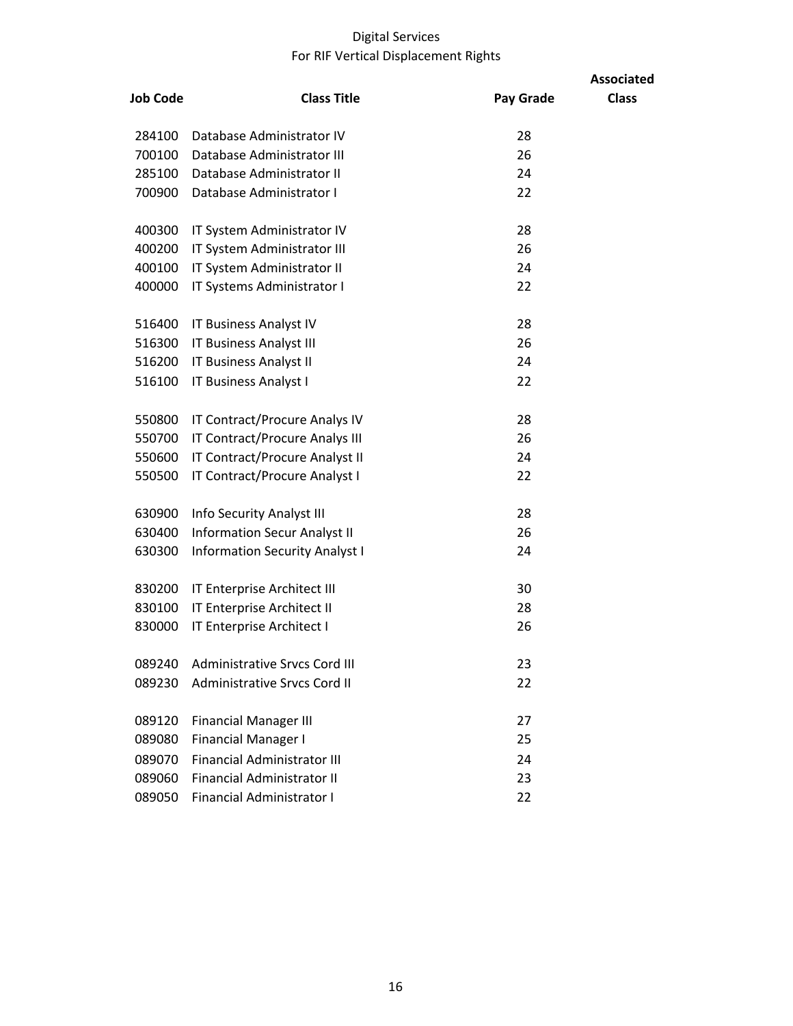## Digital Services For RIF Vertical Displacement Rights

| <b>Job Code</b> | <b>Class Title</b>                    | Pay Grade | <b>Associated</b><br><b>Class</b> |
|-----------------|---------------------------------------|-----------|-----------------------------------|
| 284100          | Database Administrator IV             | 28        |                                   |
| 700100          | Database Administrator III            | 26        |                                   |
| 285100          | Database Administrator II             | 24        |                                   |
| 700900          | Database Administrator I              | 22        |                                   |
| 400300          | IT System Administrator IV            | 28        |                                   |
| 400200          | IT System Administrator III           | 26        |                                   |
| 400100          | IT System Administrator II            | 24        |                                   |
| 400000          | IT Systems Administrator I            | 22        |                                   |
| 516400          | IT Business Analyst IV                | 28        |                                   |
| 516300          | <b>IT Business Analyst III</b>        | 26        |                                   |
| 516200          | IT Business Analyst II                | 24        |                                   |
| 516100          | IT Business Analyst I                 | 22        |                                   |
| 550800          | IT Contract/Procure Analys IV         | 28        |                                   |
| 550700          | IT Contract/Procure Analys III        | 26        |                                   |
| 550600          | IT Contract/Procure Analyst II        | 24        |                                   |
| 550500          | IT Contract/Procure Analyst I         | 22        |                                   |
| 630900          | Info Security Analyst III             | 28        |                                   |
| 630400          | <b>Information Secur Analyst II</b>   | 26        |                                   |
| 630300          | <b>Information Security Analyst I</b> | 24        |                                   |
| 830200          | IT Enterprise Architect III           | 30        |                                   |
| 830100          | IT Enterprise Architect II            | 28        |                                   |
| 830000          | IT Enterprise Architect I             | 26        |                                   |
| 089240          | <b>Administrative Srvcs Cord III</b>  | 23        |                                   |
| 089230          | <b>Administrative Srvcs Cord II</b>   | 22        |                                   |
| 089120          | <b>Financial Manager III</b>          | 27        |                                   |
| 089080          | <b>Financial Manager I</b>            | 25        |                                   |
| 089070          | <b>Financial Administrator III</b>    | 24        |                                   |
| 089060          | <b>Financial Administrator II</b>     | 23        |                                   |
| 089050          | <b>Financial Administrator I</b>      | 22        |                                   |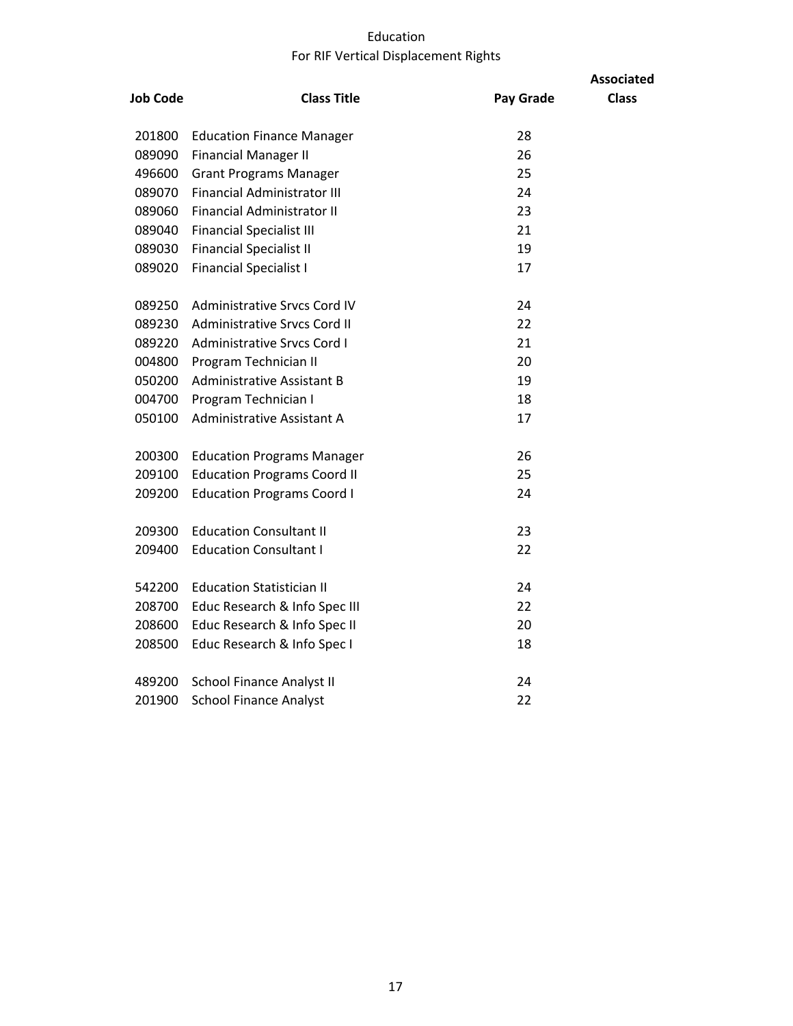## Education For RIF Vertical Displacement Rights

|                 |                                    |                  | <b>Associated</b> |
|-----------------|------------------------------------|------------------|-------------------|
| <b>Job Code</b> | <b>Class Title</b>                 | <b>Pay Grade</b> | <b>Class</b>      |
| 201800          | <b>Education Finance Manager</b>   | 28               |                   |
| 089090          | <b>Financial Manager II</b>        | 26               |                   |
| 496600          | <b>Grant Programs Manager</b>      | 25               |                   |
| 089070          | <b>Financial Administrator III</b> | 24               |                   |
| 089060          | <b>Financial Administrator II</b>  | 23               |                   |
| 089040          | <b>Financial Specialist III</b>    | 21               |                   |
| 089030          | <b>Financial Specialist II</b>     | 19               |                   |
| 089020          | <b>Financial Specialist I</b>      | 17               |                   |
| 089250          | Administrative Srycs Cord IV       | 24               |                   |
| 089230          | Administrative Srvcs Cord II       | 22               |                   |
| 089220          | Administrative Srvcs Cord I        | 21               |                   |
| 004800          | Program Technician II              | 20               |                   |
| 050200          | <b>Administrative Assistant B</b>  | 19               |                   |
| 004700          | Program Technician I               | 18               |                   |
| 050100          | Administrative Assistant A         | 17               |                   |
| 200300          | <b>Education Programs Manager</b>  | 26               |                   |
| 209100          | <b>Education Programs Coord II</b> | 25               |                   |
| 209200          | <b>Education Programs Coord I</b>  | 24               |                   |
| 209300          | <b>Education Consultant II</b>     | 23               |                   |
| 209400          | <b>Education Consultant I</b>      | 22               |                   |
| 542200          | <b>Education Statistician II</b>   | 24               |                   |
| 208700          | Educ Research & Info Spec III      | 22               |                   |
| 208600          | Educ Research & Info Spec II       | 20               |                   |
| 208500          | Educ Research & Info Spec I        | 18               |                   |
| 489200          | <b>School Finance Analyst II</b>   | 24               |                   |
| 201900          | <b>School Finance Analyst</b>      | 22               |                   |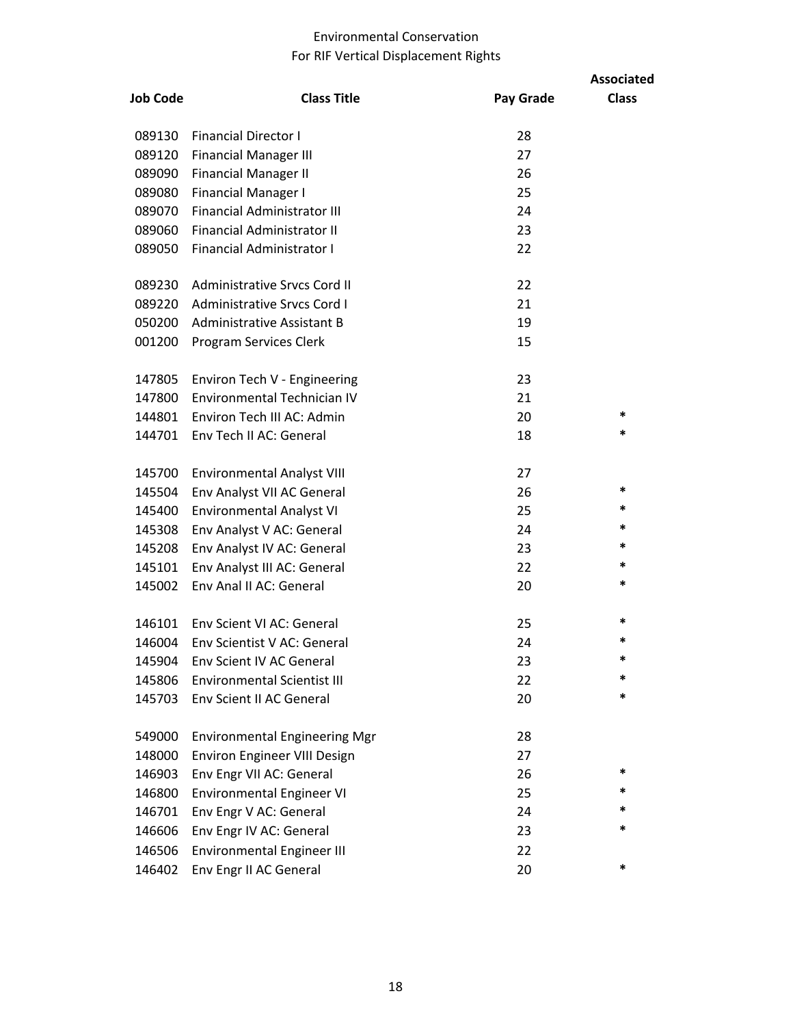#### Environmental Conservation For RIF Vertical Displacement Rights

| <b>Job Code</b> | <b>Class Title</b>                   | Pay Grade | <b>Associated</b><br><b>Class</b> |
|-----------------|--------------------------------------|-----------|-----------------------------------|
| 089130          | <b>Financial Director I</b>          | 28        |                                   |
| 089120          | <b>Financial Manager III</b>         | 27        |                                   |
| 089090          | <b>Financial Manager II</b>          | 26        |                                   |
| 089080          | <b>Financial Manager I</b>           | 25        |                                   |
| 089070          | <b>Financial Administrator III</b>   | 24        |                                   |
| 089060          | <b>Financial Administrator II</b>    | 23        |                                   |
| 089050          | <b>Financial Administrator I</b>     | 22        |                                   |
| 089230          | Administrative Srvcs Cord II         | 22        |                                   |
| 089220          | <b>Administrative Srvcs Cord I</b>   | 21        |                                   |
| 050200          | Administrative Assistant B           | 19        |                                   |
| 001200          | Program Services Clerk               | 15        |                                   |
| 147805          | Environ Tech V - Engineering         | 23        |                                   |
| 147800          | Environmental Technician IV          | 21        |                                   |
| 144801          | Environ Tech III AC: Admin           | 20        | *                                 |
| 144701          | Env Tech II AC: General              | 18        | *                                 |
| 145700          | <b>Environmental Analyst VIII</b>    | 27        |                                   |
| 145504          | Env Analyst VII AC General           | 26        | *                                 |
| 145400          | <b>Environmental Analyst VI</b>      | 25        | *                                 |
| 145308          | Env Analyst V AC: General            | 24        | *                                 |
| 145208          | Env Analyst IV AC: General           | 23        | *                                 |
| 145101          | Env Analyst III AC: General          | 22        | *                                 |
| 145002          | Env Anal II AC: General              | 20        | *                                 |
| 146101          | Env Scient VI AC: General            | 25        | $\ast$                            |
| 146004          | Env Scientist V AC: General          | 24        | *                                 |
| 145904          | Env Scient IV AC General             | 23        | *                                 |
| 145806          | <b>Environmental Scientist III</b>   | 22        | *                                 |
| 145703          | Env Scient II AC General             | 20        | *                                 |
| 549000          | <b>Environmental Engineering Mgr</b> | 28        |                                   |
| 148000          | Environ Engineer VIII Design         | 27        |                                   |
| 146903          | Env Engr VII AC: General             | 26        | *                                 |
| 146800          | Environmental Engineer VI            | 25        | *                                 |
| 146701          | Env Engr V AC: General               | 24        | *                                 |
| 146606          | Env Engr IV AC: General              | 23        | *                                 |
| 146506          | <b>Environmental Engineer III</b>    | 22        |                                   |
| 146402          | Env Engr II AC General               | 20        | *                                 |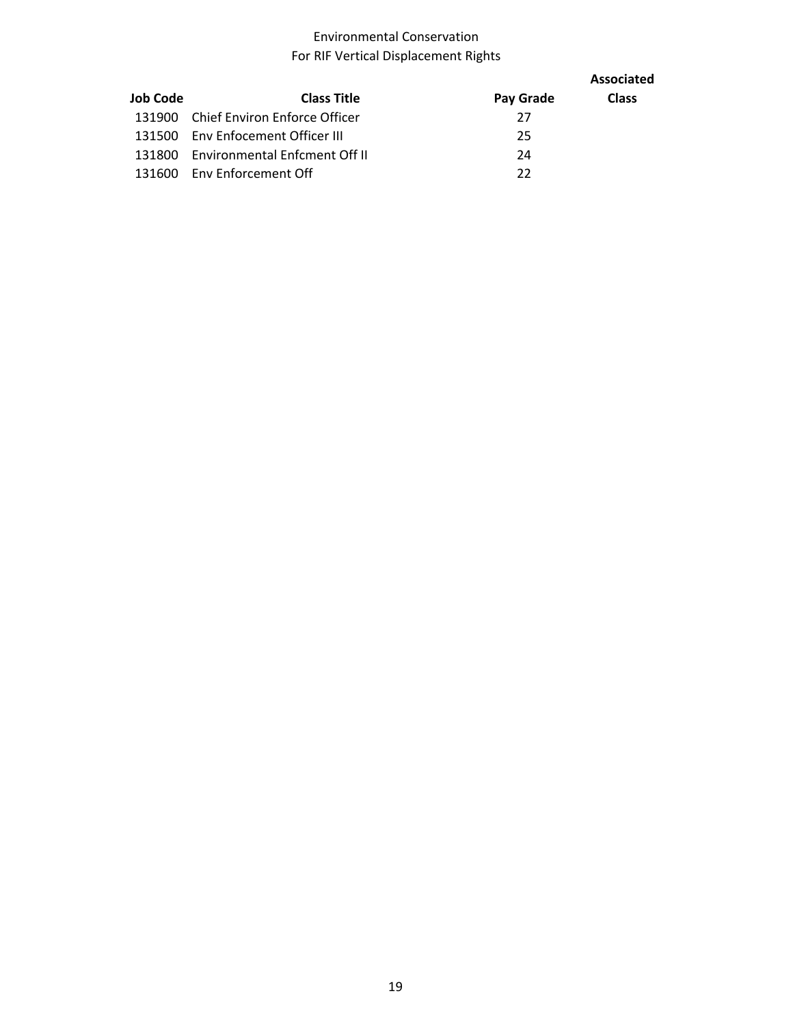#### Environmental Conservation For RIF Vertical Displacement Rights

|          |                                      |           | Associated   |
|----------|--------------------------------------|-----------|--------------|
| Job Code | <b>Class Title</b>                   | Pay Grade | <b>Class</b> |
| 131900   | Chief Environ Enforce Officer        | 27        |              |
| 131500   | Env Enfocement Officer III           | 25        |              |
| 131800   | <b>Environmental Enfcment Off II</b> | 24        |              |
| 131600   | Env Enforcement Off                  | 22        |              |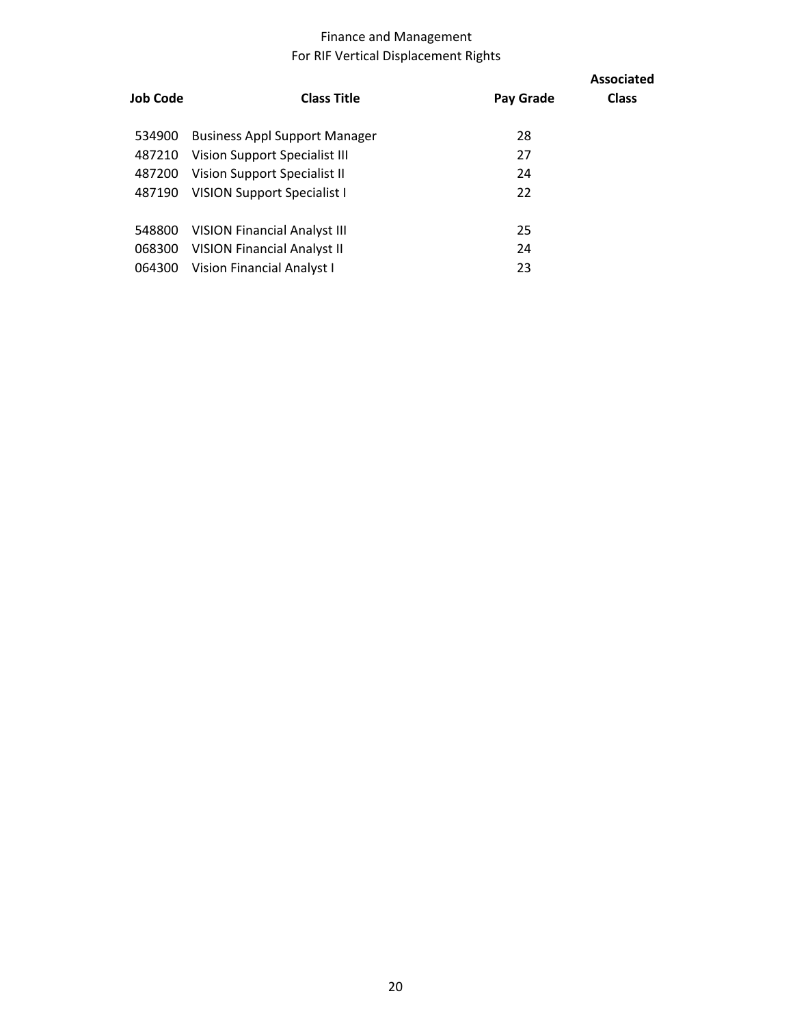## Finance and Management For RIF Vertical Displacement Rights

| Job Code | <b>Class Title</b>                   | Pay Grade | <b>Associated</b><br><b>Class</b> |
|----------|--------------------------------------|-----------|-----------------------------------|
| 534900   | <b>Business Appl Support Manager</b> | 28        |                                   |
| 487210   | <b>Vision Support Specialist III</b> | 27        |                                   |
| 487200   | Vision Support Specialist II         | 24        |                                   |
| 487190   | <b>VISION Support Specialist I</b>   | 22        |                                   |
|          |                                      |           |                                   |
| 548800   | <b>VISION Financial Analyst III</b>  | 25        |                                   |
| 068300   | <b>VISION Financial Analyst II</b>   | 24        |                                   |
| 064300   | Vision Financial Analyst I           | 23        |                                   |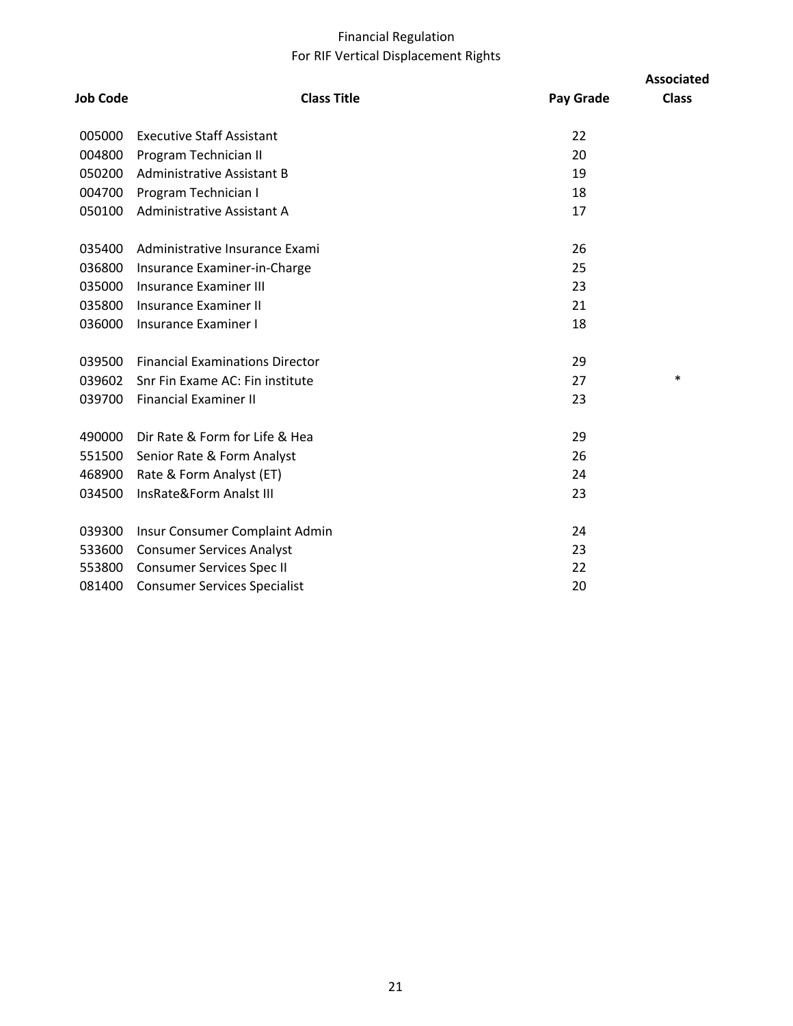## Financial Regulation For RIF Vertical Displacement Rights

| <b>Job Code</b> | <b>Class Title</b>                     | Pay Grade | <b>Associated</b><br><b>Class</b> |
|-----------------|----------------------------------------|-----------|-----------------------------------|
| 005000          | <b>Executive Staff Assistant</b>       | 22        |                                   |
| 004800          | Program Technician II                  | 20        |                                   |
| 050200          | Administrative Assistant B             | 19        |                                   |
| 004700          | Program Technician I                   | 18        |                                   |
| 050100          | Administrative Assistant A             | 17        |                                   |
| 035400          | Administrative Insurance Exami         | 26        |                                   |
| 036800          | Insurance Examiner-in-Charge           | 25        |                                   |
| 035000          | <b>Insurance Examiner III</b>          | 23        |                                   |
| 035800          | <b>Insurance Examiner II</b>           | 21        |                                   |
| 036000          | <b>Insurance Examiner I</b>            | 18        |                                   |
| 039500          | <b>Financial Examinations Director</b> | 29        |                                   |
|                 | 039602 Snr Fin Exame AC: Fin institute | 27        | $\ast$                            |
|                 | 039700 Financial Examiner II           | 23        |                                   |
| 490000          | Dir Rate & Form for Life & Hea         | 29        |                                   |
|                 | 551500 Senior Rate & Form Analyst      | 26        |                                   |
| 468900          | Rate & Form Analyst (ET)               | 24        |                                   |
| 034500          | InsRate&Form Analst III                | 23        |                                   |
| 039300          | Insur Consumer Complaint Admin         | 24        |                                   |
| 533600          | <b>Consumer Services Analyst</b>       | 23        |                                   |
| 553800          | Consumer Services Spec II              | 22        |                                   |
| 081400          | <b>Consumer Services Specialist</b>    | 20        |                                   |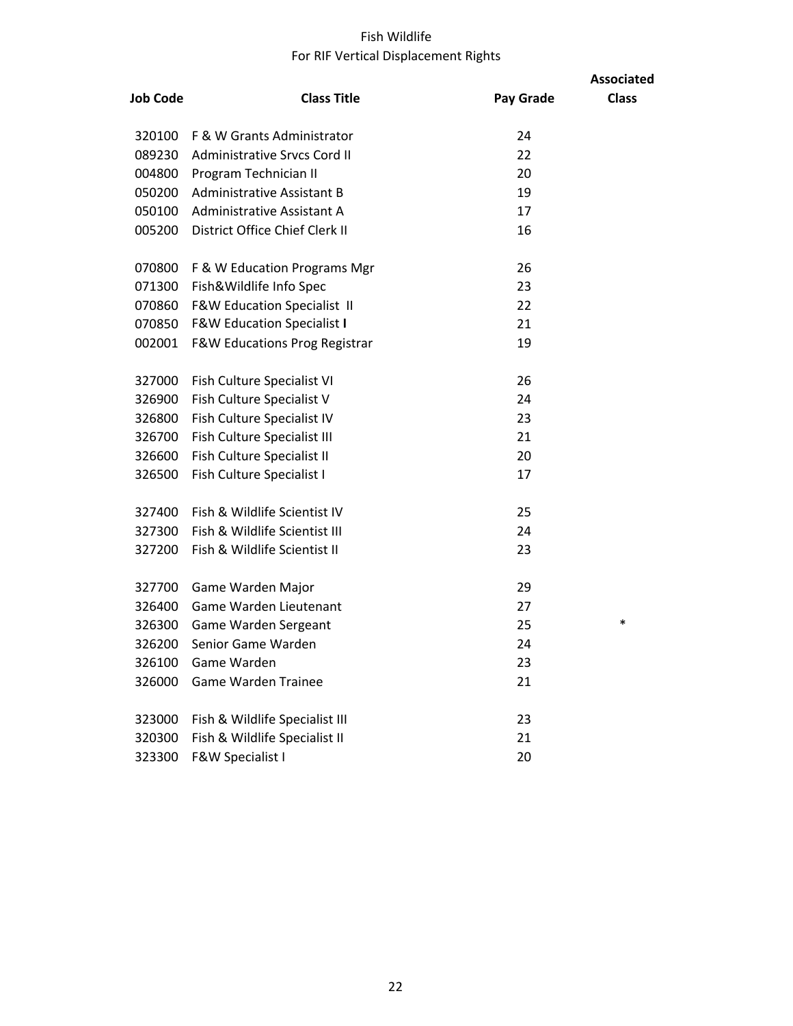## Fish Wildlife For RIF Vertical Displacement Rights

|                 |                                          |           | <b>Associated</b> |
|-----------------|------------------------------------------|-----------|-------------------|
| <b>Job Code</b> | <b>Class Title</b>                       | Pay Grade | <b>Class</b>      |
| 320100          | F & W Grants Administrator               | 24        |                   |
| 089230          | Administrative Srvcs Cord II             | 22        |                   |
| 004800          | Program Technician II                    | 20        |                   |
| 050200          | <b>Administrative Assistant B</b>        | 19        |                   |
| 050100          | Administrative Assistant A               | 17        |                   |
| 005200          | District Office Chief Clerk II           | 16        |                   |
| 070800          | F & W Education Programs Mgr             | 26        |                   |
| 071300          | Fish&Wildlife Info Spec                  | 23        |                   |
| 070860          | <b>F&amp;W Education Specialist II</b>   | 22        |                   |
| 070850          | <b>F&amp;W Education Specialist I</b>    | 21        |                   |
| 002001          | <b>F&amp;W Educations Prog Registrar</b> | 19        |                   |
| 327000          | Fish Culture Specialist VI               | 26        |                   |
| 326900          | Fish Culture Specialist V                | 24        |                   |
| 326800          | Fish Culture Specialist IV               | 23        |                   |
| 326700          | Fish Culture Specialist III              | 21        |                   |
| 326600          | Fish Culture Specialist II               | 20        |                   |
| 326500          | Fish Culture Specialist I                | 17        |                   |
| 327400          | Fish & Wildlife Scientist IV             | 25        |                   |
| 327300          | Fish & Wildlife Scientist III            | 24        |                   |
| 327200          | Fish & Wildlife Scientist II             | 23        |                   |
| 327700          | Game Warden Major                        | 29        |                   |
| 326400          | Game Warden Lieutenant                   | 27        |                   |
| 326300          | Game Warden Sergeant                     | 25        | $\ast$            |
| 326200          | Senior Game Warden                       | 24        |                   |
| 326100          | Game Warden                              | 23        |                   |
| 326000          | <b>Game Warden Trainee</b>               | 21        |                   |
| 323000          | Fish & Wildlife Specialist III           | 23        |                   |
| 320300          | Fish & Wildlife Specialist II            | 21        |                   |
| 323300          | F&W Specialist I                         | 20        |                   |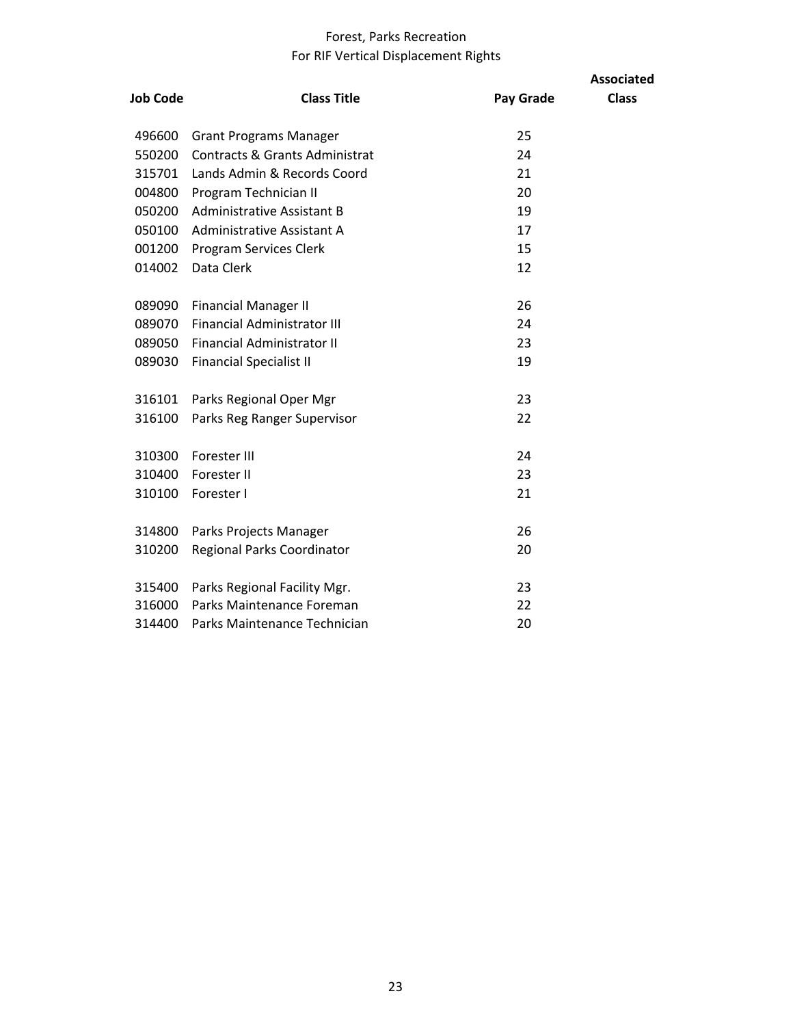## Forest, Parks Recreation For RIF Vertical Displacement Rights

| <b>Job Code</b> | <b>Class Title</b>                        | Pay Grade | <b>Associated</b><br><b>Class</b> |
|-----------------|-------------------------------------------|-----------|-----------------------------------|
| 496600          | <b>Grant Programs Manager</b>             | 25        |                                   |
| 550200          | <b>Contracts &amp; Grants Administrat</b> | 24        |                                   |
| 315701          | Lands Admin & Records Coord               | 21        |                                   |
| 004800          | Program Technician II                     | 20        |                                   |
| 050200          | <b>Administrative Assistant B</b>         | 19        |                                   |
| 050100          | Administrative Assistant A                | 17        |                                   |
| 001200          | Program Services Clerk                    | 15        |                                   |
| 014002          | Data Clerk                                | 12        |                                   |
|                 |                                           |           |                                   |
| 089090          | <b>Financial Manager II</b>               | 26        |                                   |
| 089070          | <b>Financial Administrator III</b>        | 24        |                                   |
| 089050          | <b>Financial Administrator II</b>         | 23        |                                   |
| 089030          | <b>Financial Specialist II</b>            | 19        |                                   |
|                 |                                           |           |                                   |
| 316101          | Parks Regional Oper Mgr                   | 23        |                                   |
| 316100          | Parks Reg Ranger Supervisor               | 22        |                                   |
|                 |                                           |           |                                   |
| 310300          | Forester III                              | 24        |                                   |
| 310400          | Forester II                               | 23        |                                   |
| 310100          | Forester I                                | 21        |                                   |
| 314800          | Parks Projects Manager                    | 26        |                                   |
|                 |                                           | 20        |                                   |
| 310200          | <b>Regional Parks Coordinator</b>         |           |                                   |
| 315400          | Parks Regional Facility Mgr.              | 23        |                                   |
| 316000          | Parks Maintenance Foreman                 | 22        |                                   |
| 314400          | Parks Maintenance Technician              | 20        |                                   |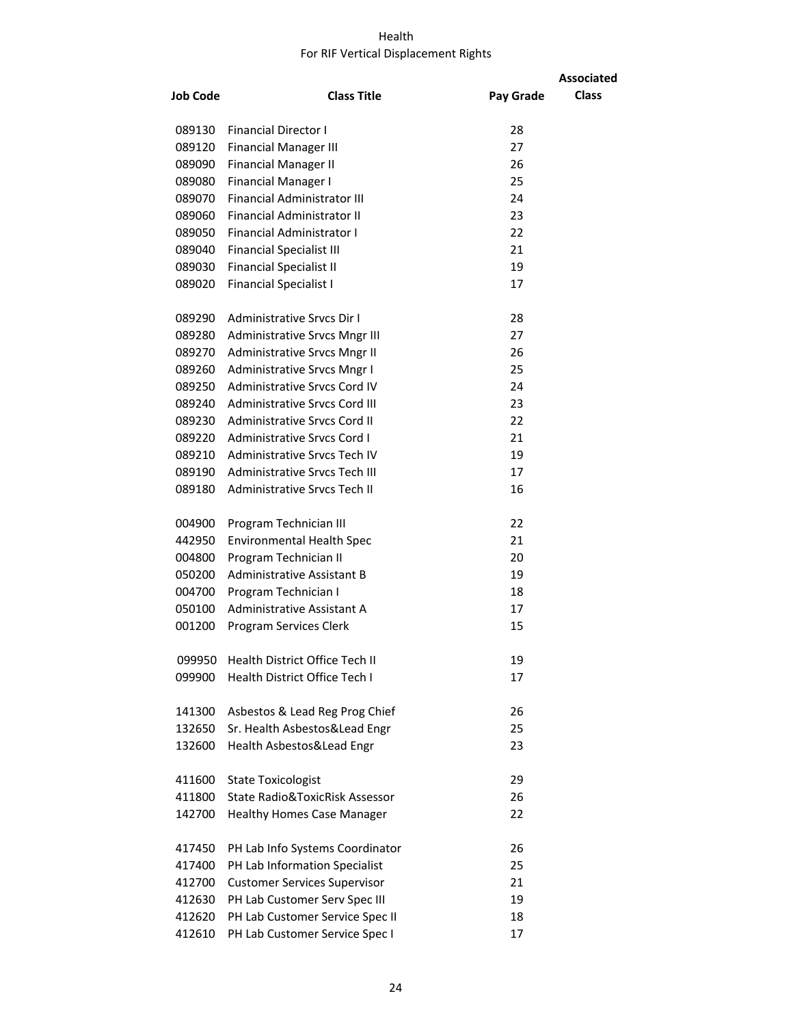#### Health For RIF Vertical Displacement Rights

|                 |                                      |           | <b>Associated</b> |
|-----------------|--------------------------------------|-----------|-------------------|
| <b>Job Code</b> | <b>Class Title</b>                   | Pay Grade | <b>Class</b>      |
|                 |                                      |           |                   |
| 089130          | <b>Financial Director I</b>          | 28        |                   |
| 089120          | <b>Financial Manager III</b>         | 27        |                   |
| 089090          | <b>Financial Manager II</b>          | 26        |                   |
| 089080          | <b>Financial Manager I</b>           | 25        |                   |
| 089070          | <b>Financial Administrator III</b>   | 24        |                   |
| 089060          | Financial Administrator II           | 23        |                   |
| 089050          | Financial Administrator I            | 22        |                   |
| 089040          | <b>Financial Specialist III</b>      | 21        |                   |
| 089030          | <b>Financial Specialist II</b>       | 19        |                   |
| 089020          | <b>Financial Specialist I</b>        | 17        |                   |
| 089290          | Administrative Srvcs Dir I           | 28        |                   |
| 089280          | Administrative Srvcs Mngr III        | 27        |                   |
| 089270          | Administrative Srvcs Mngr II         | 26        |                   |
| 089260          | Administrative Srvcs Mngr I          | 25        |                   |
| 089250          | Administrative Srvcs Cord IV         | 24        |                   |
| 089240          | Administrative Srvcs Cord III        | 23        |                   |
| 089230          | Administrative Srvcs Cord II         | 22        |                   |
| 089220          | Administrative Srvcs Cord I          | 21        |                   |
| 089210          | <b>Administrative Srvcs Tech IV</b>  | 19        |                   |
| 089190          | <b>Administrative Srvcs Tech III</b> | 17        |                   |
| 089180          | Administrative Srvcs Tech II         | 16        |                   |
| 004900          | Program Technician III               | 22        |                   |
| 442950          | <b>Environmental Health Spec</b>     | 21        |                   |
| 004800          | Program Technician II                | 20        |                   |
| 050200          | Administrative Assistant B           | 19        |                   |
| 004700          | Program Technician I                 | 18        |                   |
| 050100          | Administrative Assistant A           | 17        |                   |
| 001200          | Program Services Clerk               | 15        |                   |
| 099950          | Health District Office Tech II       | 19        |                   |
| 099900          | Health District Office Tech I        | 17        |                   |
| 141300          | Asbestos & Lead Reg Prog Chief       | 26        |                   |
| 132650          | Sr. Health Asbestos&Lead Engr        | 25        |                   |
| 132600          | Health Asbestos&Lead Engr            | 23        |                   |
| 411600          | <b>State Toxicologist</b>            | 29        |                   |
| 411800          | State Radio&ToxicRisk Assessor       | 26        |                   |
| 142700          | <b>Healthy Homes Case Manager</b>    | 22        |                   |
| 417450          | PH Lab Info Systems Coordinator      | 26        |                   |
| 417400          | PH Lab Information Specialist        | 25        |                   |
| 412700          | <b>Customer Services Supervisor</b>  | 21        |                   |
| 412630          | PH Lab Customer Serv Spec III        | 19        |                   |
| 412620          | PH Lab Customer Service Spec II      | 18        |                   |
| 412610          | PH Lab Customer Service Spec I       | 17        |                   |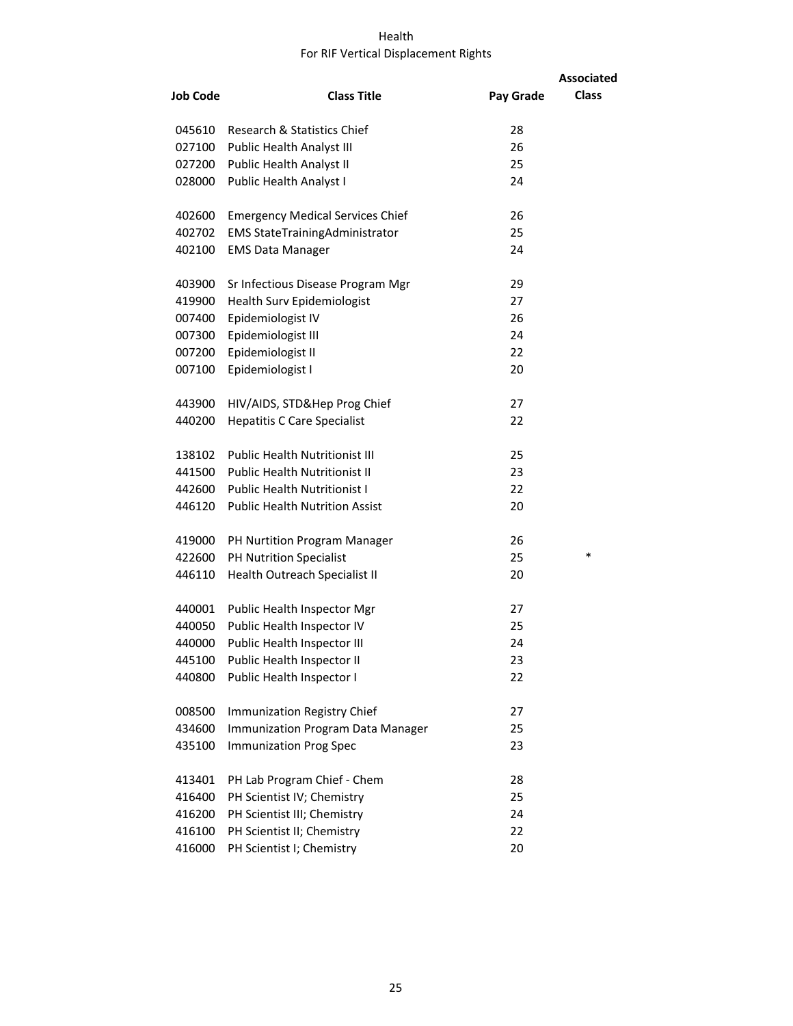#### Health For RIF Vertical Displacement Rights

|                 |                                         |           | <b>Associated</b> |
|-----------------|-----------------------------------------|-----------|-------------------|
| <b>Job Code</b> | <b>Class Title</b>                      | Pay Grade | <b>Class</b>      |
| 045610          | Research & Statistics Chief             | 28        |                   |
| 027100          | Public Health Analyst III               | 26        |                   |
| 027200          | Public Health Analyst II                | 25        |                   |
| 028000          | Public Health Analyst I                 | 24        |                   |
| 402600          | <b>Emergency Medical Services Chief</b> | 26        |                   |
| 402702          | <b>EMS StateTrainingAdministrator</b>   | 25        |                   |
| 402100          | <b>EMS Data Manager</b>                 | 24        |                   |
| 403900          | Sr Infectious Disease Program Mgr       | 29        |                   |
| 419900          | Health Surv Epidemiologist              | 27        |                   |
| 007400          | Epidemiologist IV                       | 26        |                   |
| 007300          | Epidemiologist III                      | 24        |                   |
| 007200          | Epidemiologist II                       | 22        |                   |
| 007100          | Epidemiologist I                        | 20        |                   |
| 443900          | HIV/AIDS, STD&Hep Prog Chief            | 27        |                   |
| 440200          | <b>Hepatitis C Care Specialist</b>      | 22        |                   |
| 138102          | <b>Public Health Nutritionist III</b>   | 25        |                   |
| 441500          | <b>Public Health Nutritionist II</b>    | 23        |                   |
| 442600          | <b>Public Health Nutritionist I</b>     | 22        |                   |
| 446120          | <b>Public Health Nutrition Assist</b>   | 20        |                   |
| 419000          | PH Nurtition Program Manager            | 26        |                   |
| 422600          | PH Nutrition Specialist                 | 25        | *                 |
| 446110          | Health Outreach Specialist II           | 20        |                   |
| 440001          | Public Health Inspector Mgr             | 27        |                   |
| 440050          | Public Health Inspector IV              | 25        |                   |
| 440000          | Public Health Inspector III             | 24        |                   |
| 445100          | Public Health Inspector II              | 23        |                   |
| 440800          | Public Health Inspector I               | 22        |                   |
| 008500          | Immunization Registry Chief             | 27        |                   |
| 434600          | Immunization Program Data Manager       | 25        |                   |
| 435100          | <b>Immunization Prog Spec</b>           | 23        |                   |
| 413401          | PH Lab Program Chief - Chem             | 28        |                   |
| 416400          | PH Scientist IV; Chemistry              | 25        |                   |
| 416200          | PH Scientist III; Chemistry             | 24        |                   |
| 416100          | PH Scientist II; Chemistry              | 22        |                   |
| 416000          | PH Scientist I; Chemistry               | 20        |                   |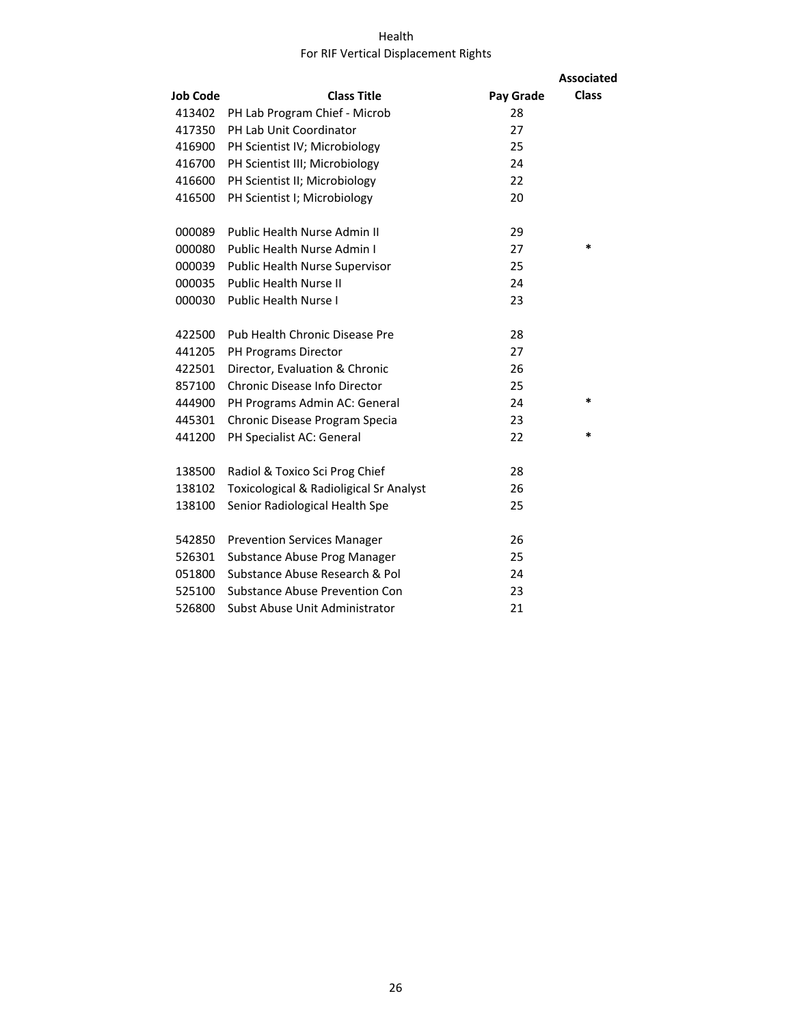#### Health For RIF Vertical Displacement Rights

|                 |                                                    |           | <b>Associated</b> |
|-----------------|----------------------------------------------------|-----------|-------------------|
| <b>Job Code</b> | <b>Class Title</b>                                 | Pay Grade | <b>Class</b>      |
| 413402          | PH Lab Program Chief - Microb                      | 28        |                   |
| 417350          | PH Lab Unit Coordinator                            | 27        |                   |
| 416900          | PH Scientist IV; Microbiology                      | 25        |                   |
| 416700          | PH Scientist III; Microbiology                     | 24        |                   |
| 416600          | PH Scientist II; Microbiology                      | 22        |                   |
| 416500          | PH Scientist I; Microbiology                       | 20        |                   |
| 000089          | Public Health Nurse Admin II                       | 29        |                   |
| 000080          | Public Health Nurse Admin I                        | 27        | *                 |
| 000039          | Public Health Nurse Supervisor                     | 25        |                   |
| 000035          | <b>Public Health Nurse II</b>                      | 24        |                   |
| 000030          | <b>Public Health Nurse I</b>                       | 23        |                   |
| 422500          | Pub Health Chronic Disease Pre                     | 28        |                   |
| 441205          | PH Programs Director                               | 27        |                   |
| 422501          | Director, Evaluation & Chronic                     | 26        |                   |
| 857100          | Chronic Disease Info Director                      | 25        |                   |
| 444900          | PH Programs Admin AC: General                      | 24        | *                 |
| 445301          | Chronic Disease Program Specia                     | 23        |                   |
| 441200          | PH Specialist AC: General                          | 22        | $\ast$            |
| 138500          | Radiol & Toxico Sci Prog Chief                     | 28        |                   |
| 138102          | <b>Toxicological &amp; Radioligical Sr Analyst</b> | 26        |                   |
| 138100          | Senior Radiological Health Spe                     | 25        |                   |
| 542850          | <b>Prevention Services Manager</b>                 | 26        |                   |
| 526301          | Substance Abuse Prog Manager                       | 25        |                   |
| 051800          | Substance Abuse Research & Pol                     | 24        |                   |
| 525100          | <b>Substance Abuse Prevention Con</b>              | 23        |                   |
| 526800          | Subst Abuse Unit Administrator                     | 21        |                   |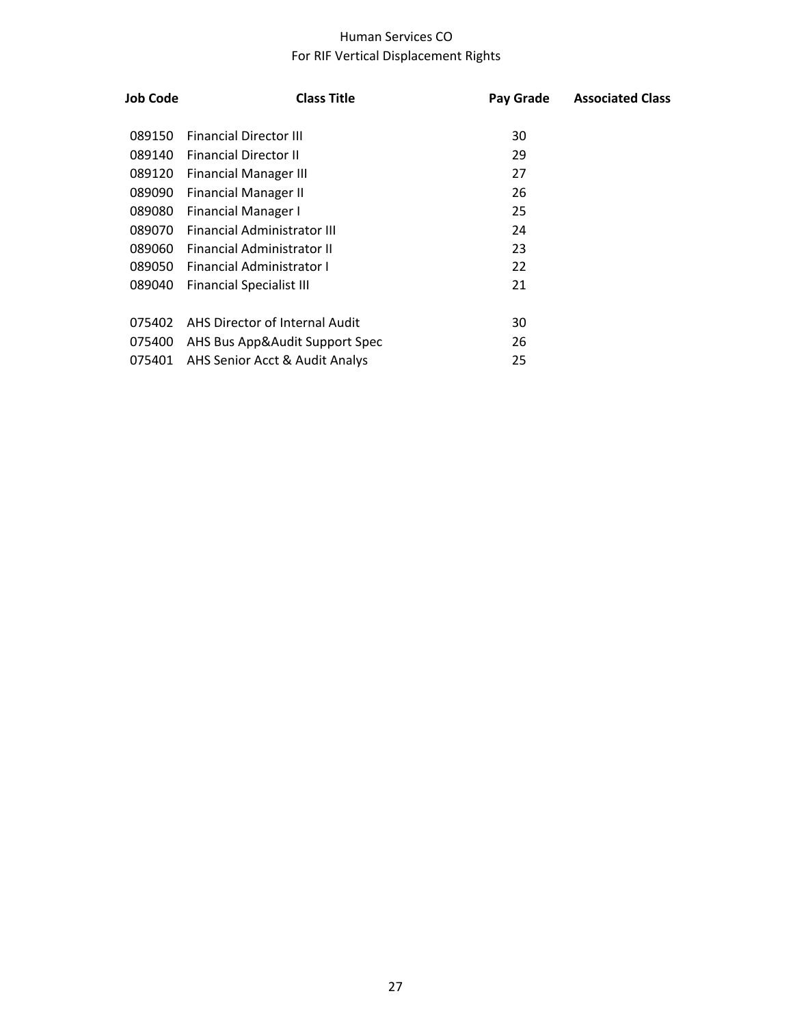## Human Services CO For RIF Vertical Displacement Rights

| <b>Job Code</b> | <b>Class Title</b>              | Pay Grade | <b>Associated Class</b> |
|-----------------|---------------------------------|-----------|-------------------------|
| 089150          | <b>Financial Director III</b>   | 30        |                         |
| 089140          | <b>Financial Director II</b>    | 29        |                         |
| 089120          | <b>Financial Manager III</b>    | 27        |                         |
| 089090          | <b>Financial Manager II</b>     | 26        |                         |
| 089080          | <b>Financial Manager I</b>      | 25        |                         |
| 089070          | Financial Administrator III     | 24        |                         |
| 089060          | Financial Administrator II      | 23        |                         |
| 089050          | Financial Administrator I       | 22        |                         |
| 089040          | <b>Financial Specialist III</b> | 21        |                         |
|                 |                                 |           |                         |
| 075402          | AHS Director of Internal Audit  | 30        |                         |
| 075400          | AHS Bus App&Audit Support Spec  | 26        |                         |
| 075401          | AHS Senior Acct & Audit Analys  | 25        |                         |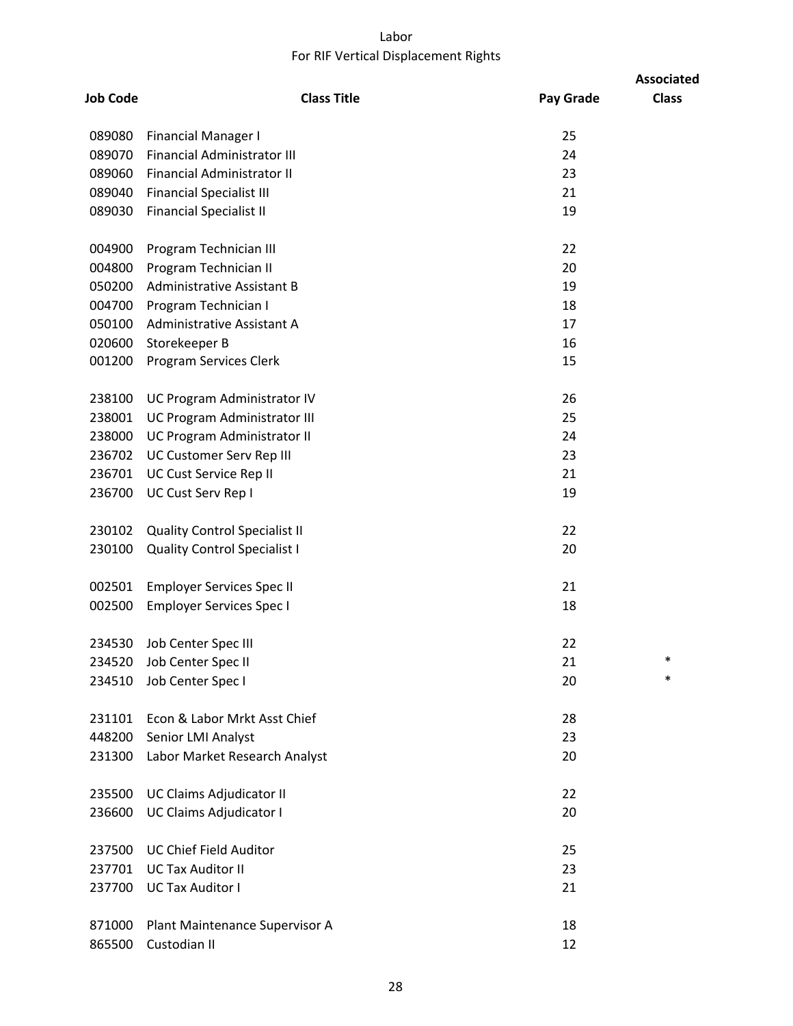## Labor For RIF Vertical Displacement Rights

|                 |                                      |           | <b>Associated</b> |
|-----------------|--------------------------------------|-----------|-------------------|
| <b>Job Code</b> | <b>Class Title</b>                   | Pay Grade | <b>Class</b>      |
| 089080          | <b>Financial Manager I</b>           | 25        |                   |
| 089070          | <b>Financial Administrator III</b>   | 24        |                   |
| 089060          | Financial Administrator II           | 23        |                   |
| 089040          | <b>Financial Specialist III</b>      | 21        |                   |
| 089030          | <b>Financial Specialist II</b>       | 19        |                   |
| 004900          | Program Technician III               | 22        |                   |
| 004800          | Program Technician II                | 20        |                   |
| 050200          | <b>Administrative Assistant B</b>    | 19        |                   |
| 004700          | Program Technician I                 | 18        |                   |
| 050100          | Administrative Assistant A           | 17        |                   |
| 020600          | Storekeeper B                        | 16        |                   |
| 001200          | Program Services Clerk               | 15        |                   |
| 238100          | UC Program Administrator IV          | 26        |                   |
| 238001          | UC Program Administrator III         | 25        |                   |
| 238000          | UC Program Administrator II          | 24        |                   |
| 236702          | UC Customer Serv Rep III             | 23        |                   |
| 236701          | UC Cust Service Rep II               | 21        |                   |
| 236700          | UC Cust Serv Rep I                   | 19        |                   |
| 230102          | <b>Quality Control Specialist II</b> | 22        |                   |
| 230100          | <b>Quality Control Specialist I</b>  | 20        |                   |
| 002501          | <b>Employer Services Spec II</b>     | 21        |                   |
| 002500          | <b>Employer Services Spec I</b>      | 18        |                   |
| 234530          | Job Center Spec III                  | 22        |                   |
| 234520          | Job Center Spec II                   | 21        | $\ast$            |
| 234510          | Job Center Spec I                    | 20        | $\ast$            |
| 231101          | Econ & Labor Mrkt Asst Chief         | 28        |                   |
| 448200          | Senior LMI Analyst                   | 23        |                   |
| 231300          | Labor Market Research Analyst        | 20        |                   |
| 235500          | UC Claims Adjudicator II             | 22        |                   |
| 236600          | UC Claims Adjudicator I              | 20        |                   |
| 237500          | <b>UC Chief Field Auditor</b>        | 25        |                   |
| 237701          | <b>UC Tax Auditor II</b>             | 23        |                   |
| 237700          | <b>UC Tax Auditor I</b>              | 21        |                   |
| 871000          | Plant Maintenance Supervisor A       | 18        |                   |
| 865500          | Custodian II                         | 12        |                   |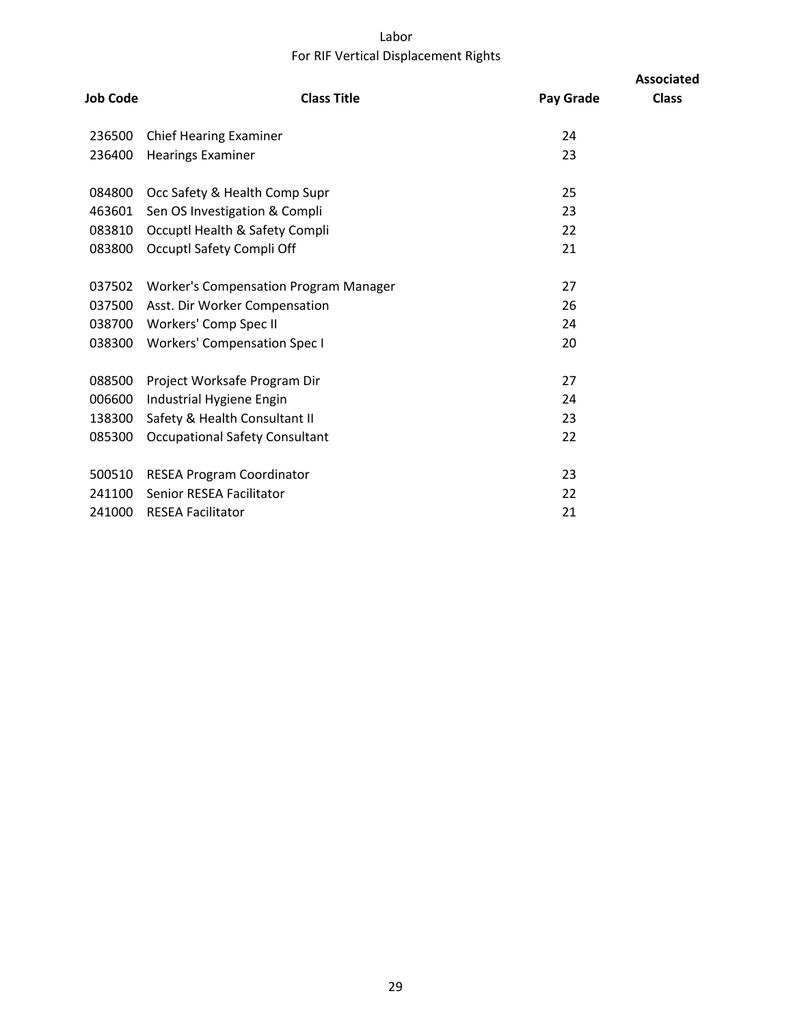## Labor For RIF Vertical Displacement Rights

|                 |                                              |           | <b>Associated</b> |
|-----------------|----------------------------------------------|-----------|-------------------|
| <b>Job Code</b> | <b>Class Title</b>                           | Pay Grade | <b>Class</b>      |
| 236500          | <b>Chief Hearing Examiner</b>                | 24        |                   |
| 236400          | <b>Hearings Examiner</b>                     | 23        |                   |
| 084800          | Occ Safety & Health Comp Supr                | 25        |                   |
| 463601          | Sen OS Investigation & Compli                | 23        |                   |
| 083810          | Occuptl Health & Safety Compli               | 22        |                   |
| 083800          | Occuptl Safety Compli Off                    | 21        |                   |
| 037502          | <b>Worker's Compensation Program Manager</b> | 27        |                   |
|                 | 037500 Asst. Dir Worker Compensation         | 26        |                   |
| 038700          | Workers' Comp Spec II                        | 24        |                   |
| 038300          | <b>Workers' Compensation Spec I</b>          | 20        |                   |
| 088500          | Project Worksafe Program Dir                 | 27        |                   |
| 006600          | Industrial Hygiene Engin                     | 24        |                   |
| 138300          | Safety & Health Consultant II                | 23        |                   |
| 085300          | <b>Occupational Safety Consultant</b>        | 22        |                   |
| 500510          | <b>RESEA Program Coordinator</b>             | 23        |                   |
| 241100          | Senior RESEA Facilitator                     | 22        |                   |
| 241000          | <b>RESEA Facilitator</b>                     | 21        |                   |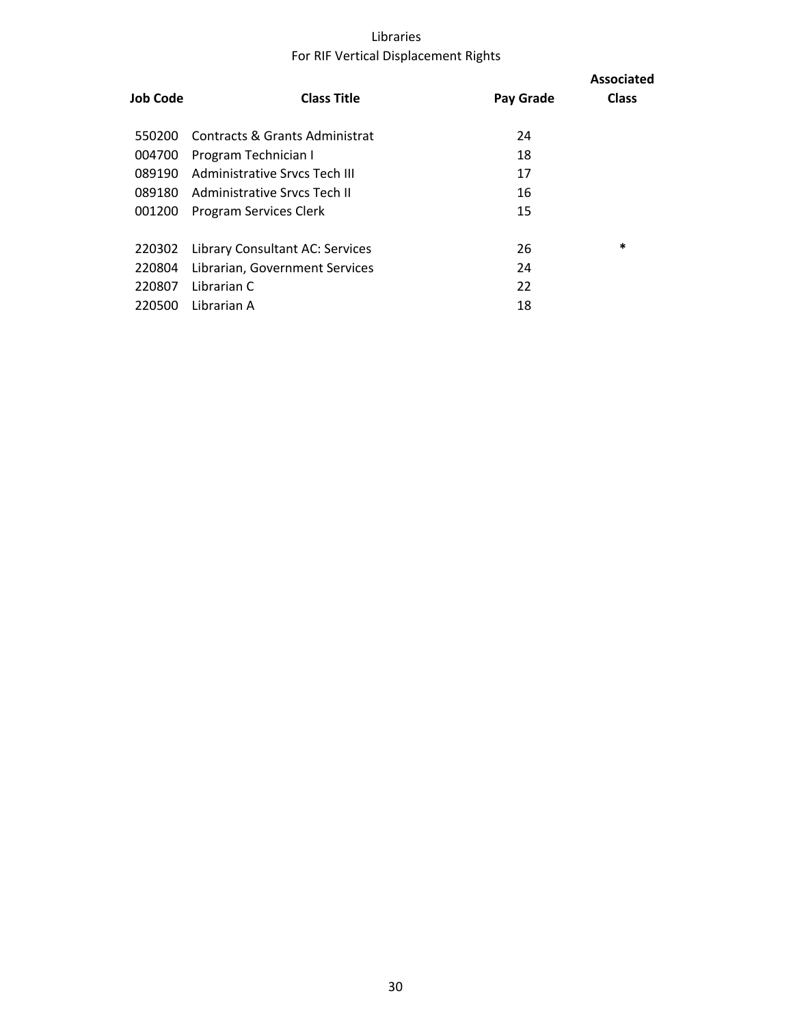## Libraries For RIF Vertical Displacement Rights

| Job Code | <b>Class Title</b>              | Pay Grade | <b>Associated</b><br><b>Class</b> |
|----------|---------------------------------|-----------|-----------------------------------|
| 550200   | Contracts & Grants Administrat  | 24        |                                   |
| 004700   | Program Technician I            | 18        |                                   |
| 089190   | Administrative Srycs Tech III   | 17        |                                   |
| 089180   | Administrative Srycs Tech II    | 16        |                                   |
| 001200   | Program Services Clerk          | 15        |                                   |
|          |                                 |           |                                   |
| 220302   | Library Consultant AC: Services | 26        | $\ast$                            |
| 220804   | Librarian, Government Services  | 24        |                                   |
| 220807   | Librarian C                     | 22        |                                   |
| 220500   | Librarian A                     | 18        |                                   |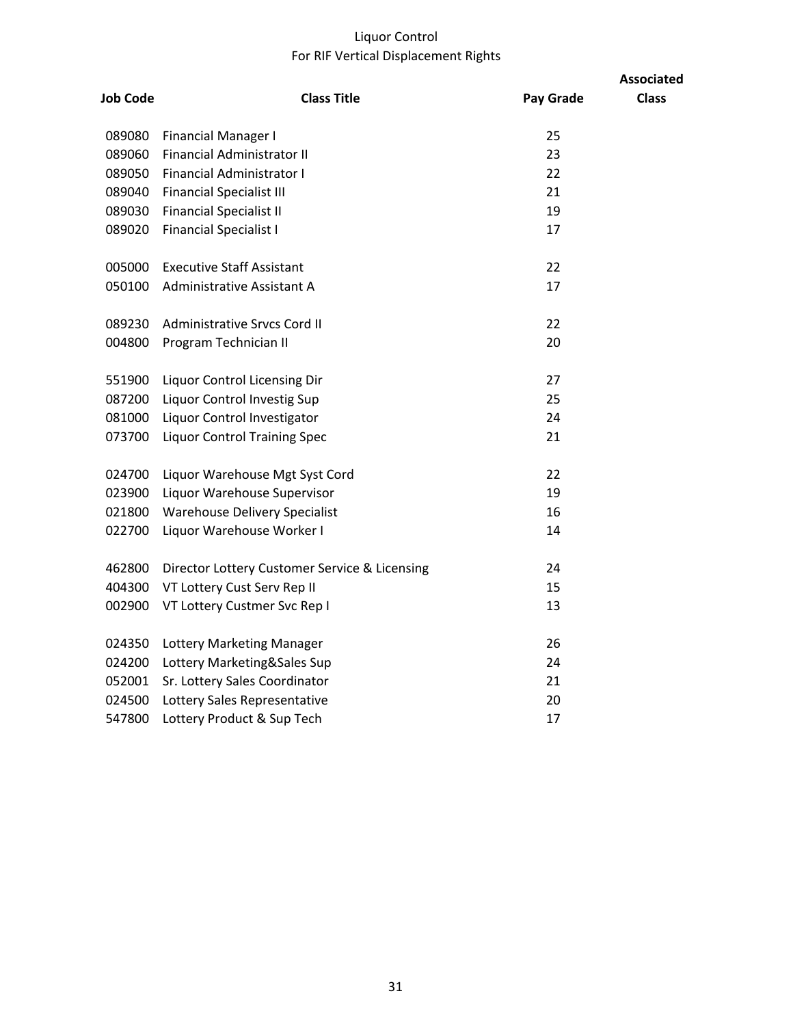## Liquor Control For RIF Vertical Displacement Rights

| <b>Job Code</b> | <b>Class Title</b>                            | Pay Grade | <b>Associated</b><br><b>Class</b> |
|-----------------|-----------------------------------------------|-----------|-----------------------------------|
| 089080          | <b>Financial Manager I</b>                    | 25        |                                   |
| 089060          | Financial Administrator II                    | 23        |                                   |
| 089050          | Financial Administrator I                     | 22        |                                   |
| 089040          | <b>Financial Specialist III</b>               | 21        |                                   |
| 089030          | <b>Financial Specialist II</b>                | 19        |                                   |
| 089020          | <b>Financial Specialist I</b>                 | 17        |                                   |
| 005000          | <b>Executive Staff Assistant</b>              | 22        |                                   |
| 050100          | Administrative Assistant A                    | 17        |                                   |
| 089230          | Administrative Srvcs Cord II                  | 22        |                                   |
| 004800          | Program Technician II                         | 20        |                                   |
| 551900          | Liquor Control Licensing Dir                  | 27        |                                   |
| 087200          | Liquor Control Investig Sup                   | 25        |                                   |
| 081000          | Liquor Control Investigator                   | 24        |                                   |
| 073700          | <b>Liquor Control Training Spec</b>           | 21        |                                   |
| 024700          | Liquor Warehouse Mgt Syst Cord                | 22        |                                   |
| 023900          | Liquor Warehouse Supervisor                   | 19        |                                   |
| 021800          | <b>Warehouse Delivery Specialist</b>          | 16        |                                   |
| 022700          | Liquor Warehouse Worker I                     | 14        |                                   |
| 462800          | Director Lottery Customer Service & Licensing | 24        |                                   |
| 404300          | VT Lottery Cust Serv Rep II                   | 15        |                                   |
| 002900          | VT Lottery Custmer Svc Rep I                  | 13        |                                   |
| 024350          | Lottery Marketing Manager                     | 26        |                                   |
| 024200          | Lottery Marketing&Sales Sup                   | 24        |                                   |
| 052001          | Sr. Lottery Sales Coordinator                 | 21        |                                   |
| 024500          | Lottery Sales Representative                  | 20        |                                   |
| 547800          | Lottery Product & Sup Tech                    | 17        |                                   |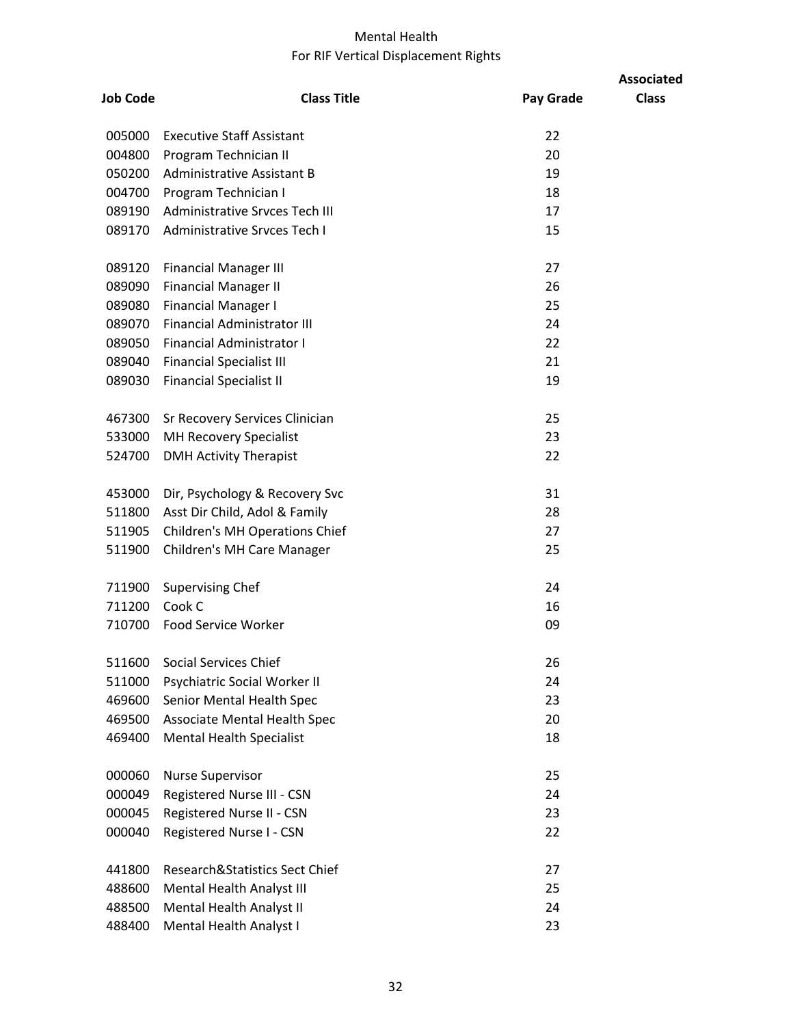## Mental Health For RIF Vertical Displacement Rights

| <b>Job Code</b> | <b>Class Title</b>                  | Pay Grade | <b>Associated</b><br><b>Class</b> |
|-----------------|-------------------------------------|-----------|-----------------------------------|
|                 |                                     |           |                                   |
| 005000          | <b>Executive Staff Assistant</b>    | 22        |                                   |
| 004800          | Program Technician II               | 20        |                                   |
| 050200          | <b>Administrative Assistant B</b>   | 19        |                                   |
| 004700          | Program Technician I                | 18        |                                   |
| 089190          | Administrative Srvces Tech III      | 17        |                                   |
| 089170          | Administrative Srvces Tech I        | 15        |                                   |
| 089120          | <b>Financial Manager III</b>        | 27        |                                   |
| 089090          | <b>Financial Manager II</b>         | 26        |                                   |
| 089080          | <b>Financial Manager I</b>          | 25        |                                   |
| 089070          | <b>Financial Administrator III</b>  | 24        |                                   |
| 089050          | <b>Financial Administrator I</b>    | 22        |                                   |
| 089040          | <b>Financial Specialist III</b>     | 21        |                                   |
| 089030          | <b>Financial Specialist II</b>      | 19        |                                   |
| 467300          | Sr Recovery Services Clinician      | 25        |                                   |
| 533000          | <b>MH Recovery Specialist</b>       | 23        |                                   |
| 524700          | <b>DMH Activity Therapist</b>       | 22        |                                   |
| 453000          | Dir, Psychology & Recovery Svc      | 31        |                                   |
| 511800          | Asst Dir Child, Adol & Family       | 28        |                                   |
| 511905          | Children's MH Operations Chief      | 27        |                                   |
| 511900          | Children's MH Care Manager          | 25        |                                   |
| 711900          | <b>Supervising Chef</b>             | 24        |                                   |
| 711200          | Cook C                              | 16        |                                   |
| 710700          | Food Service Worker                 | 09        |                                   |
| 511600          | <b>Social Services Chief</b>        | 26        |                                   |
| 511000          | Psychiatric Social Worker II        | 24        |                                   |
| 469600          | Senior Mental Health Spec           | 23        |                                   |
| 469500          | <b>Associate Mental Health Spec</b> | 20        |                                   |
| 469400          | <b>Mental Health Specialist</b>     | 18        |                                   |
| 000060          | <b>Nurse Supervisor</b>             | 25        |                                   |
| 000049          | Registered Nurse III - CSN          | 24        |                                   |
| 000045          | Registered Nurse II - CSN           | 23        |                                   |
| 000040          | Registered Nurse I - CSN            | 22        |                                   |
| 441800          | Research&Statistics Sect Chief      | 27        |                                   |
| 488600          | Mental Health Analyst III           | 25        |                                   |
| 488500          | Mental Health Analyst II            | 24        |                                   |
| 488400          | Mental Health Analyst I             | 23        |                                   |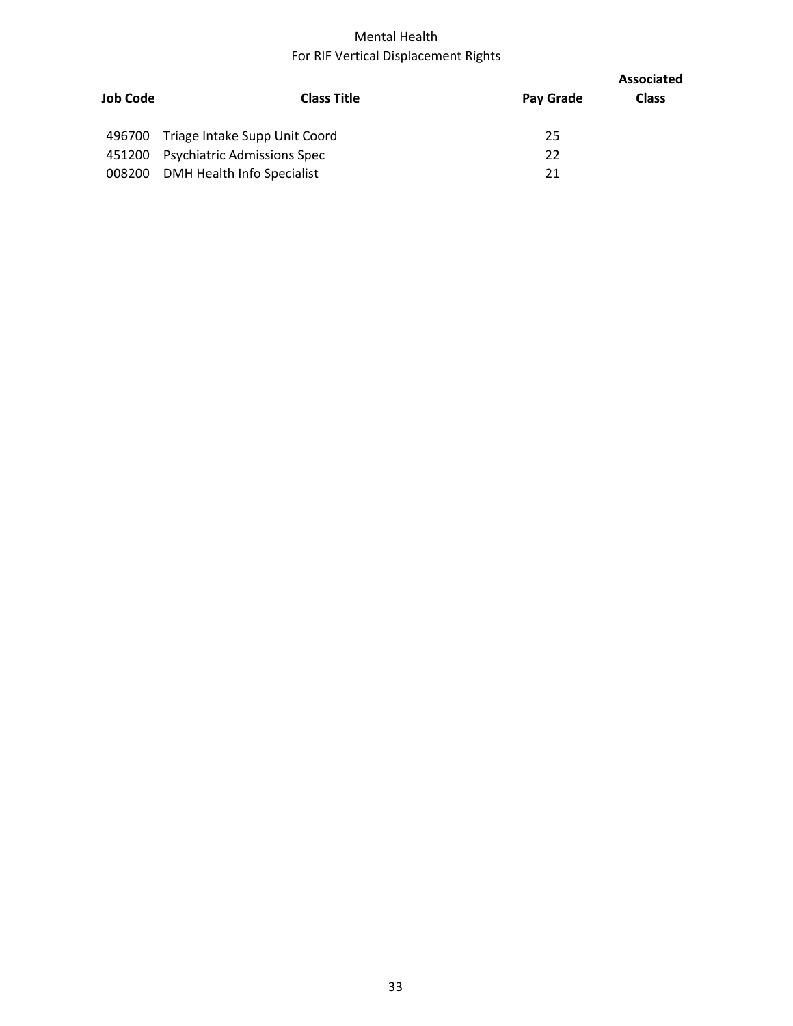## Mental Health For RIF Vertical Displacement Rights

| <b>Job Code</b> | <b>Class Title</b>                   |           | <b>Associated</b> |
|-----------------|--------------------------------------|-----------|-------------------|
|                 |                                      | Pay Grade | <b>Class</b>      |
|                 | 496700 Triage Intake Supp Unit Coord | 25        |                   |
|                 | 451200 Psychiatric Admissions Spec   | 22        |                   |
|                 | 008200 DMH Health Info Specialist    | 21        |                   |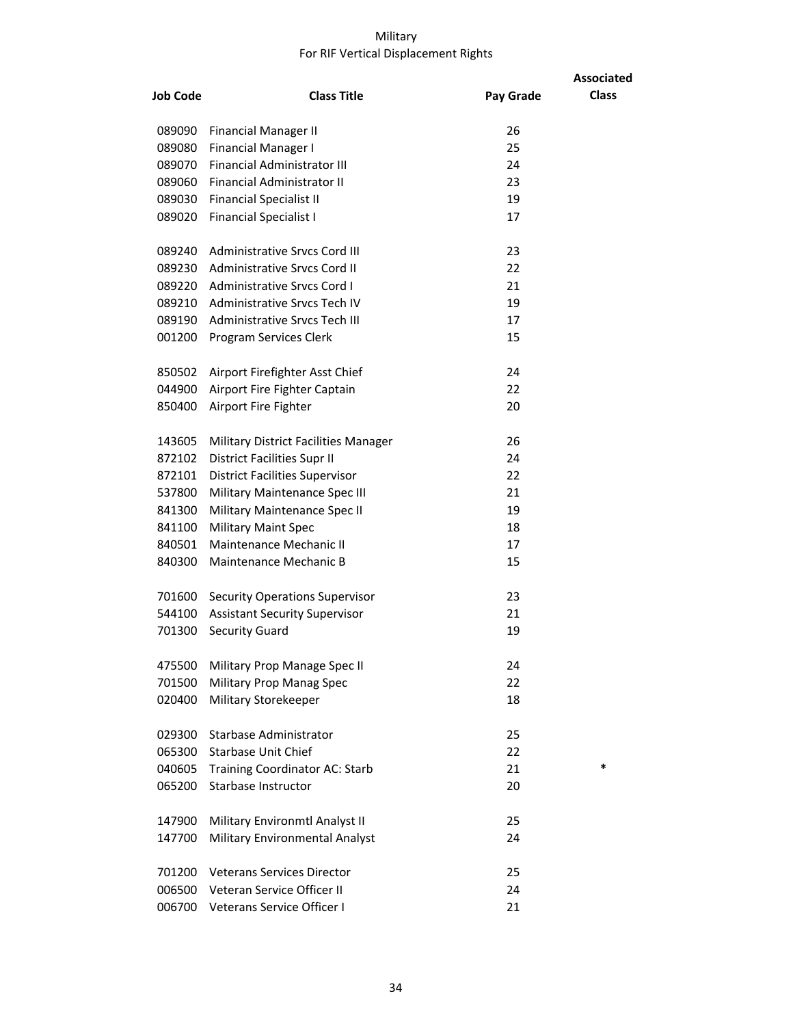#### Military For RIF Vertical Displacement Rights

| <b>Job Code</b> | <b>Class Title</b>                    | Pay Grade | <b>Associated</b><br><b>Class</b> |
|-----------------|---------------------------------------|-----------|-----------------------------------|
| 089090          | <b>Financial Manager II</b>           | 26        |                                   |
| 089080          | <b>Financial Manager I</b>            | 25        |                                   |
| 089070          | <b>Financial Administrator III</b>    | 24        |                                   |
| 089060          | Financial Administrator II            | 23        |                                   |
| 089030          | <b>Financial Specialist II</b>        | 19        |                                   |
| 089020          | <b>Financial Specialist I</b>         | 17        |                                   |
|                 | 089240 Administrative Srvcs Cord III  | 23        |                                   |
| 089230          | <b>Administrative Srvcs Cord II</b>   | 22        |                                   |
|                 | 089220 Administrative Srvcs Cord I    | 21        |                                   |
|                 | 089210 Administrative Srvcs Tech IV   | 19        |                                   |
|                 | 089190 Administrative Srycs Tech III  | 17        |                                   |
| 001200          | Program Services Clerk                | 15        |                                   |
|                 | 850502 Airport Firefighter Asst Chief | 24        |                                   |
|                 | 044900 Airport Fire Fighter Captain   | 22        |                                   |
| 850400          | Airport Fire Fighter                  | 20        |                                   |
| 143605          | Military District Facilities Manager  | 26        |                                   |
| 872102          | <b>District Facilities Supr II</b>    | 24        |                                   |
| 872101          | <b>District Facilities Supervisor</b> | 22        |                                   |
| 537800          | Military Maintenance Spec III         | 21        |                                   |
| 841300          | Military Maintenance Spec II          | 19        |                                   |
| 841100          | <b>Military Maint Spec</b>            | 18        |                                   |
| 840501          | Maintenance Mechanic II               | 17        |                                   |
| 840300          | Maintenance Mechanic B                | 15        |                                   |
| 701600          | <b>Security Operations Supervisor</b> | 23        |                                   |
|                 | 544100 Assistant Security Supervisor  | 21        |                                   |
| 701300          | <b>Security Guard</b>                 | 19        |                                   |
| 475500          | Military Prop Manage Spec II          | 24        |                                   |
| 701500          | Military Prop Manag Spec              | 22        |                                   |
| 020400          | <b>Military Storekeeper</b>           | 18        |                                   |
| 029300          | Starbase Administrator                | 25        |                                   |
| 065300          | <b>Starbase Unit Chief</b>            | 22        |                                   |
| 040605          | Training Coordinator AC: Starb        | 21        | *                                 |
| 065200          | Starbase Instructor                   | 20        |                                   |
| 147900          | Military Environmtl Analyst II        | 25        |                                   |
| 147700          | Military Environmental Analyst        | 24        |                                   |
| 701200          | <b>Veterans Services Director</b>     | 25        |                                   |
| 006500          | Veteran Service Officer II            | 24        |                                   |
|                 | 006700 Veterans Service Officer I     | 21        |                                   |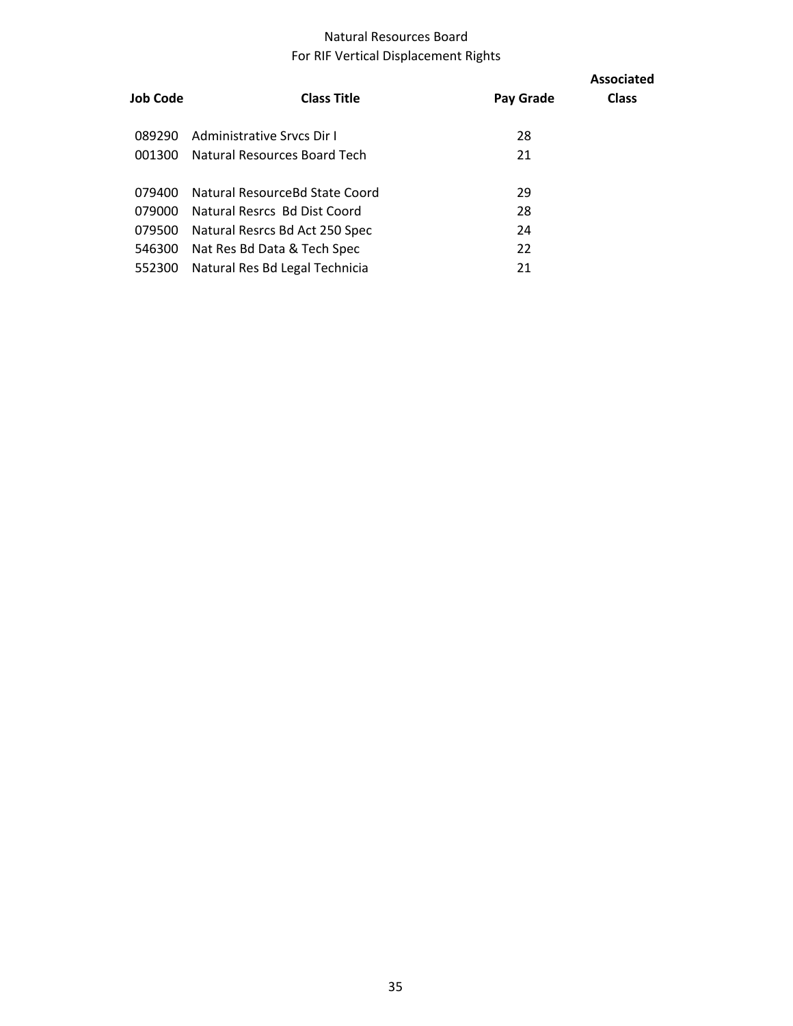## Natural Resources Board For RIF Vertical Displacement Rights

| Job Code | <b>Class Title</b>             | Pay Grade | <b>Associated</b><br><b>Class</b> |
|----------|--------------------------------|-----------|-----------------------------------|
| 089290   | Administrative Srycs Dir I     | 28        |                                   |
| 001300   | Natural Resources Board Tech   | 21        |                                   |
| 079400   | Natural ResourceBd State Coord | 29        |                                   |
| 079000   | Natural Resrcs Bd Dist Coord   | 28        |                                   |
| 079500   | Natural Resrcs Bd Act 250 Spec | 24        |                                   |
| 546300   | Nat Res Bd Data & Tech Spec    | 22        |                                   |
| 552300   | Natural Res Bd Legal Technicia | 21        |                                   |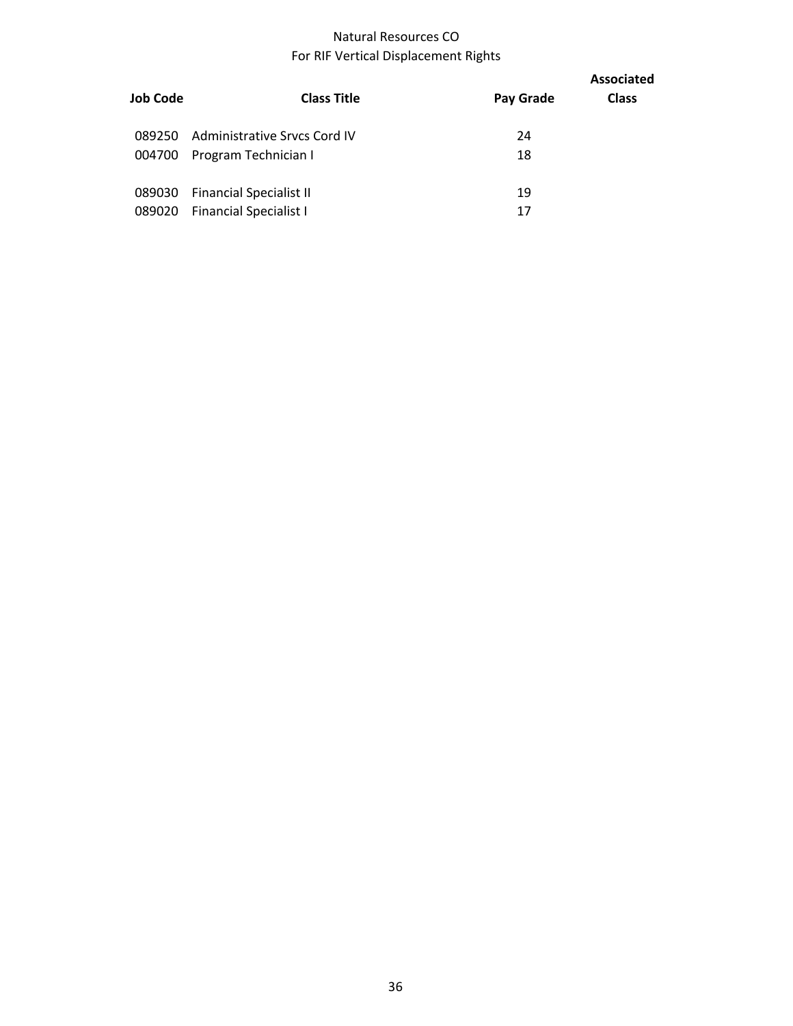## Natural Resources CO For RIF Vertical Displacement Rights

| Job Code | <b>Class Title</b>             | Pay Grade | <b>Associated</b><br><b>Class</b> |
|----------|--------------------------------|-----------|-----------------------------------|
| 089250   | Administrative Srvcs Cord IV   | 24        |                                   |
| 004700   | Program Technician I           | 18        |                                   |
| 089030   | <b>Financial Specialist II</b> | 19        |                                   |
| 089020   | <b>Financial Specialist I</b>  | 17        |                                   |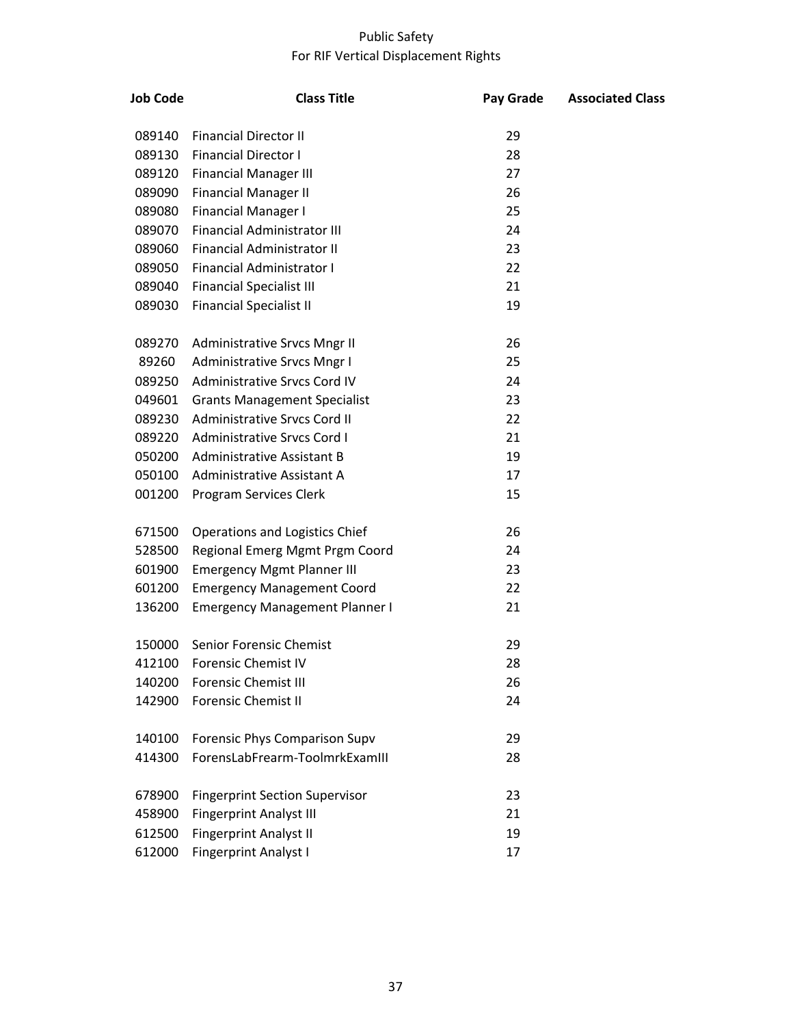## Public Safety For RIF Vertical Displacement Rights

| <b>Job Code</b> | <b>Class Title</b>                    | Pay Grade | <b>Associated Class</b> |
|-----------------|---------------------------------------|-----------|-------------------------|
| 089140          | <b>Financial Director II</b>          | 29        |                         |
| 089130          | <b>Financial Director I</b>           | 28        |                         |
| 089120          | <b>Financial Manager III</b>          | 27        |                         |
| 089090          | <b>Financial Manager II</b>           | 26        |                         |
| 089080          | <b>Financial Manager I</b>            | 25        |                         |
| 089070          | <b>Financial Administrator III</b>    | 24        |                         |
| 089060          | <b>Financial Administrator II</b>     | 23        |                         |
| 089050          | Financial Administrator I             | 22        |                         |
| 089040          | <b>Financial Specialist III</b>       | 21        |                         |
| 089030          | <b>Financial Specialist II</b>        | 19        |                         |
| 089270          | Administrative Srvcs Mngr II          | 26        |                         |
| 89260           | Administrative Srvcs Mngr I           | 25        |                         |
| 089250          | Administrative Srvcs Cord IV          | 24        |                         |
| 049601          | <b>Grants Management Specialist</b>   | 23        |                         |
| 089230          | Administrative Srvcs Cord II          | 22        |                         |
| 089220          | <b>Administrative Srvcs Cord I</b>    | 21        |                         |
| 050200          | Administrative Assistant B            | 19        |                         |
| 050100          | Administrative Assistant A            | 17        |                         |
| 001200          | Program Services Clerk                | 15        |                         |
| 671500          | Operations and Logistics Chief        | 26        |                         |
| 528500          | Regional Emerg Mgmt Prgm Coord        | 24        |                         |
| 601900          | <b>Emergency Mgmt Planner III</b>     | 23        |                         |
| 601200          | <b>Emergency Management Coord</b>     | 22        |                         |
| 136200          | <b>Emergency Management Planner I</b> | 21        |                         |
| 150000          | <b>Senior Forensic Chemist</b>        | 29        |                         |
| 412100          | <b>Forensic Chemist IV</b>            | 28        |                         |
| 140200          | <b>Forensic Chemist III</b>           | 26        |                         |
| 142900          | <b>Forensic Chemist II</b>            | 24        |                         |
| 140100          | <b>Forensic Phys Comparison Supv</b>  | 29        |                         |
| 414300          | ForensLabFrearm-ToolmrkExamIII        | 28        |                         |
| 678900          | <b>Fingerprint Section Supervisor</b> | 23        |                         |
| 458900          | <b>Fingerprint Analyst III</b>        | 21        |                         |
| 612500          | <b>Fingerprint Analyst II</b>         | 19        |                         |
| 612000          | <b>Fingerprint Analyst I</b>          | 17        |                         |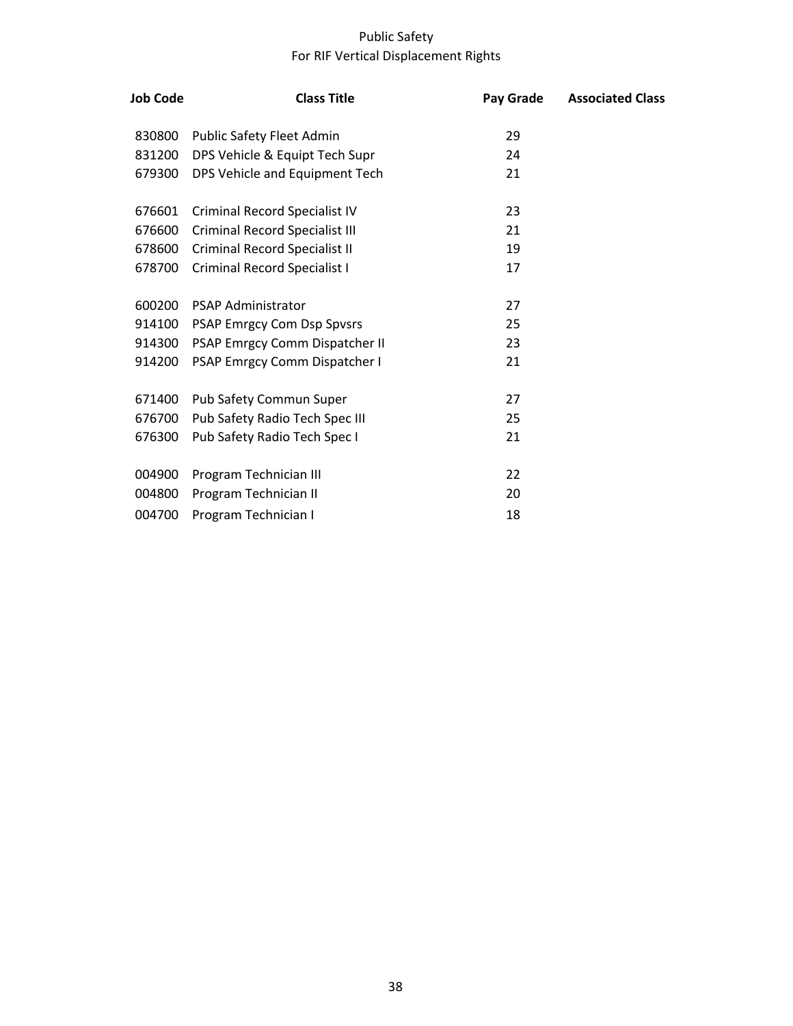## Public Safety For RIF Vertical Displacement Rights

| <b>Job Code</b> | <b>Class Title</b>                  | Pay Grade | <b>Associated Class</b> |
|-----------------|-------------------------------------|-----------|-------------------------|
| 830800          | Public Safety Fleet Admin           | 29        |                         |
| 831200          | DPS Vehicle & Equipt Tech Supr      | 24        |                         |
| 679300          | DPS Vehicle and Equipment Tech      | 21        |                         |
| 676601          | Criminal Record Specialist IV       | 23        |                         |
| 676600          | Criminal Record Specialist III      | 21        |                         |
| 678600          | Criminal Record Specialist II       | 19        |                         |
| 678700          | <b>Criminal Record Specialist I</b> | 17        |                         |
| 600200          | <b>PSAP Administrator</b>           | 27        |                         |
| 914100          | PSAP Emrgcy Com Dsp Spvsrs          | 25        |                         |
| 914300          | PSAP Emrgcy Comm Dispatcher II      | 23        |                         |
| 914200          | PSAP Emrgcy Comm Dispatcher I       | 21        |                         |
| 671400          | Pub Safety Commun Super             | 27        |                         |
| 676700          | Pub Safety Radio Tech Spec III      | 25        |                         |
| 676300          | Pub Safety Radio Tech Spec I        | 21        |                         |
| 004900          | Program Technician III              | 22        |                         |
| 004800          | Program Technician II               | 20        |                         |
| 004700          | Program Technician I                | 18        |                         |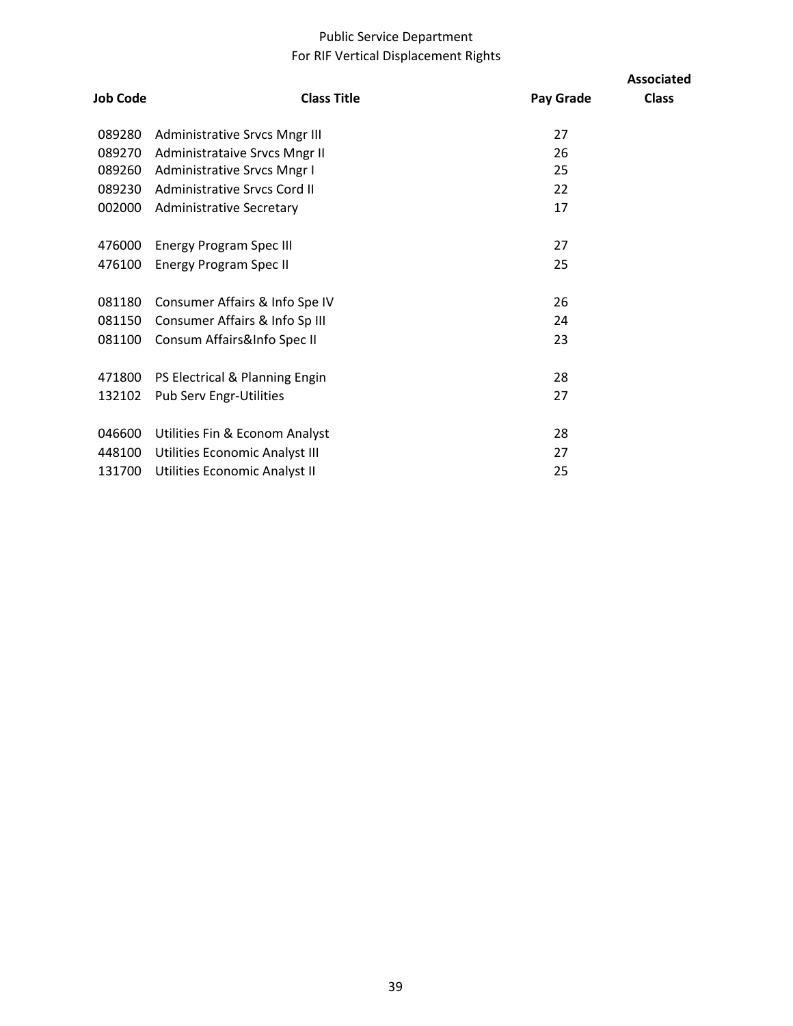## Public Service Department For RIF Vertical Displacement Rights

| <b>Job Code</b> | <b>Class Title</b>                   | Pay Grade | <b>Associated</b><br><b>Class</b> |
|-----------------|--------------------------------------|-----------|-----------------------------------|
| 089280          | <b>Administrative Srvcs Mngr III</b> | 27        |                                   |
| 089270          | Administrataive Srvcs Mngr II        | 26        |                                   |
| 089260          | Administrative Srvcs Mngr I          | 25        |                                   |
| 089230          | Administrative Srvcs Cord II         | 22        |                                   |
| 002000          | <b>Administrative Secretary</b>      | 17        |                                   |
| 476000          | <b>Energy Program Spec III</b>       | 27        |                                   |
| 476100          | <b>Energy Program Spec II</b>        | 25        |                                   |
| 081180          | Consumer Affairs & Info Spe IV       | 26        |                                   |
| 081150          | Consumer Affairs & Info Sp III       | 24        |                                   |
| 081100          | Consum Affairs&Info Spec II          | 23        |                                   |
|                 |                                      |           |                                   |
| 471800          | PS Electrical & Planning Engin       | 28        |                                   |
| 132102          | <b>Pub Serv Engr-Utilities</b>       | 27        |                                   |
| 046600          | Utilities Fin & Econom Analyst       | 28        |                                   |
| 448100          | Utilities Economic Analyst III       | 27        |                                   |
| 131700          | Utilities Economic Analyst II        | 25        |                                   |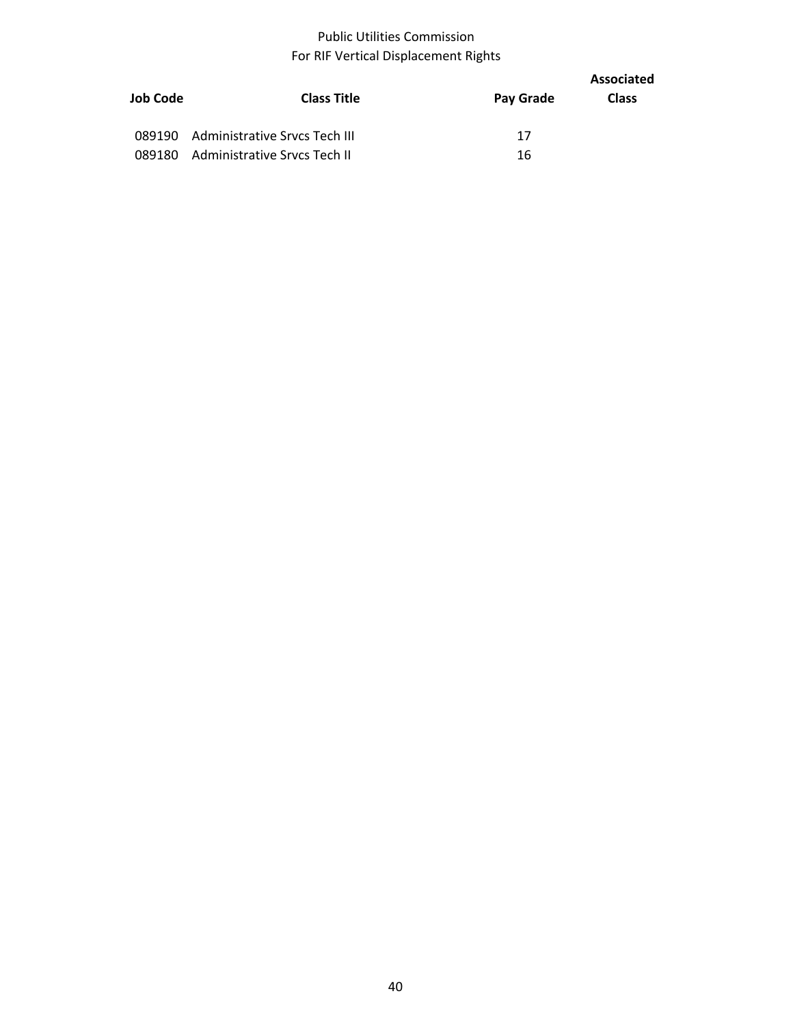## Public Utilities Commission For RIF Vertical Displacement Rights

| Job Code | <b>Class Title</b>                   | Pay Grade | Associated<br><b>Class</b> |
|----------|--------------------------------------|-----------|----------------------------|
|          |                                      |           |                            |
|          | 089190 Administrative Srvcs Tech III | 17        |                            |
| 089180   | Administrative Srvcs Tech II         | 16        |                            |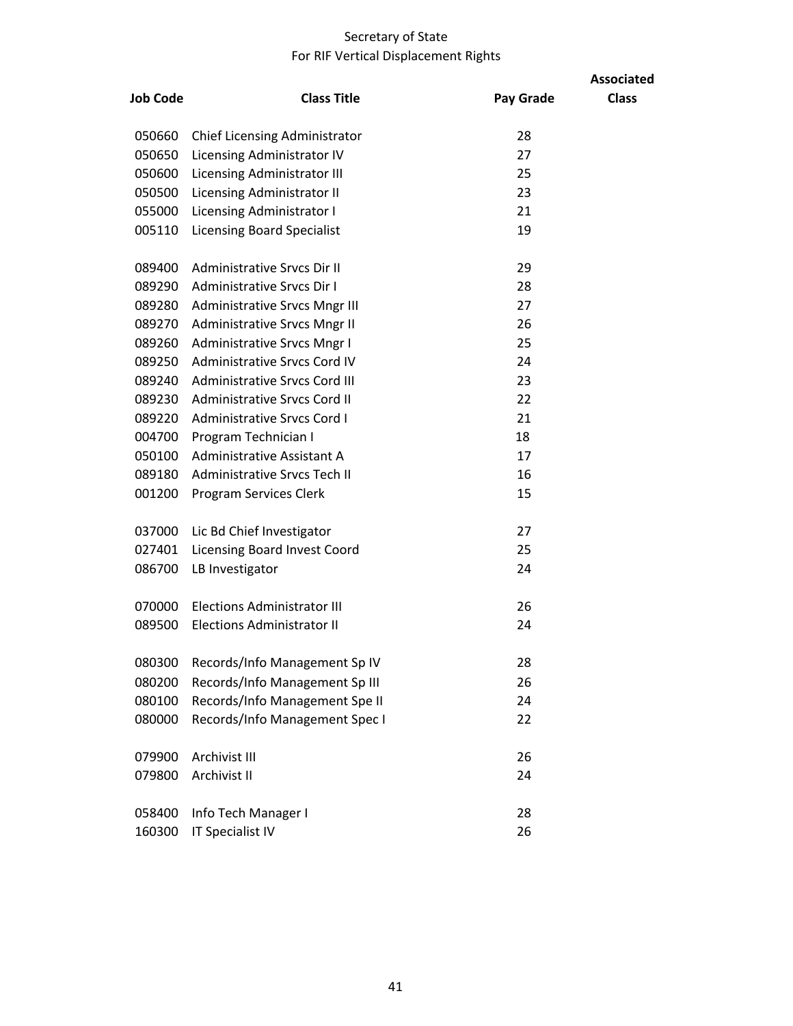# Secretary of State For RIF Vertical Displacement Rights

|                 |                                      |           | <b>Associated</b> |
|-----------------|--------------------------------------|-----------|-------------------|
| <b>Job Code</b> | <b>Class Title</b>                   | Pay Grade | <b>Class</b>      |
| 050660          | <b>Chief Licensing Administrator</b> | 28        |                   |
| 050650          | Licensing Administrator IV           | 27        |                   |
| 050600          | Licensing Administrator III          | 25        |                   |
| 050500          | Licensing Administrator II           | 23        |                   |
| 055000          | Licensing Administrator I            | 21        |                   |
| 005110          | <b>Licensing Board Specialist</b>    | 19        |                   |
| 089400          | Administrative Srvcs Dir II          | 29        |                   |
| 089290          | Administrative Srvcs Dir I           | 28        |                   |
| 089280          | <b>Administrative Srvcs Mngr III</b> | 27        |                   |
| 089270          | Administrative Srvcs Mngr II         | 26        |                   |
| 089260          | <b>Administrative Srvcs Mngr I</b>   | 25        |                   |
| 089250          | <b>Administrative Srvcs Cord IV</b>  | 24        |                   |
| 089240          | Administrative Srvcs Cord III        | 23        |                   |
| 089230          | Administrative Srvcs Cord II         | 22        |                   |
| 089220          | <b>Administrative Srvcs Cord I</b>   | 21        |                   |
| 004700          | Program Technician I                 | 18        |                   |
| 050100          | Administrative Assistant A           | 17        |                   |
| 089180          | Administrative Srvcs Tech II         | 16        |                   |
| 001200          | Program Services Clerk               | 15        |                   |
| 037000          | Lic Bd Chief Investigator            | 27        |                   |
| 027401          | <b>Licensing Board Invest Coord</b>  | 25        |                   |
| 086700          | LB Investigator                      | 24        |                   |
| 070000          | <b>Elections Administrator III</b>   | 26        |                   |
| 089500          | Elections Administrator II           | 24        |                   |
| 080300          | Records/Info Management Sp IV        | 28        |                   |
| 080200          | Records/Info Management Sp III       | 26        |                   |
| 080100          | Records/Info Management Spe II       | 24        |                   |
| 080000          | Records/Info Management Spec I       | 22        |                   |
| 079900          | Archivist III                        | 26        |                   |
| 079800          | Archivist II                         | 24        |                   |
| 058400          | Info Tech Manager I                  | 28        |                   |
| 160300          | <b>IT Specialist IV</b>              | 26        |                   |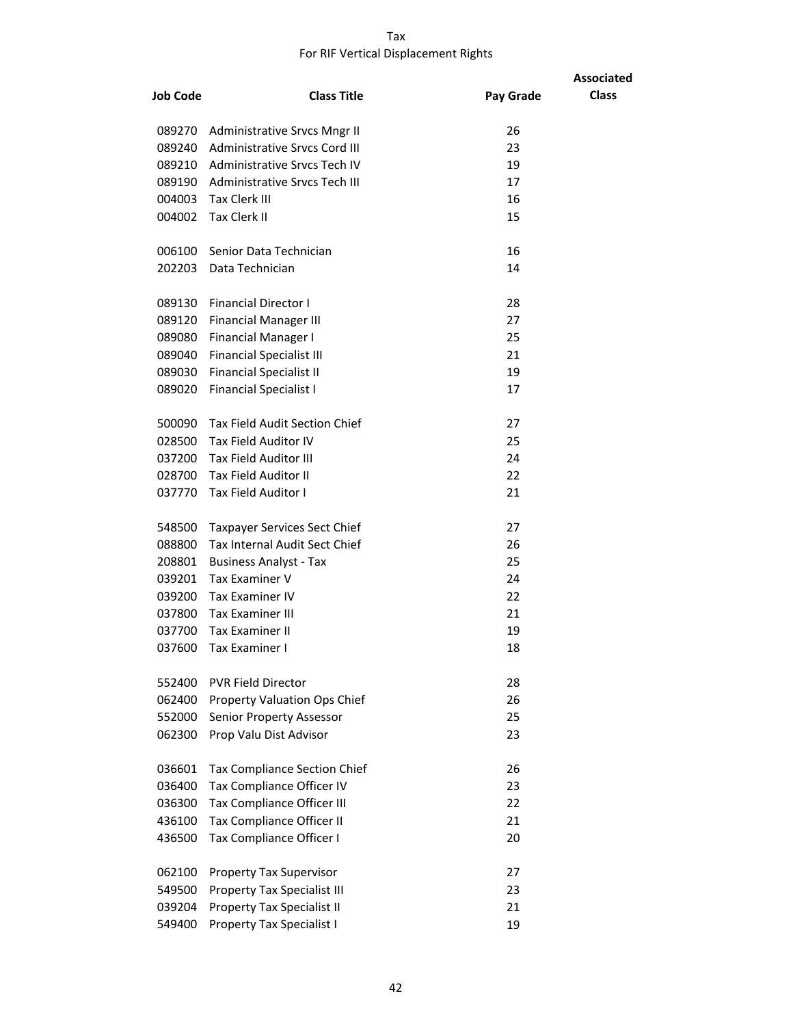#### Tax For RIF Vertical Displacement Rights

|                 |                                      |           | <b>Associated</b> |
|-----------------|--------------------------------------|-----------|-------------------|
| <b>Job Code</b> | <b>Class Title</b>                   | Pay Grade | <b>Class</b>      |
|                 | 089270 Administrative Srvcs Mngr II  | 26        |                   |
| 089240          | <b>Administrative Srvcs Cord III</b> | 23        |                   |
|                 | 089210 Administrative Srvcs Tech IV  | 19        |                   |
|                 | 089190 Administrative Srvcs Tech III | 17        |                   |
|                 | 004003 Tax Clerk III                 | 16        |                   |
|                 | 004002 Tax Clerk II                  | 15        |                   |
|                 | 006100 Senior Data Technician        | 16        |                   |
| 202203          | Data Technician                      | 14        |                   |
| 089130          | <b>Financial Director I</b>          | 28        |                   |
| 089120          | <b>Financial Manager III</b>         | 27        |                   |
| 089080          | <b>Financial Manager I</b>           | 25        |                   |
| 089040          | <b>Financial Specialist III</b>      | 21        |                   |
| 089030          | <b>Financial Specialist II</b>       | 19        |                   |
| 089020          | <b>Financial Specialist I</b>        | 17        |                   |
| 500090          | Tax Field Audit Section Chief        | 27        |                   |
| 028500          | <b>Tax Field Auditor IV</b>          | 25        |                   |
|                 | 037200 Tax Field Auditor III         | 24        |                   |
|                 | 028700 Tax Field Auditor II          | 22        |                   |
|                 | 037770 Tax Field Auditor I           | 21        |                   |
| 548500          | Taxpayer Services Sect Chief         | 27        |                   |
| 088800          | Tax Internal Audit Sect Chief        | 26        |                   |
| 208801          | <b>Business Analyst - Tax</b>        | 25        |                   |
| 039201          | <b>Tax Examiner V</b>                | 24        |                   |
| 039200          | Tax Examiner IV                      | 22        |                   |
| 037800          | Tax Examiner III                     | 21        |                   |
| 037700          | <b>Tax Examiner II</b>               | 19        |                   |
| 037600          | Tax Examiner I                       | 18        |                   |
| 552400          | <b>PVR Field Director</b>            | 28        |                   |
| 062400          | <b>Property Valuation Ops Chief</b>  | 26        |                   |
| 552000          | Senior Property Assessor             | 25        |                   |
| 062300          | Prop Valu Dist Advisor               | 23        |                   |
| 036601          | <b>Tax Compliance Section Chief</b>  | 26        |                   |
| 036400          | Tax Compliance Officer IV            | 23        |                   |
| 036300          | Tax Compliance Officer III           | 22        |                   |
| 436100          | Tax Compliance Officer II            | 21        |                   |
| 436500          | Tax Compliance Officer I             | 20        |                   |
| 062100          | Property Tax Supervisor              | 27        |                   |
| 549500          | <b>Property Tax Specialist III</b>   | 23        |                   |
| 039204          | <b>Property Tax Specialist II</b>    | 21        |                   |
| 549400          | <b>Property Tax Specialist I</b>     | 19        |                   |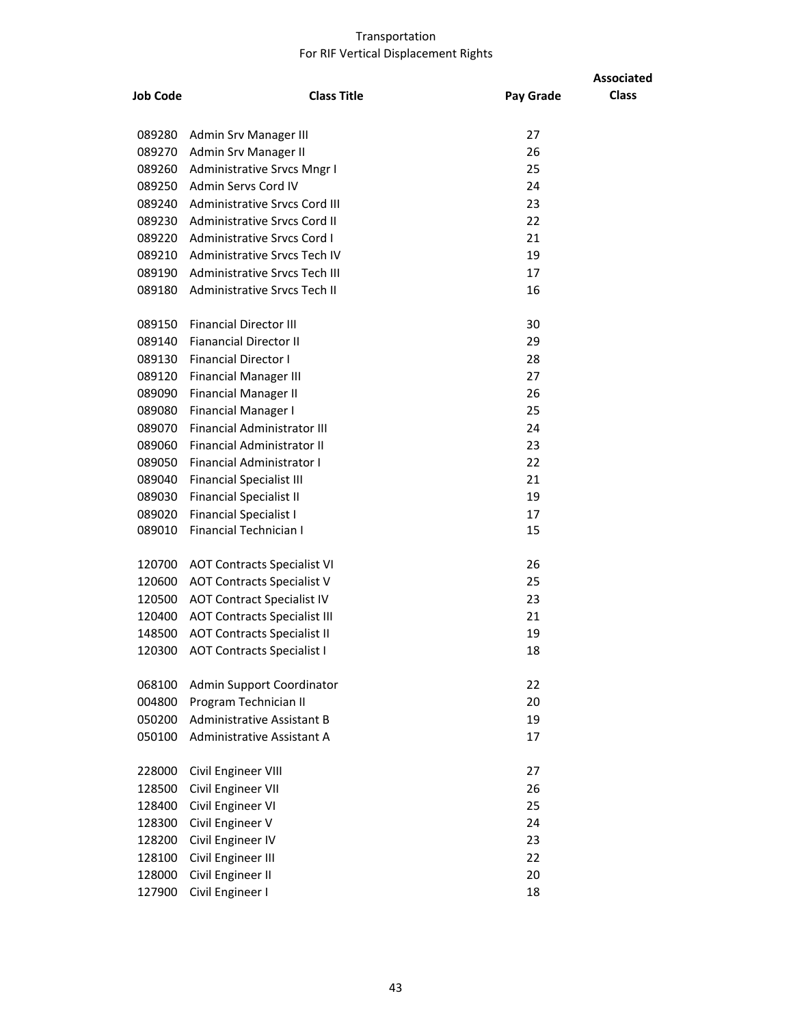|                 |                                      |           | <b>Associated</b> |
|-----------------|--------------------------------------|-----------|-------------------|
| <b>Job Code</b> | <b>Class Title</b>                   | Pay Grade | <b>Class</b>      |
| 089280          | Admin Srv Manager III                | 27        |                   |
| 089270          | Admin Srv Manager II                 | 26        |                   |
| 089260          | Administrative Srvcs Mngr I          | 25        |                   |
| 089250          | Admin Servs Cord IV                  | 24        |                   |
| 089240          | <b>Administrative Srvcs Cord III</b> | 23        |                   |
| 089230          | Administrative Srvcs Cord II         | 22        |                   |
| 089220          | Administrative Srvcs Cord I          | 21        |                   |
| 089210          | Administrative Srvcs Tech IV         | 19        |                   |
| 089190          | Administrative Srvcs Tech III        | 17        |                   |
| 089180          | Administrative Srvcs Tech II         | 16        |                   |
| 089150          | <b>Financial Director III</b>        | 30        |                   |
| 089140          | <b>Fianancial Director II</b>        | 29        |                   |
| 089130          | <b>Financial Director I</b>          | 28        |                   |
| 089120          | <b>Financial Manager III</b>         | 27        |                   |
| 089090          | <b>Financial Manager II</b>          | 26        |                   |
| 089080          | <b>Financial Manager I</b>           | 25        |                   |
| 089070          | Financial Administrator III          | 24        |                   |
| 089060          | <b>Financial Administrator II</b>    | 23        |                   |
| 089050          | <b>Financial Administrator I</b>     | 22        |                   |
| 089040          | <b>Financial Specialist III</b>      | 21        |                   |
| 089030          | <b>Financial Specialist II</b>       | 19        |                   |
| 089020          | <b>Financial Specialist I</b>        | 17        |                   |
| 089010          | Financial Technician I               | 15        |                   |
| 120700          | <b>AOT Contracts Specialist VI</b>   | 26        |                   |
| 120600          | <b>AOT Contracts Specialist V</b>    | 25        |                   |
| 120500          | <b>AOT Contract Specialist IV</b>    | 23        |                   |
| 120400          | <b>AOT Contracts Specialist III</b>  | 21        |                   |
| 148500          | <b>AOT Contracts Specialist II</b>   | 19        |                   |
| 120300          | <b>AOT Contracts Specialist I</b>    | 18        |                   |
| 068100          | <b>Admin Support Coordinator</b>     | 22        |                   |
| 004800          | Program Technician II                | 20        |                   |
| 050200          | Administrative Assistant B           | 19        |                   |
| 050100          | Administrative Assistant A           | 17        |                   |
| 228000          | Civil Engineer VIII                  | 27        |                   |
| 128500          | Civil Engineer VII                   | 26        |                   |
| 128400          | Civil Engineer VI                    | 25        |                   |
| 128300          | Civil Engineer V                     | 24        |                   |
| 128200          | Civil Engineer IV                    | 23        |                   |
| 128100          | Civil Engineer III                   | 22        |                   |
| 128000          | Civil Engineer II                    | 20        |                   |
| 127900          | Civil Engineer I                     | 18        |                   |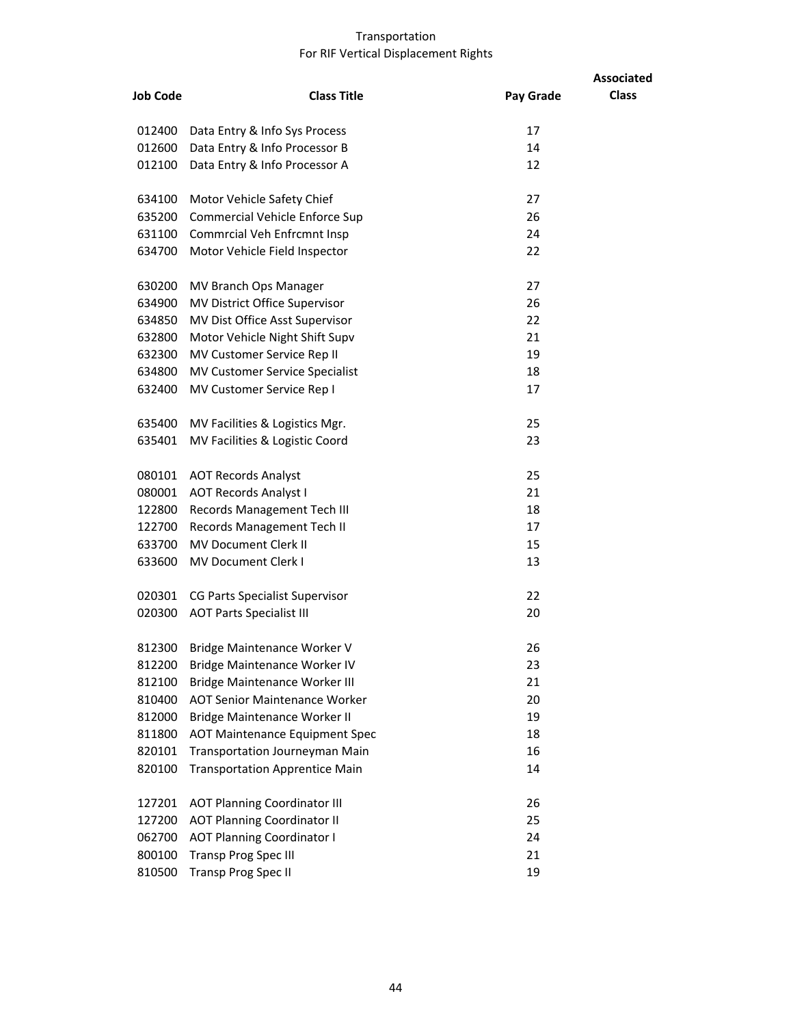| <b>Job Code</b> | <b>Class Title</b>                    | Pay Grade | <b>Associated</b><br><b>Class</b> |
|-----------------|---------------------------------------|-----------|-----------------------------------|
|                 |                                       |           |                                   |
| 012400          | Data Entry & Info Sys Process         | 17        |                                   |
| 012600          | Data Entry & Info Processor B         | 14        |                                   |
| 012100          | Data Entry & Info Processor A         | 12        |                                   |
| 634100          | Motor Vehicle Safety Chief            | 27        |                                   |
| 635200          | Commercial Vehicle Enforce Sup        | 26        |                                   |
|                 | 631100 Commrcial Veh Enfrcmnt Insp    | 24        |                                   |
| 634700          | Motor Vehicle Field Inspector         | 22        |                                   |
| 630200          | MV Branch Ops Manager                 | 27        |                                   |
| 634900          | MV District Office Supervisor         | 26        |                                   |
| 634850          | MV Dist Office Asst Supervisor        | 22        |                                   |
| 632800          | Motor Vehicle Night Shift Supv        | 21        |                                   |
| 632300          | MV Customer Service Rep II            | 19        |                                   |
| 634800          | MV Customer Service Specialist        | 18        |                                   |
| 632400          | MV Customer Service Rep I             | 17        |                                   |
| 635400          | MV Facilities & Logistics Mgr.        | 25        |                                   |
| 635401          | MV Facilities & Logistic Coord        | 23        |                                   |
| 080101          | <b>AOT Records Analyst</b>            | 25        |                                   |
| 080001          | <b>AOT Records Analyst I</b>          | 21        |                                   |
| 122800          | Records Management Tech III           | 18        |                                   |
| 122700          | Records Management Tech II            | 17        |                                   |
|                 | 633700 MV Document Clerk II           | 15        |                                   |
| 633600          | <b>MV Document Clerk I</b>            | 13        |                                   |
| 020301          | CG Parts Specialist Supervisor        | 22        |                                   |
| 020300          | <b>AOT Parts Specialist III</b>       | 20        |                                   |
|                 | 812300 Bridge Maintenance Worker V    | 26        |                                   |
| 812200          | Bridge Maintenance Worker IV          | 23        |                                   |
| 812100          | <b>Bridge Maintenance Worker III</b>  | 21        |                                   |
| 810400          | <b>AOT Senior Maintenance Worker</b>  | 20        |                                   |
| 812000          | Bridge Maintenance Worker II          | 19        |                                   |
| 811800          | <b>AOT Maintenance Equipment Spec</b> | 18        |                                   |
| 820101          | Transportation Journeyman Main        | 16        |                                   |
| 820100          | <b>Transportation Apprentice Main</b> | 14        |                                   |
| 127201          | <b>AOT Planning Coordinator III</b>   | 26        |                                   |
| 127200          | <b>AOT Planning Coordinator II</b>    | 25        |                                   |
| 062700          | <b>AOT Planning Coordinator I</b>     | 24        |                                   |
| 800100          | <b>Transp Prog Spec III</b>           | 21        |                                   |
| 810500          | Transp Prog Spec II                   | 19        |                                   |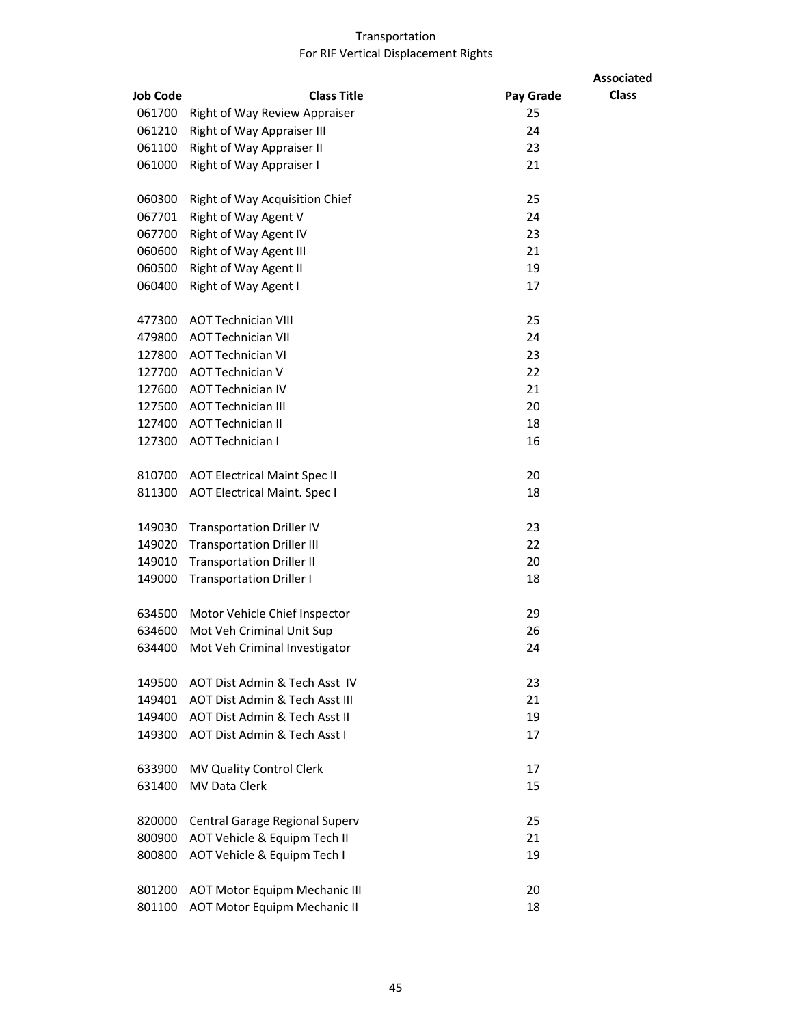|                 |                                      | <b>Associated</b>         |
|-----------------|--------------------------------------|---------------------------|
| <b>Job Code</b> | <b>Class Title</b>                   | <b>Class</b><br>Pay Grade |
| 061700          | Right of Way Review Appraiser        | 25                        |
| 061210          | Right of Way Appraiser III           | 24                        |
| 061100          | Right of Way Appraiser II            | 23                        |
| 061000          | Right of Way Appraiser I             | 21                        |
| 060300          | Right of Way Acquisition Chief       | 25                        |
| 067701          | Right of Way Agent V                 | 24                        |
| 067700          | Right of Way Agent IV                | 23                        |
| 060600          | Right of Way Agent III               | 21                        |
| 060500          | Right of Way Agent II                | 19                        |
| 060400          | Right of Way Agent I                 | 17                        |
| 477300          | <b>AOT Technician VIII</b>           | 25                        |
| 479800          | <b>AOT Technician VII</b>            | 24                        |
| 127800          | <b>AOT Technician VI</b>             | 23                        |
| 127700          | <b>AOT Technician V</b>              | 22                        |
| 127600          | <b>AOT Technician IV</b>             | 21                        |
| 127500          | <b>AOT Technician III</b>            | 20                        |
| 127400          | <b>AOT Technician II</b>             | 18                        |
| 127300          | <b>AOT Technician I</b>              | 16                        |
| 810700          | <b>AOT Electrical Maint Spec II</b>  | 20                        |
| 811300          | <b>AOT Electrical Maint. Spec I</b>  | 18                        |
| 149030          | <b>Transportation Driller IV</b>     | 23                        |
| 149020          | <b>Transportation Driller III</b>    | 22                        |
| 149010          | <b>Transportation Driller II</b>     | 20                        |
| 149000          | <b>Transportation Driller I</b>      | 18                        |
| 634500          | Motor Vehicle Chief Inspector        | 29                        |
| 634600          | Mot Veh Criminal Unit Sup            | 26                        |
|                 | 634400 Mot Veh Criminal Investigator | 24                        |
| 149500          | AOT Dist Admin & Tech Asst IV        | 23                        |
| 149401          | AOT Dist Admin & Tech Asst III       | 21                        |
| 149400          | AOT Dist Admin & Tech Asst II        | 19                        |
| 149300          | AOT Dist Admin & Tech Asst I         | 17                        |
| 633900          | MV Quality Control Clerk             | 17                        |
| 631400          | <b>MV Data Clerk</b>                 | 15                        |
| 820000          | Central Garage Regional Superv       | 25                        |
| 800900          | AOT Vehicle & Equipm Tech II         | 21                        |
| 800800          | AOT Vehicle & Equipm Tech I          | 19                        |
| 801200          | <b>AOT Motor Equipm Mechanic III</b> | 20                        |
| 801100          | <b>AOT Motor Equipm Mechanic II</b>  | 18                        |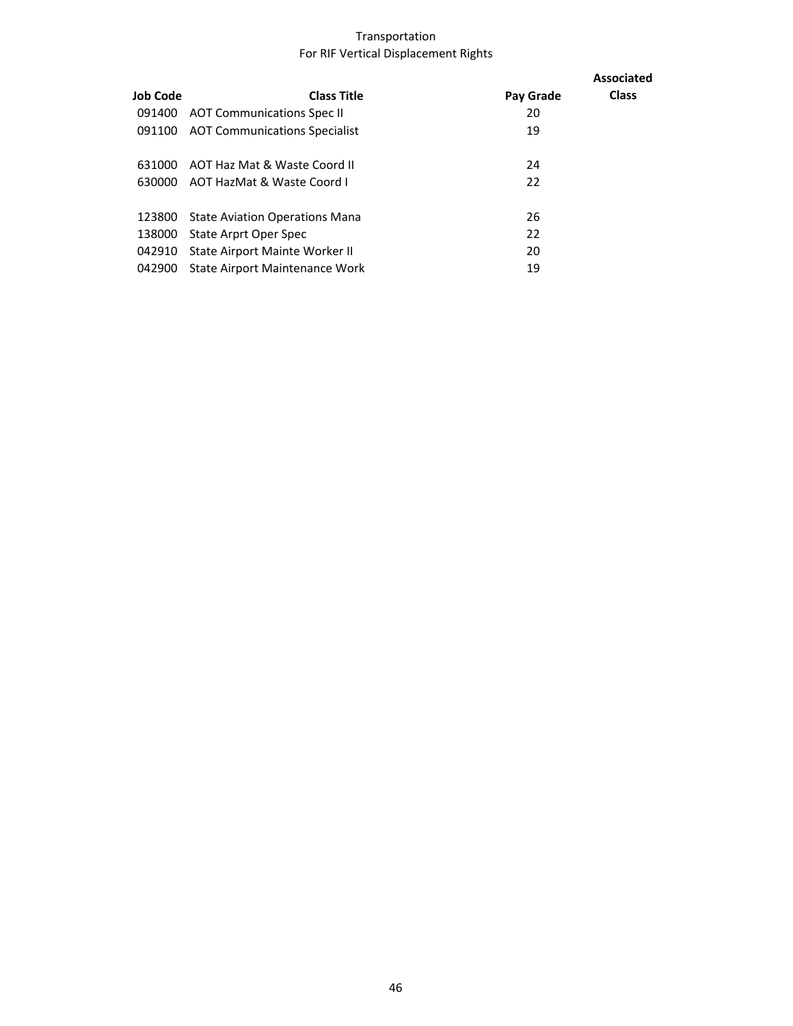|          |                                       |           | Associated   |
|----------|---------------------------------------|-----------|--------------|
| Job Code | <b>Class Title</b>                    | Pay Grade | <b>Class</b> |
| 091400   | <b>AOT Communications Spec II</b>     | 20        |              |
| 091100   | <b>AOT Communications Specialist</b>  | 19        |              |
|          |                                       |           |              |
| 631000   | AOT Haz Mat & Waste Coord II          | 24        |              |
|          | 630000 AOT HazMat & Waste Coord I     | 22        |              |
|          |                                       |           |              |
| 123800   | <b>State Aviation Operations Mana</b> | 26        |              |
| 138000   | State Arprt Oper Spec                 | 22        |              |
| 042910   | State Airport Mainte Worker II        | 20        |              |
| 042900   | State Airport Maintenance Work        | 19        |              |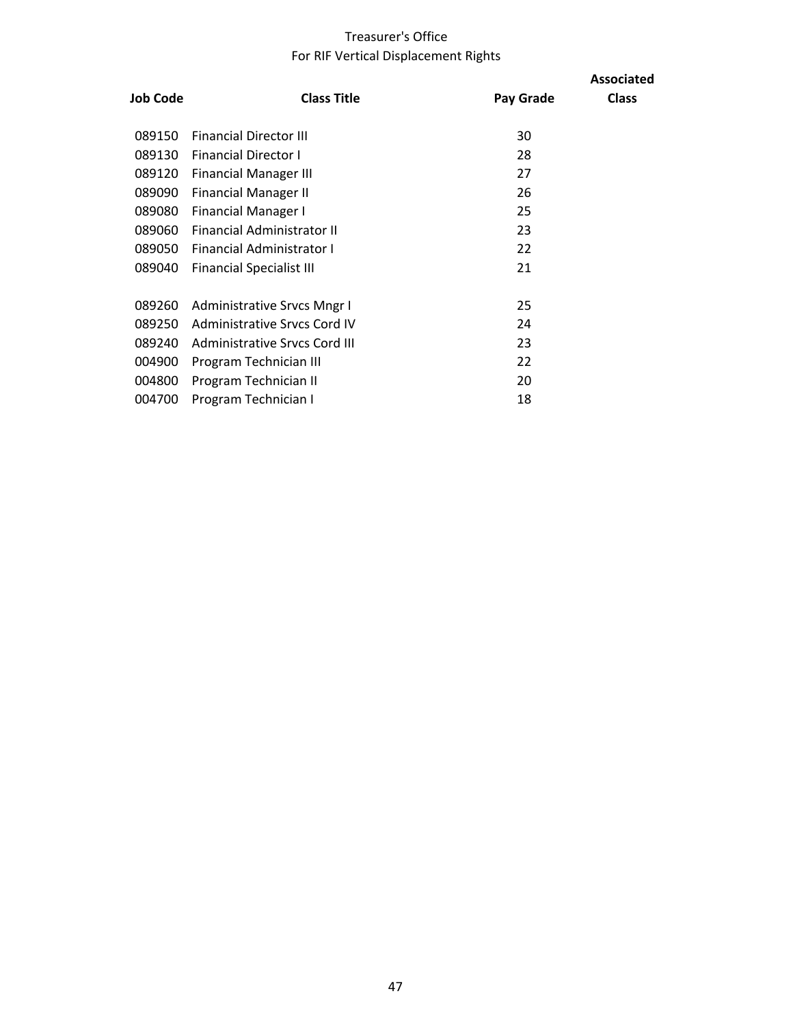## Treasurer's Office For RIF Vertical Displacement Rights

| Job Code | <b>Class Title</b>                 | Pay Grade | <b>Associated</b><br><b>Class</b> |
|----------|------------------------------------|-----------|-----------------------------------|
| 089150   | <b>Financial Director III</b>      | 30        |                                   |
| 089130   | <b>Financial Director I</b>        | 28        |                                   |
| 089120   | <b>Financial Manager III</b>       | 27        |                                   |
| 089090   | <b>Financial Manager II</b>        | 26        |                                   |
| 089080   | <b>Financial Manager I</b>         | 25        |                                   |
| 089060   | <b>Financial Administrator II</b>  | 23        |                                   |
| 089050   | <b>Financial Administrator I</b>   | 22        |                                   |
| 089040   | <b>Financial Specialist III</b>    | 21        |                                   |
|          |                                    |           |                                   |
| 089260   | <b>Administrative Srvcs Mngr I</b> | 25        |                                   |
| 089250   | Administrative Srycs Cord IV       | 24        |                                   |
| 089240   | Administrative Srycs Cord III      | 23        |                                   |
| 004900   | Program Technician III             | 22        |                                   |
| 004800   | Program Technician II              | 20        |                                   |
| 004700   | Program Technician I               | 18        |                                   |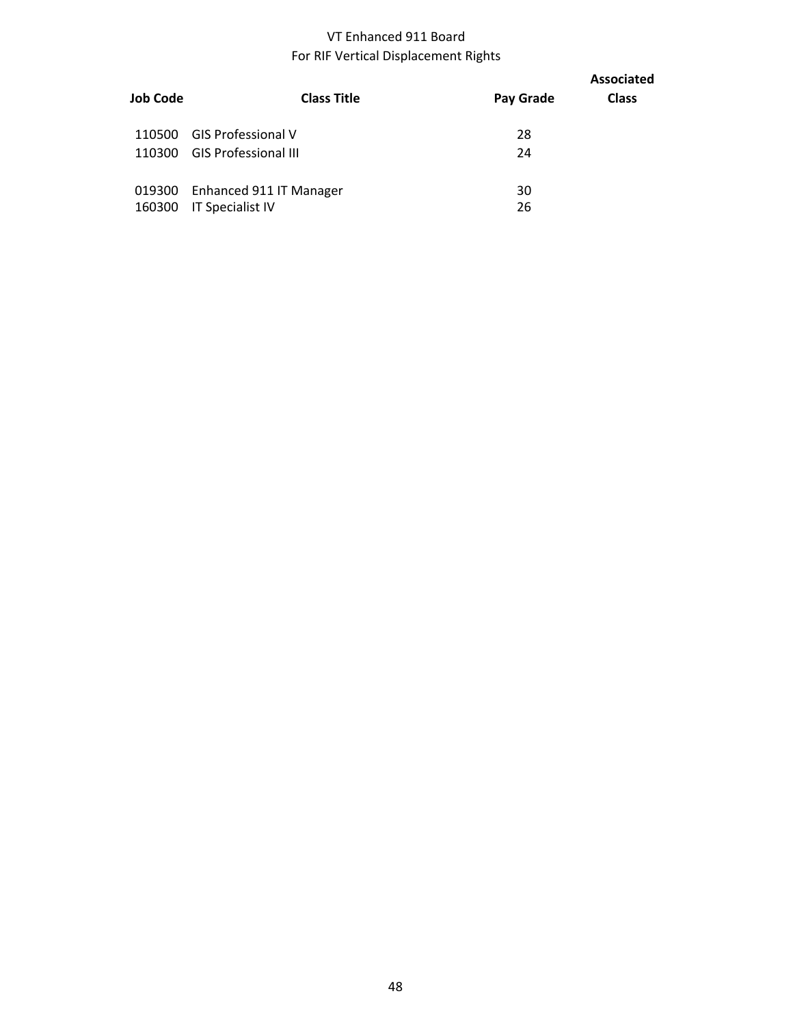## VT Enhanced 911 Board For RIF Vertical Displacement Rights

| Job Code | <b>Class Title</b>          | Pay Grade | <b>Associated</b><br><b>Class</b> |
|----------|-----------------------------|-----------|-----------------------------------|
| 110500   | <b>GIS Professional V</b>   | 28        |                                   |
| 110300   | <b>GIS Professional III</b> | 24        |                                   |
|          |                             |           |                                   |
| 019300   | Enhanced 911 IT Manager     | 30        |                                   |
| 160300   | <b>IT Specialist IV</b>     | 26        |                                   |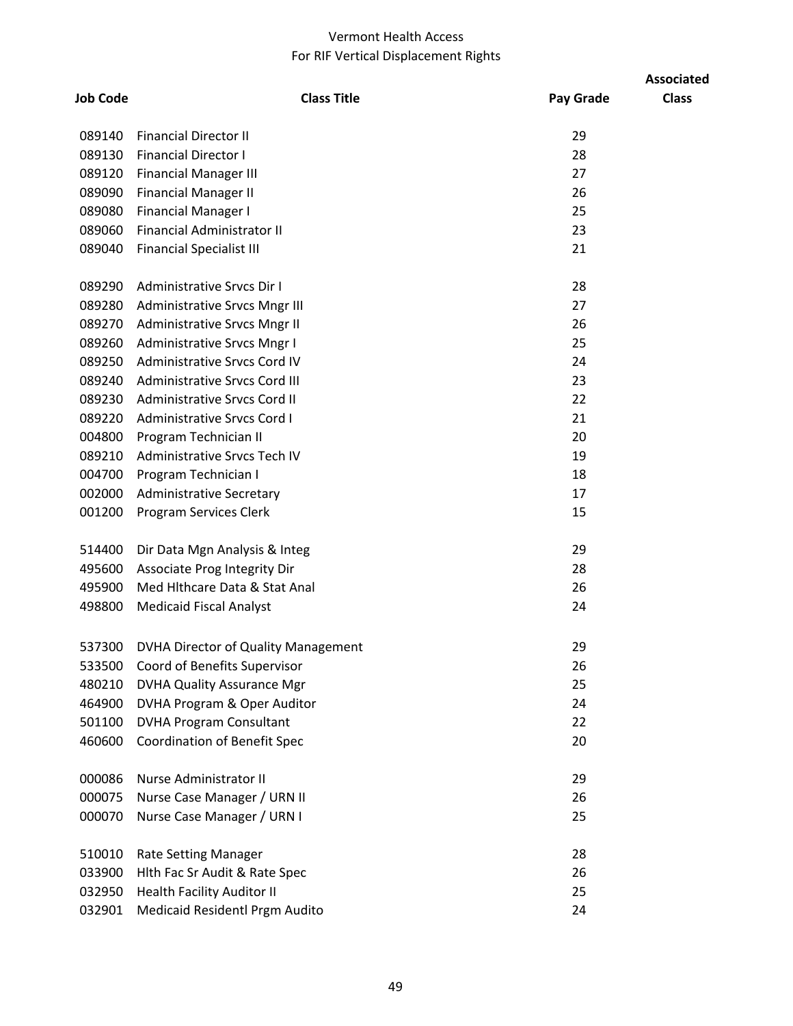## Vermont Health Access For RIF Vertical Displacement Rights

|                 |                                      |           | <b>Associated</b> |
|-----------------|--------------------------------------|-----------|-------------------|
| <b>Job Code</b> | <b>Class Title</b>                   | Pay Grade | <b>Class</b>      |
| 089140          | <b>Financial Director II</b>         | 29        |                   |
| 089130          | <b>Financial Director I</b>          | 28        |                   |
| 089120          | <b>Financial Manager III</b>         | 27        |                   |
| 089090          | <b>Financial Manager II</b>          | 26        |                   |
| 089080          | <b>Financial Manager I</b>           | 25        |                   |
| 089060          | <b>Financial Administrator II</b>    | 23        |                   |
| 089040          | <b>Financial Specialist III</b>      | 21        |                   |
| 089290          | Administrative Srvcs Dir I           | 28        |                   |
|                 | 089280 Administrative Srvcs Mngr III | 27        |                   |
| 089270          | Administrative Srvcs Mngr II         | 26        |                   |
| 089260          | Administrative Srvcs Mngr I          | 25        |                   |
| 089250          | Administrative Srvcs Cord IV         | 24        |                   |
| 089240          | <b>Administrative Srvcs Cord III</b> | 23        |                   |
| 089230          | Administrative Srvcs Cord II         | 22        |                   |
| 089220          | <b>Administrative Srvcs Cord I</b>   | 21        |                   |
| 004800          | Program Technician II                | 20        |                   |
| 089210          | Administrative Srvcs Tech IV         | 19        |                   |
| 004700          | Program Technician I                 | 18        |                   |
| 002000          | <b>Administrative Secretary</b>      | 17        |                   |
| 001200          | Program Services Clerk               | 15        |                   |
| 514400          | Dir Data Mgn Analysis & Integ        | 29        |                   |
| 495600          | Associate Prog Integrity Dir         | 28        |                   |
| 495900          | Med Hithcare Data & Stat Anal        | 26        |                   |
| 498800          | <b>Medicaid Fiscal Analyst</b>       | 24        |                   |
| 537300          | DVHA Director of Quality Management  | 29        |                   |
| 533500          | Coord of Benefits Supervisor         | 26        |                   |
| 480210          | <b>DVHA Quality Assurance Mgr</b>    | 25        |                   |
| 464900          | DVHA Program & Oper Auditor          | 24        |                   |
| 501100          | <b>DVHA Program Consultant</b>       | 22        |                   |
| 460600          | <b>Coordination of Benefit Spec</b>  | 20        |                   |
| 000086          | Nurse Administrator II               | 29        |                   |
| 000075          | Nurse Case Manager / URN II          | 26        |                   |
| 000070          | Nurse Case Manager / URN I           | 25        |                   |
| 510010          | Rate Setting Manager                 | 28        |                   |
| 033900          | Hith Fac Sr Audit & Rate Spec        | 26        |                   |
| 032950          | <b>Health Facility Auditor II</b>    | 25        |                   |
| 032901          | Medicaid Residentl Prgm Audito       | 24        |                   |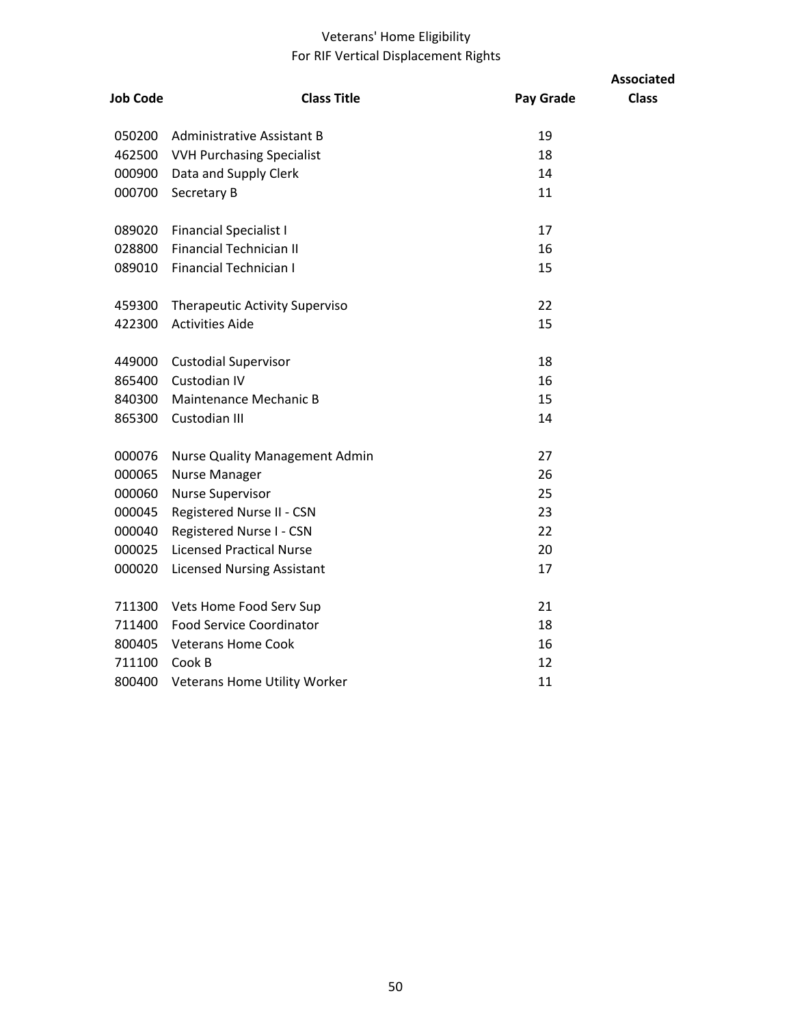## Veterans' Home Eligibility For RIF Vertical Displacement Rights

|                 |                                       |           | <b>Associated</b> |
|-----------------|---------------------------------------|-----------|-------------------|
| <b>Job Code</b> | <b>Class Title</b>                    | Pay Grade | <b>Class</b>      |
| 050200          | Administrative Assistant B            | 19        |                   |
| 462500          | <b>VVH Purchasing Specialist</b>      | 18        |                   |
| 000900          | Data and Supply Clerk                 | 14        |                   |
| 000700          | Secretary B                           | 11        |                   |
| 089020          | <b>Financial Specialist I</b>         | 17        |                   |
| 028800          | <b>Financial Technician II</b>        | 16        |                   |
| 089010          | <b>Financial Technician I</b>         | 15        |                   |
| 459300          | <b>Therapeutic Activity Superviso</b> | 22        |                   |
| 422300          | <b>Activities Aide</b>                | 15        |                   |
| 449000          | <b>Custodial Supervisor</b>           | 18        |                   |
| 865400          | Custodian IV                          | 16        |                   |
| 840300          | Maintenance Mechanic B                | 15        |                   |
| 865300          | Custodian III                         | 14        |                   |
| 000076          | <b>Nurse Quality Management Admin</b> | 27        |                   |
| 000065          | <b>Nurse Manager</b>                  | 26        |                   |
| 000060          | <b>Nurse Supervisor</b>               | 25        |                   |
| 000045          | Registered Nurse II - CSN             | 23        |                   |
| 000040          | Registered Nurse I - CSN              | 22        |                   |
| 000025          | <b>Licensed Practical Nurse</b>       | 20        |                   |
| 000020          | <b>Licensed Nursing Assistant</b>     | 17        |                   |
| 711300          | Vets Home Food Serv Sup               | 21        |                   |
| 711400          | <b>Food Service Coordinator</b>       | 18        |                   |
| 800405          | <b>Veterans Home Cook</b>             | 16        |                   |
| 711100          | Cook B                                | 12        |                   |
| 800400          | Veterans Home Utility Worker          | 11        |                   |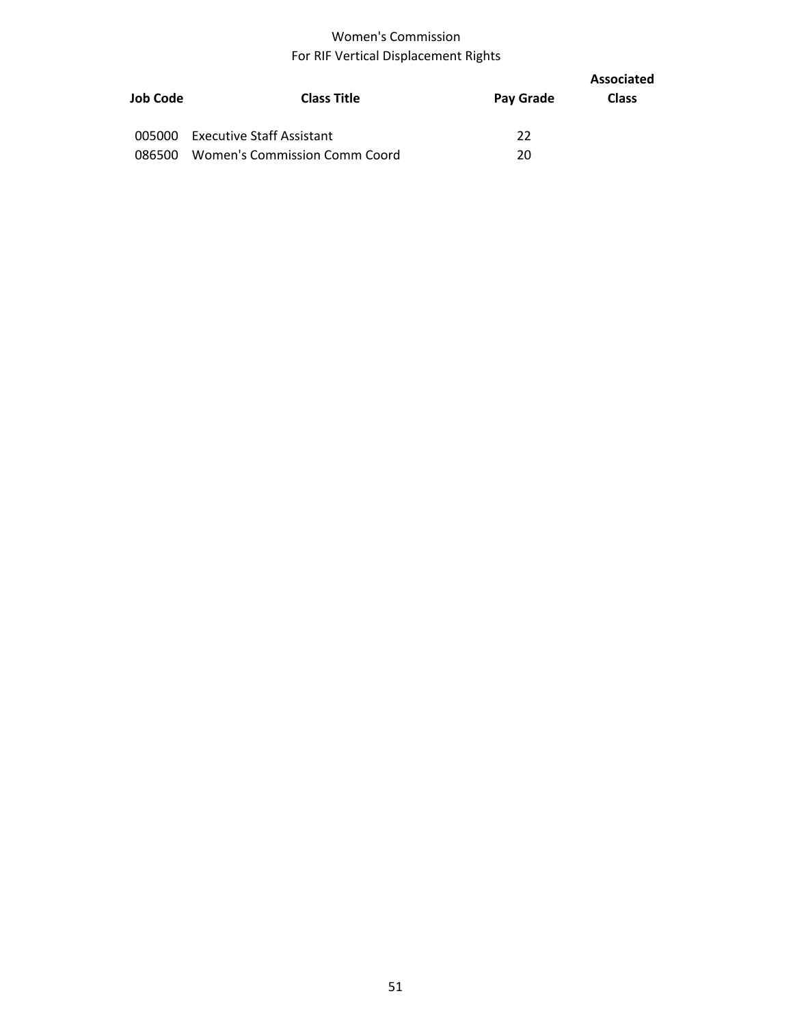# Women's Commission For RIF Vertical Displacement Rights

|          |                                  |           | Associated   |
|----------|----------------------------------|-----------|--------------|
| Job Code | <b>Class Title</b>               | Pay Grade | <b>Class</b> |
| 005000   | <b>Executive Staff Assistant</b> | 22        |              |
| 086500   | Women's Commission Comm Coord    | 20        |              |